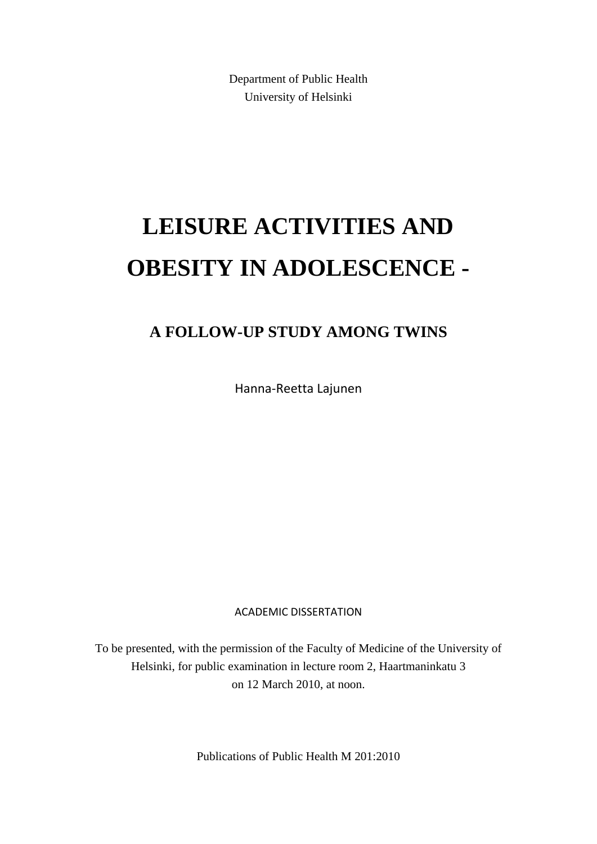Department of Public Health University of Helsinki

# **LEISURE ACTIVITIES AND OBESITY IN ADOLESCENCE -**

# **A FOLLOW-UP STUDY AMONG TWINS**

Hanna-Reetta Lajunen

ACADEMIC DISSERTATION

To be presented, with the permission of the Faculty of Medicine of the University of Helsinki, for public examination in lecture room 2, Haartmaninkatu 3 on 12 March 2010, at noon.

Publications of Public Health M 201:2010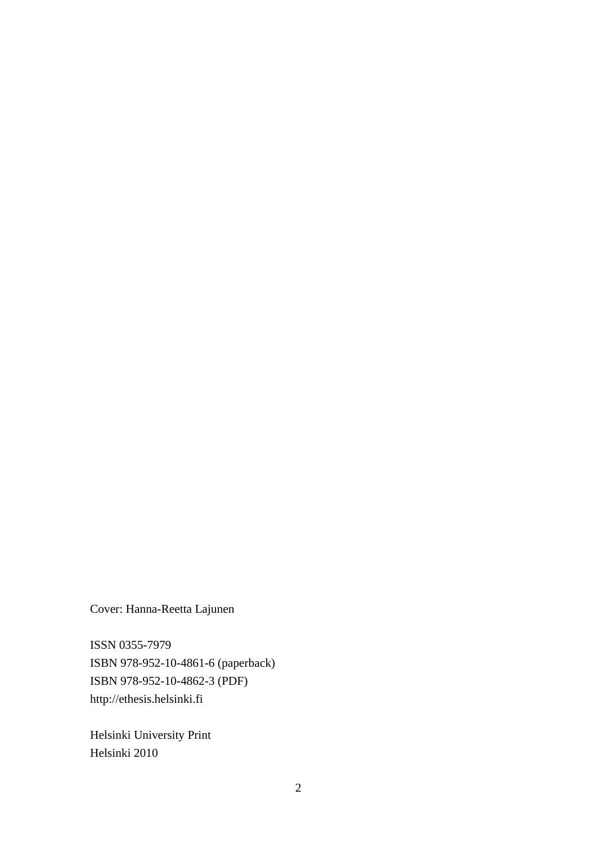Cover: Hanna-Reetta Lajunen

ISSN 0355-7979 ISBN 978-952-10-4861-6 (paperback) ISBN 978-952-10-4862-3 (PDF) http://ethesis.helsinki.fi

Helsinki University Print Helsinki 2010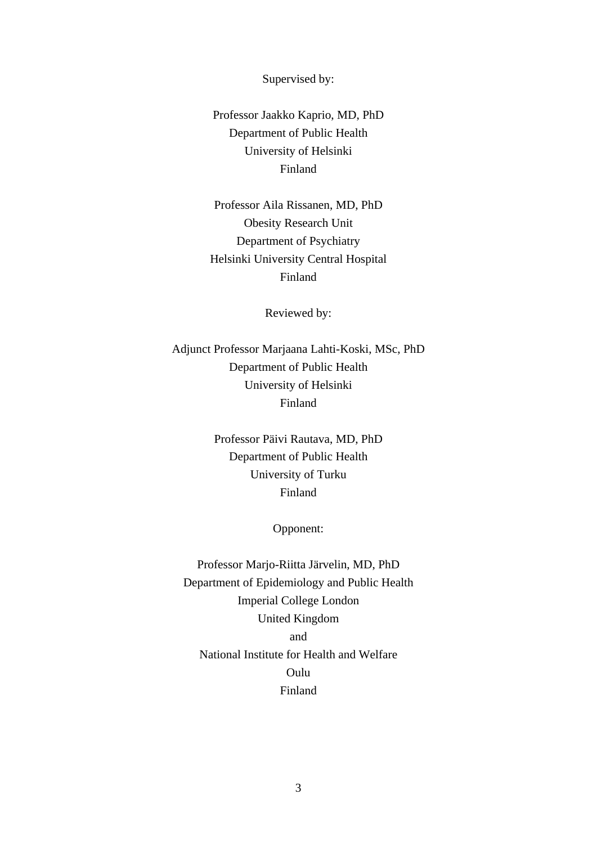Supervised by:

Professor Jaakko Kaprio, MD, PhD Department of Public Health University of Helsinki Finland

Professor Aila Rissanen, MD, PhD Obesity Research Unit Department of Psychiatry Helsinki University Central Hospital Finland

Reviewed by:

Adjunct Professor Marjaana Lahti-Koski, MSc, PhD Department of Public Health University of Helsinki Finland

> Professor Päivi Rautava, MD, PhD Department of Public Health University of Turku Finland

> > Opponent:

Professor Marjo-Riitta Järvelin, MD, PhD Department of Epidemiology and Public Health Imperial College London United Kingdom and National Institute for Health and Welfare Oulu Finland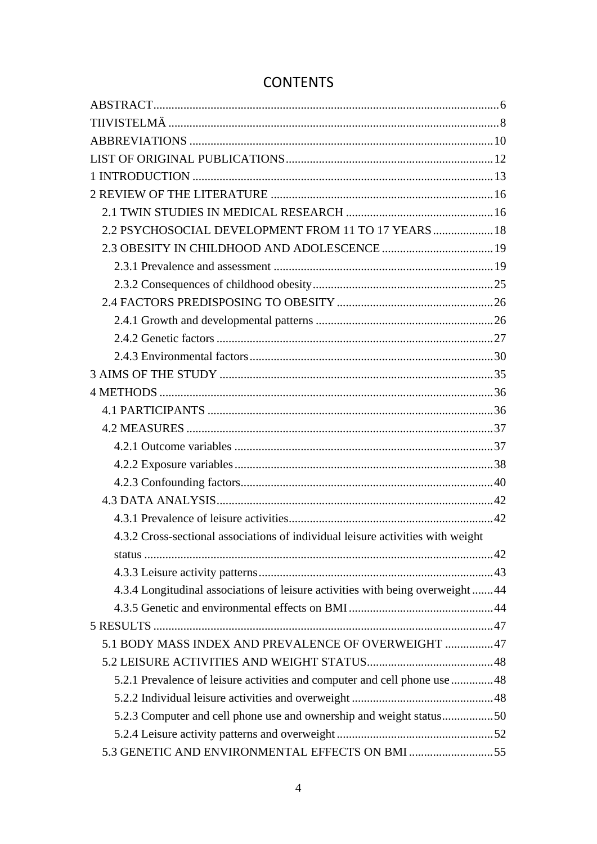| 2.2 PSYCHOSOCIAL DEVELOPMENT FROM 11 TO 17 YEARS  18                            |  |
|---------------------------------------------------------------------------------|--|
|                                                                                 |  |
|                                                                                 |  |
|                                                                                 |  |
|                                                                                 |  |
|                                                                                 |  |
|                                                                                 |  |
|                                                                                 |  |
|                                                                                 |  |
|                                                                                 |  |
|                                                                                 |  |
|                                                                                 |  |
|                                                                                 |  |
|                                                                                 |  |
|                                                                                 |  |
|                                                                                 |  |
|                                                                                 |  |
| 4.3.2 Cross-sectional associations of individual leisure activities with weight |  |
|                                                                                 |  |
|                                                                                 |  |
| 4.3.4 Longitudinal associations of leisure activities with being overweight44   |  |
|                                                                                 |  |
|                                                                                 |  |
| 5.1 BODY MASS INDEX AND PREVALENCE OF OVERWEIGHT 47                             |  |
|                                                                                 |  |
| 5.2.1 Prevalence of leisure activities and computer and cell phone use 48       |  |
|                                                                                 |  |
|                                                                                 |  |
|                                                                                 |  |
| 5.3 GENETIC AND ENVIRONMENTAL EFFECTS ON BMI 55                                 |  |

# **CONTENTS**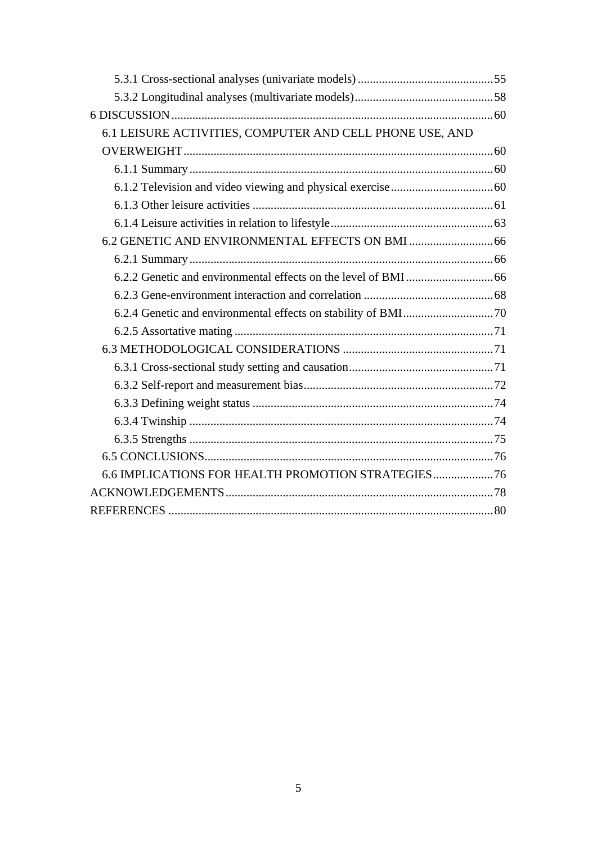| 6.1 LEISURE ACTIVITIES, COMPUTER AND CELL PHONE USE, AND |  |
|----------------------------------------------------------|--|
|                                                          |  |
|                                                          |  |
|                                                          |  |
|                                                          |  |
|                                                          |  |
|                                                          |  |
|                                                          |  |
|                                                          |  |
|                                                          |  |
|                                                          |  |
|                                                          |  |
|                                                          |  |
|                                                          |  |
|                                                          |  |
|                                                          |  |
|                                                          |  |
|                                                          |  |
|                                                          |  |
| 6.6 IMPLICATIONS FOR HEALTH PROMOTION STRATEGIES         |  |
|                                                          |  |
|                                                          |  |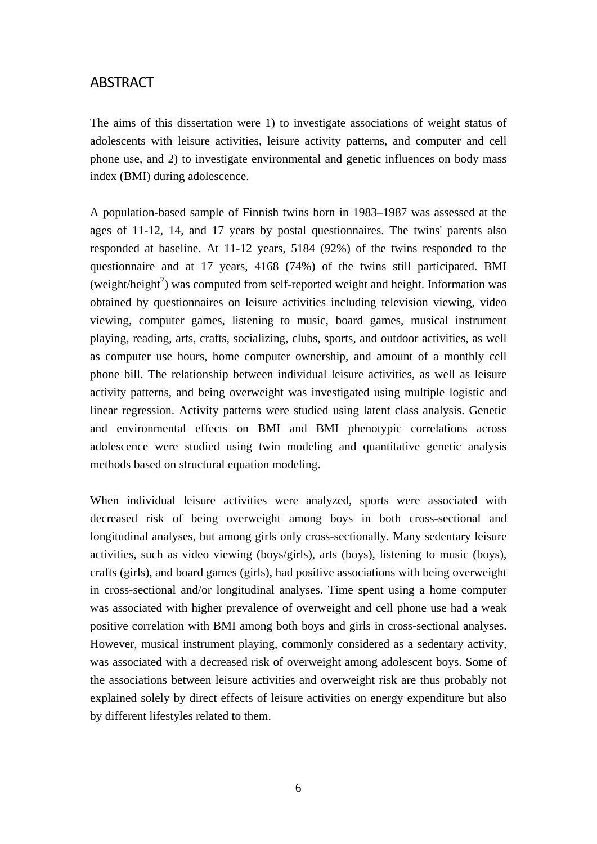## ABSTRACT

The aims of this dissertation were 1) to investigate associations of weight status of adolescents with leisure activities, leisure activity patterns, and computer and cell phone use, and 2) to investigate environmental and genetic influences on body mass index (BMI) during adolescence.

A population-based sample of Finnish twins born in 1983–1987 was assessed at the ages of 11-12, 14, and 17 years by postal questionnaires. The twins' parents also responded at baseline. At 11-12 years, 5184 (92%) of the twins responded to the questionnaire and at 17 years, 4168 (74%) of the twins still participated. BMI (weight/height<sup>2</sup>) was computed from self-reported weight and height. Information was obtained by questionnaires on leisure activities including television viewing, video viewing, computer games, listening to music, board games, musical instrument playing, reading, arts, crafts, socializing, clubs, sports, and outdoor activities, as well as computer use hours, home computer ownership, and amount of a monthly cell phone bill. The relationship between individual leisure activities, as well as leisure activity patterns, and being overweight was investigated using multiple logistic and linear regression. Activity patterns were studied using latent class analysis. Genetic and environmental effects on BMI and BMI phenotypic correlations across adolescence were studied using twin modeling and quantitative genetic analysis methods based on structural equation modeling.

When individual leisure activities were analyzed, sports were associated with decreased risk of being overweight among boys in both cross-sectional and longitudinal analyses, but among girls only cross-sectionally. Many sedentary leisure activities, such as video viewing (boys/girls), arts (boys), listening to music (boys), crafts (girls), and board games (girls), had positive associations with being overweight in cross-sectional and/or longitudinal analyses. Time spent using a home computer was associated with higher prevalence of overweight and cell phone use had a weak positive correlation with BMI among both boys and girls in cross-sectional analyses. However, musical instrument playing, commonly considered as a sedentary activity, was associated with a decreased risk of overweight among adolescent boys. Some of the associations between leisure activities and overweight risk are thus probably not explained solely by direct effects of leisure activities on energy expenditure but also by different lifestyles related to them.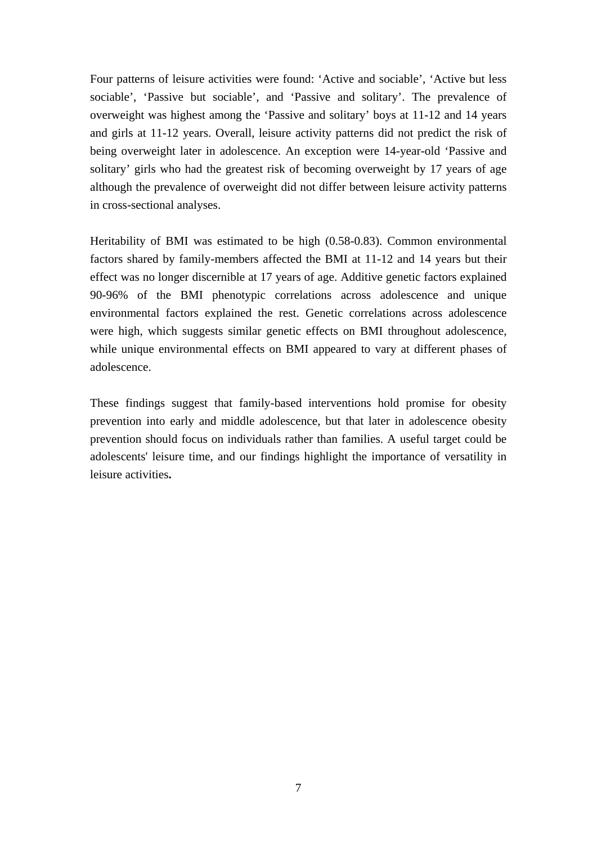Four patterns of leisure activities were found: 'Active and sociable', 'Active but less sociable', 'Passive but sociable', and 'Passive and solitary'. The prevalence of overweight was highest among the 'Passive and solitary' boys at 11-12 and 14 years and girls at 11-12 years. Overall, leisure activity patterns did not predict the risk of being overweight later in adolescence. An exception were 14-year-old 'Passive and solitary' girls who had the greatest risk of becoming overweight by 17 years of age although the prevalence of overweight did not differ between leisure activity patterns in cross-sectional analyses.

Heritability of BMI was estimated to be high (0.58-0.83). Common environmental factors shared by family-members affected the BMI at 11-12 and 14 years but their effect was no longer discernible at 17 years of age. Additive genetic factors explained 90-96% of the BMI phenotypic correlations across adolescence and unique environmental factors explained the rest. Genetic correlations across adolescence were high, which suggests similar genetic effects on BMI throughout adolescence, while unique environmental effects on BMI appeared to vary at different phases of adolescence.

These findings suggest that family-based interventions hold promise for obesity prevention into early and middle adolescence, but that later in adolescence obesity prevention should focus on individuals rather than families. A useful target could be adolescents' leisure time, and our findings highlight the importance of versatility in leisure activities**.**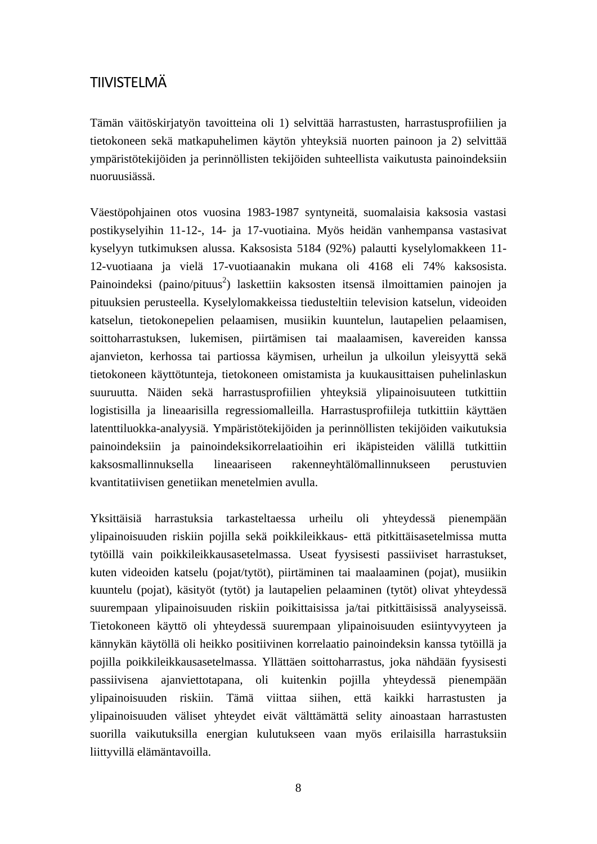# TIIVISTELMÄ

Tämän väitöskirjatyön tavoitteina oli 1) selvittää harrastusten, harrastusprofiilien ja tietokoneen sekä matkapuhelimen käytön yhteyksiä nuorten painoon ja 2) selvittää ympäristötekijöiden ja perinnöllisten tekijöiden suhteellista vaikutusta painoindeksiin nuoruusiässä.

Väestöpohjainen otos vuosina 1983-1987 syntyneitä, suomalaisia kaksosia vastasi postikyselyihin 11-12-, 14- ja 17-vuotiaina. Myös heidän vanhempansa vastasivat kyselyyn tutkimuksen alussa. Kaksosista 5184 (92%) palautti kyselylomakkeen 11- 12-vuotiaana ja vielä 17-vuotiaanakin mukana oli 4168 eli 74% kaksosista. Painoindeksi (paino/pituus<sup>2</sup>) laskettiin kaksosten itsensä ilmoittamien painojen ja pituuksien perusteella. Kyselylomakkeissa tiedusteltiin television katselun, videoiden katselun, tietokonepelien pelaamisen, musiikin kuuntelun, lautapelien pelaamisen, soittoharrastuksen, lukemisen, piirtämisen tai maalaamisen, kavereiden kanssa ajanvieton, kerhossa tai partiossa käymisen, urheilun ja ulkoilun yleisyyttä sekä tietokoneen käyttötunteja, tietokoneen omistamista ja kuukausittaisen puhelinlaskun suuruutta. Näiden sekä harrastusprofiilien yhteyksiä ylipainoisuuteen tutkittiin logistisilla ja lineaarisilla regressiomalleilla. Harrastusprofiileja tutkittiin käyttäen latenttiluokka-analyysiä. Ympäristötekijöiden ja perinnöllisten tekijöiden vaikutuksia painoindeksiin ja painoindeksikorrelaatioihin eri ikäpisteiden välillä tutkittiin kaksosmallinnuksella lineaariseen rakenneyhtälömallinnukseen perustuvien kvantitatiivisen genetiikan menetelmien avulla.

Yksittäisiä harrastuksia tarkasteltaessa urheilu oli yhteydessä pienempään ylipainoisuuden riskiin pojilla sekä poikkileikkaus- että pitkittäisasetelmissa mutta tytöillä vain poikkileikkausasetelmassa. Useat fyysisesti passiiviset harrastukset, kuten videoiden katselu (pojat/tytöt), piirtäminen tai maalaaminen (pojat), musiikin kuuntelu (pojat), käsityöt (tytöt) ja lautapelien pelaaminen (tytöt) olivat yhteydessä suurempaan ylipainoisuuden riskiin poikittaisissa ja/tai pitkittäisissä analyyseissä. Tietokoneen käyttö oli yhteydessä suurempaan ylipainoisuuden esiintyvyyteen ja kännykän käytöllä oli heikko positiivinen korrelaatio painoindeksin kanssa tytöillä ja pojilla poikkileikkausasetelmassa. Yllättäen soittoharrastus, joka nähdään fyysisesti passiivisena ajanviettotapana, oli kuitenkin pojilla yhteydessä pienempään ylipainoisuuden riskiin. Tämä viittaa siihen, että kaikki harrastusten ja ylipainoisuuden väliset yhteydet eivät välttämättä selity ainoastaan harrastusten suorilla vaikutuksilla energian kulutukseen vaan myös erilaisilla harrastuksiin liittyvillä elämäntavoilla.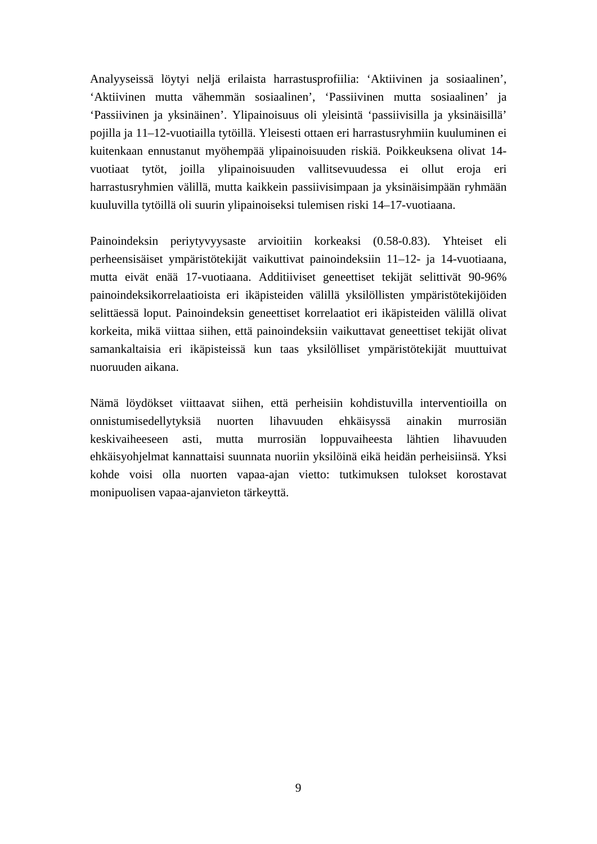Analyyseissä löytyi neljä erilaista harrastusprofiilia: 'Aktiivinen ja sosiaalinen', 'Aktiivinen mutta vähemmän sosiaalinen', 'Passiivinen mutta sosiaalinen' ja 'Passiivinen ja yksinäinen'. Ylipainoisuus oli yleisintä 'passiivisilla ja yksinäisillä' pojilla ja 11–12-vuotiailla tytöillä. Yleisesti ottaen eri harrastusryhmiin kuuluminen ei kuitenkaan ennustanut myöhempää ylipainoisuuden riskiä. Poikkeuksena olivat 14 vuotiaat tytöt, joilla ylipainoisuuden vallitsevuudessa ei ollut eroja eri harrastusryhmien välillä, mutta kaikkein passiivisimpaan ja yksinäisimpään ryhmään kuuluvilla tytöillä oli suurin ylipainoiseksi tulemisen riski 14–17-vuotiaana.

Painoindeksin periytyvyysaste arvioitiin korkeaksi (0.58-0.83). Yhteiset eli perheensisäiset ympäristötekijät vaikuttivat painoindeksiin 11–12- ja 14-vuotiaana, mutta eivät enää 17-vuotiaana. Additiiviset geneettiset tekijät selittivät 90-96% painoindeksikorrelaatioista eri ikäpisteiden välillä yksilöllisten ympäristötekijöiden selittäessä loput. Painoindeksin geneettiset korrelaatiot eri ikäpisteiden välillä olivat korkeita, mikä viittaa siihen, että painoindeksiin vaikuttavat geneettiset tekijät olivat samankaltaisia eri ikäpisteissä kun taas yksilölliset ympäristötekijät muuttuivat nuoruuden aikana.

Nämä löydökset viittaavat siihen, että perheisiin kohdistuvilla interventioilla on onnistumisedellytyksiä nuorten lihavuuden ehkäisyssä ainakin murrosiän keskivaiheeseen asti, mutta murrosiän loppuvaiheesta lähtien lihavuuden ehkäisyohjelmat kannattaisi suunnata nuoriin yksilöinä eikä heidän perheisiinsä. Yksi kohde voisi olla nuorten vapaa-ajan vietto: tutkimuksen tulokset korostavat monipuolisen vapaa-ajanvieton tärkeyttä.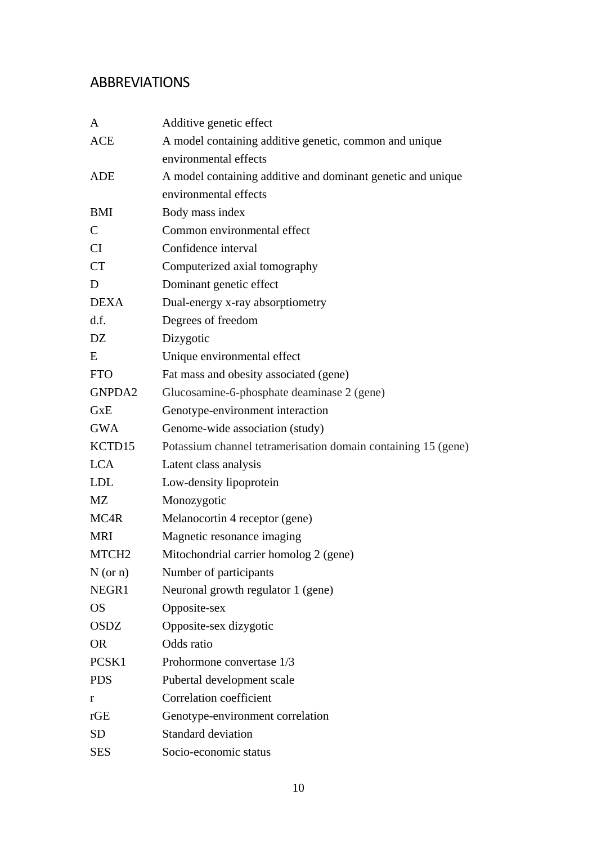# ABBREVIATIONS

| A                 | Additive genetic effect                                       |  |  |  |  |
|-------------------|---------------------------------------------------------------|--|--|--|--|
| <b>ACE</b>        | A model containing additive genetic, common and unique        |  |  |  |  |
|                   | environmental effects                                         |  |  |  |  |
| ADE               | A model containing additive and dominant genetic and unique   |  |  |  |  |
|                   | environmental effects                                         |  |  |  |  |
| <b>BMI</b>        | Body mass index                                               |  |  |  |  |
| $\mathbf C$       | Common environmental effect                                   |  |  |  |  |
| CI                | Confidence interval                                           |  |  |  |  |
| <b>CT</b>         | Computerized axial tomography                                 |  |  |  |  |
| D                 | Dominant genetic effect                                       |  |  |  |  |
| <b>DEXA</b>       | Dual-energy x-ray absorptiometry                              |  |  |  |  |
| df.               | Degrees of freedom                                            |  |  |  |  |
| DZ                | Dizygotic                                                     |  |  |  |  |
| E                 | Unique environmental effect                                   |  |  |  |  |
| <b>FTO</b>        | Fat mass and obesity associated (gene)                        |  |  |  |  |
| GNPDA2            | Glucosamine-6-phosphate deaminase 2 (gene)                    |  |  |  |  |
| <b>GxE</b>        | Genotype-environment interaction                              |  |  |  |  |
| <b>GWA</b>        | Genome-wide association (study)                               |  |  |  |  |
| KCTD15            | Potassium channel tetramerisation domain containing 15 (gene) |  |  |  |  |
| <b>LCA</b>        | Latent class analysis                                         |  |  |  |  |
| <b>LDL</b>        | Low-density lipoprotein                                       |  |  |  |  |
| MZ                | Monozygotic                                                   |  |  |  |  |
| MC4R              | Melanocortin 4 receptor (gene)                                |  |  |  |  |
| <b>MRI</b>        | Magnetic resonance imaging                                    |  |  |  |  |
| MTCH <sub>2</sub> | Mitochondrial carrier homolog 2 (gene)                        |  |  |  |  |
| N (or n)          | Number of participants                                        |  |  |  |  |
| NEGR1             | Neuronal growth regulator 1 (gene)                            |  |  |  |  |
| <b>OS</b>         | Opposite-sex                                                  |  |  |  |  |
| <b>OSDZ</b>       | Opposite-sex dizygotic                                        |  |  |  |  |
| <b>OR</b>         | Odds ratio                                                    |  |  |  |  |
| PCSK <sub>1</sub> | Prohormone convertase 1/3                                     |  |  |  |  |
| <b>PDS</b>        | Pubertal development scale                                    |  |  |  |  |
| r                 | <b>Correlation coefficient</b>                                |  |  |  |  |
| rGE               | Genotype-environment correlation                              |  |  |  |  |
| <b>SD</b>         | <b>Standard deviation</b>                                     |  |  |  |  |
| <b>SES</b>        | Socio-economic status                                         |  |  |  |  |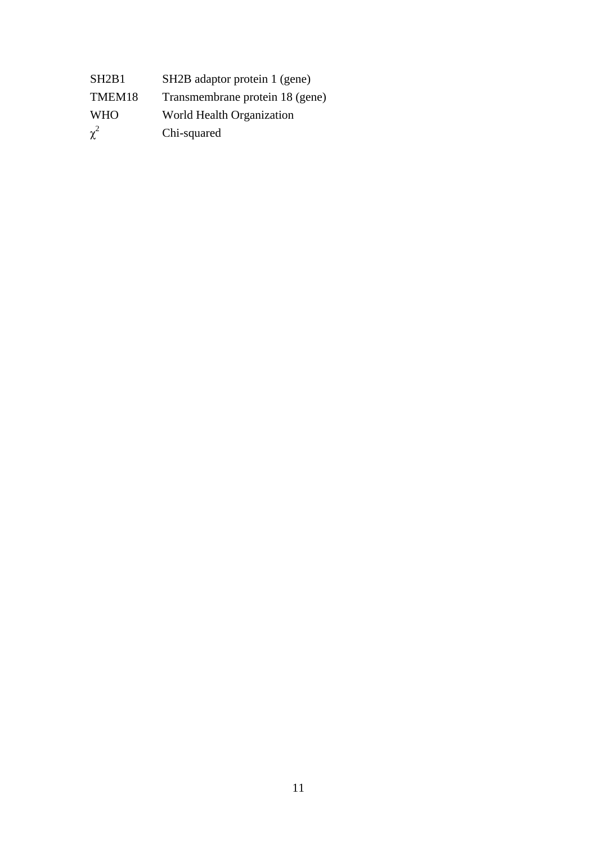| SH <sub>2</sub> B <sub>1</sub> | SH <sub>2</sub> B adaptor protein 1 (gene) |
|--------------------------------|--------------------------------------------|
| TMEM18                         | Transmembrane protein 18 (gene)            |
| <b>WHO</b>                     | World Health Organization                  |
| $\chi^2$                       | Chi-squared                                |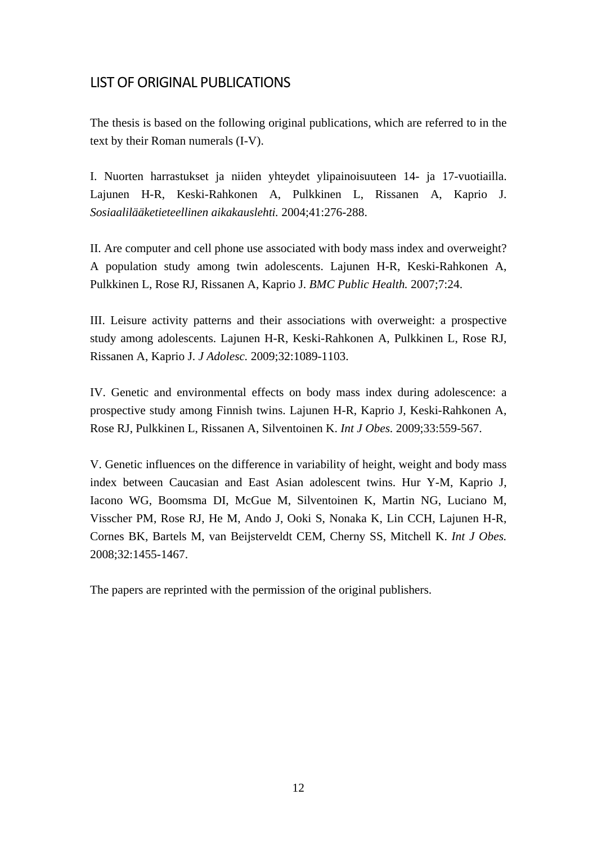# LIST OF ORIGINAL PUBLICATIONS

The thesis is based on the following original publications, which are referred to in the text by their Roman numerals (I-V).

I. Nuorten harrastukset ja niiden yhteydet ylipainoisuuteen 14- ja 17-vuotiailla. Lajunen H-R, Keski-Rahkonen A, Pulkkinen L, Rissanen A, Kaprio J. *Sosiaalilääketieteellinen aikakauslehti.* 2004;41:276-288.

II. Are computer and cell phone use associated with body mass index and overweight? A population study among twin adolescents. Lajunen H-R, Keski-Rahkonen A, Pulkkinen L, Rose RJ, Rissanen A, Kaprio J. *BMC Public Health.* 2007;7:24.

III. Leisure activity patterns and their associations with overweight: a prospective study among adolescents. Lajunen H-R, Keski-Rahkonen A, Pulkkinen L, Rose RJ, Rissanen A, Kaprio J. *J Adolesc.* 2009;32:1089-1103.

IV. Genetic and environmental effects on body mass index during adolescence: a prospective study among Finnish twins. Lajunen H-R, Kaprio J, Keski-Rahkonen A, Rose RJ, Pulkkinen L, Rissanen A, Silventoinen K. *Int J Obes.* 2009;33:559-567.

V. Genetic influences on the difference in variability of height, weight and body mass index between Caucasian and East Asian adolescent twins. Hur Y-M, Kaprio J, Iacono WG, Boomsma DI, McGue M, Silventoinen K, Martin NG, Luciano M, Visscher PM, Rose RJ, He M, Ando J, Ooki S, Nonaka K, Lin CCH, Lajunen H-R, Cornes BK, Bartels M, van Beijsterveldt CEM, Cherny SS, Mitchell K. *Int J Obes.* 2008;32:1455-1467.

The papers are reprinted with the permission of the original publishers.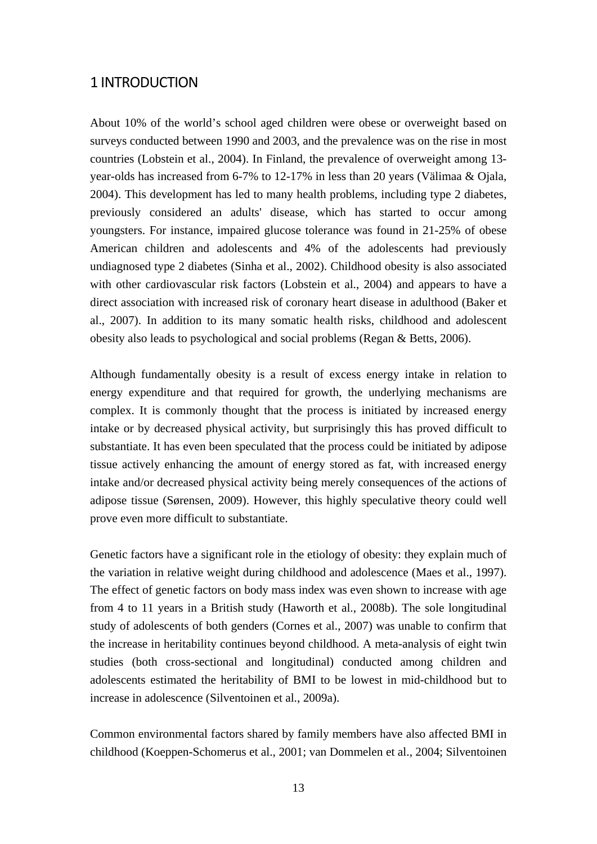## 1 INTRODUCTION

About 10% of the world's school aged children were obese or overweight based on surveys conducted between 1990 and 2003, and the prevalence was on the rise in most countries (Lobstein et al., 2004). In Finland, the prevalence of overweight among 13 year-olds has increased from 6-7% to 12-17% in less than 20 years (Välimaa & Ojala, 2004). This development has led to many health problems, including type 2 diabetes, previously considered an adults' disease, which has started to occur among youngsters. For instance, impaired glucose tolerance was found in 21-25% of obese American children and adolescents and 4% of the adolescents had previously undiagnosed type 2 diabetes (Sinha et al., 2002). Childhood obesity is also associated with other cardiovascular risk factors (Lobstein et al., 2004) and appears to have a direct association with increased risk of coronary heart disease in adulthood (Baker et al., 2007). In addition to its many somatic health risks, childhood and adolescent obesity also leads to psychological and social problems (Regan & Betts, 2006).

Although fundamentally obesity is a result of excess energy intake in relation to energy expenditure and that required for growth, the underlying mechanisms are complex. It is commonly thought that the process is initiated by increased energy intake or by decreased physical activity, but surprisingly this has proved difficult to substantiate. It has even been speculated that the process could be initiated by adipose tissue actively enhancing the amount of energy stored as fat, with increased energy intake and/or decreased physical activity being merely consequences of the actions of adipose tissue (Sørensen, 2009). However, this highly speculative theory could well prove even more difficult to substantiate.

Genetic factors have a significant role in the etiology of obesity: they explain much of the variation in relative weight during childhood and adolescence (Maes et al., 1997). The effect of genetic factors on body mass index was even shown to increase with age from 4 to 11 years in a British study (Haworth et al., 2008b). The sole longitudinal study of adolescents of both genders (Cornes et al., 2007) was unable to confirm that the increase in heritability continues beyond childhood. A meta-analysis of eight twin studies (both cross-sectional and longitudinal) conducted among children and adolescents estimated the heritability of BMI to be lowest in mid-childhood but to increase in adolescence (Silventoinen et al., 2009a).

Common environmental factors shared by family members have also affected BMI in childhood (Koeppen-Schomerus et al., 2001; van Dommelen et al., 2004; Silventoinen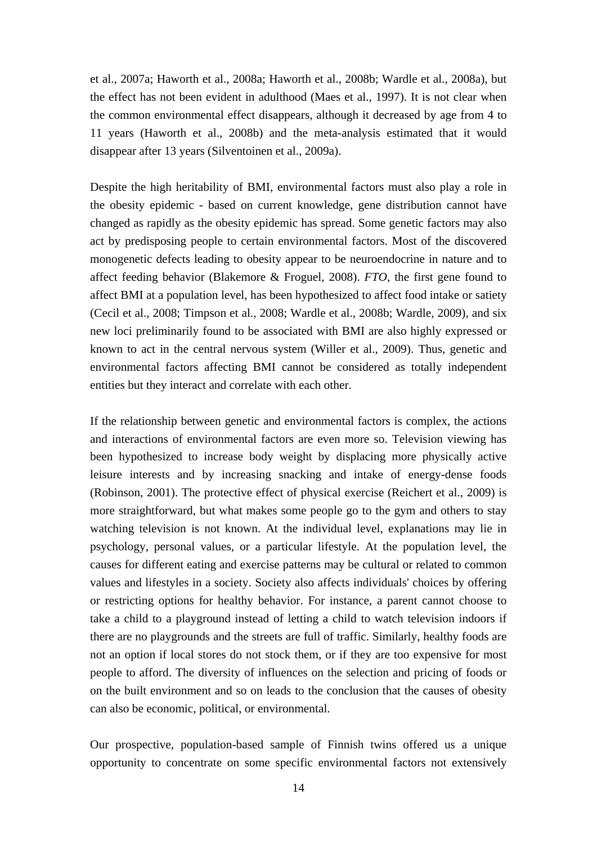et al., 2007a; Haworth et al., 2008a; Haworth et al., 2008b; Wardle et al., 2008a), but the effect has not been evident in adulthood (Maes et al., 1997). It is not clear when the common environmental effect disappears, although it decreased by age from 4 to 11 years (Haworth et al., 2008b) and the meta-analysis estimated that it would disappear after 13 years (Silventoinen et al., 2009a).

Despite the high heritability of BMI, environmental factors must also play a role in the obesity epidemic - based on current knowledge, gene distribution cannot have changed as rapidly as the obesity epidemic has spread. Some genetic factors may also act by predisposing people to certain environmental factors. Most of the discovered monogenetic defects leading to obesity appear to be neuroendocrine in nature and to affect feeding behavior (Blakemore & Froguel, 2008). *FTO*, the first gene found to affect BMI at a population level, has been hypothesized to affect food intake or satiety (Cecil et al., 2008; Timpson et al., 2008; Wardle et al., 2008b; Wardle, 2009), and six new loci preliminarily found to be associated with BMI are also highly expressed or known to act in the central nervous system (Willer et al., 2009). Thus, genetic and environmental factors affecting BMI cannot be considered as totally independent entities but they interact and correlate with each other.

If the relationship between genetic and environmental factors is complex, the actions and interactions of environmental factors are even more so. Television viewing has been hypothesized to increase body weight by displacing more physically active leisure interests and by increasing snacking and intake of energy-dense foods (Robinson, 2001). The protective effect of physical exercise (Reichert et al., 2009) is more straightforward, but what makes some people go to the gym and others to stay watching television is not known. At the individual level, explanations may lie in psychology, personal values, or a particular lifestyle. At the population level, the causes for different eating and exercise patterns may be cultural or related to common values and lifestyles in a society. Society also affects individuals' choices by offering or restricting options for healthy behavior. For instance, a parent cannot choose to take a child to a playground instead of letting a child to watch television indoors if there are no playgrounds and the streets are full of traffic. Similarly, healthy foods are not an option if local stores do not stock them, or if they are too expensive for most people to afford. The diversity of influences on the selection and pricing of foods or on the built environment and so on leads to the conclusion that the causes of obesity can also be economic, political, or environmental.

Our prospective, population-based sample of Finnish twins offered us a unique opportunity to concentrate on some specific environmental factors not extensively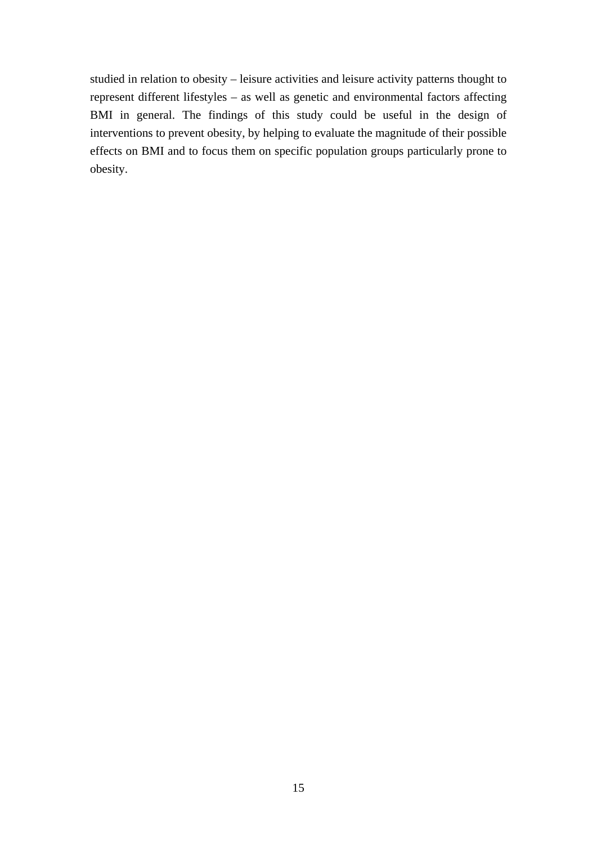studied in relation to obesity – leisure activities and leisure activity patterns thought to represent different lifestyles – as well as genetic and environmental factors affecting BMI in general. The findings of this study could be useful in the design of interventions to prevent obesity, by helping to evaluate the magnitude of their possible effects on BMI and to focus them on specific population groups particularly prone to obesity.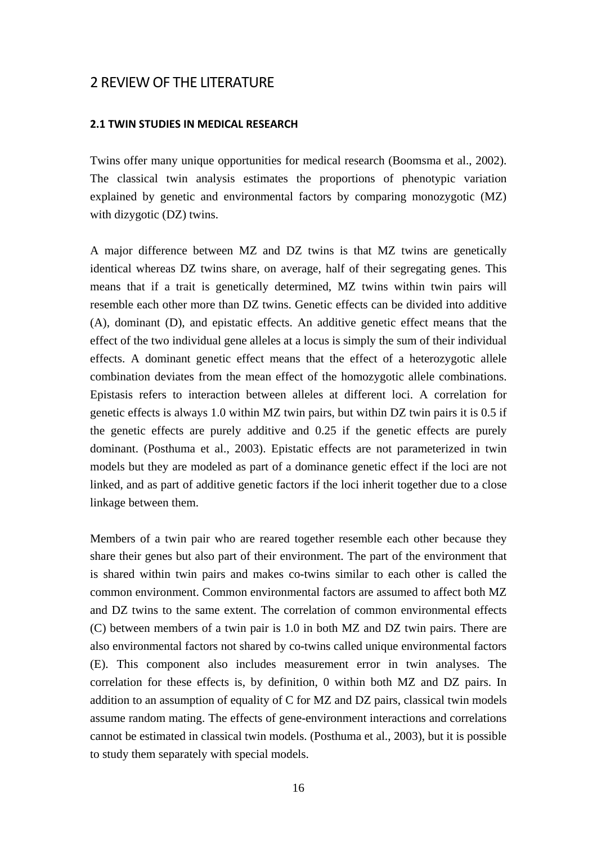## 2 REVIEW OF THE LITERATURE

#### **2.1 TWIN STUDIES IN MEDICAL RESEARCH**

Twins offer many unique opportunities for medical research (Boomsma et al., 2002). The classical twin analysis estimates the proportions of phenotypic variation explained by genetic and environmental factors by comparing monozygotic (MZ) with dizygotic (DZ) twins.

A major difference between MZ and DZ twins is that MZ twins are genetically identical whereas DZ twins share, on average, half of their segregating genes. This means that if a trait is genetically determined, MZ twins within twin pairs will resemble each other more than DZ twins. Genetic effects can be divided into additive (A), dominant (D), and epistatic effects. An additive genetic effect means that the effect of the two individual gene alleles at a locus is simply the sum of their individual effects. A dominant genetic effect means that the effect of a heterozygotic allele combination deviates from the mean effect of the homozygotic allele combinations. Epistasis refers to interaction between alleles at different loci. A correlation for genetic effects is always 1.0 within MZ twin pairs, but within DZ twin pairs it is 0.5 if the genetic effects are purely additive and 0.25 if the genetic effects are purely dominant. (Posthuma et al., 2003). Epistatic effects are not parameterized in twin models but they are modeled as part of a dominance genetic effect if the loci are not linked, and as part of additive genetic factors if the loci inherit together due to a close linkage between them.

Members of a twin pair who are reared together resemble each other because they share their genes but also part of their environment. The part of the environment that is shared within twin pairs and makes co-twins similar to each other is called the common environment. Common environmental factors are assumed to affect both MZ and DZ twins to the same extent. The correlation of common environmental effects (C) between members of a twin pair is 1.0 in both MZ and DZ twin pairs. There are also environmental factors not shared by co-twins called unique environmental factors (E). This component also includes measurement error in twin analyses. The correlation for these effects is, by definition, 0 within both MZ and DZ pairs. In addition to an assumption of equality of C for MZ and DZ pairs, classical twin models assume random mating. The effects of gene-environment interactions and correlations cannot be estimated in classical twin models. (Posthuma et al., 2003), but it is possible to study them separately with special models.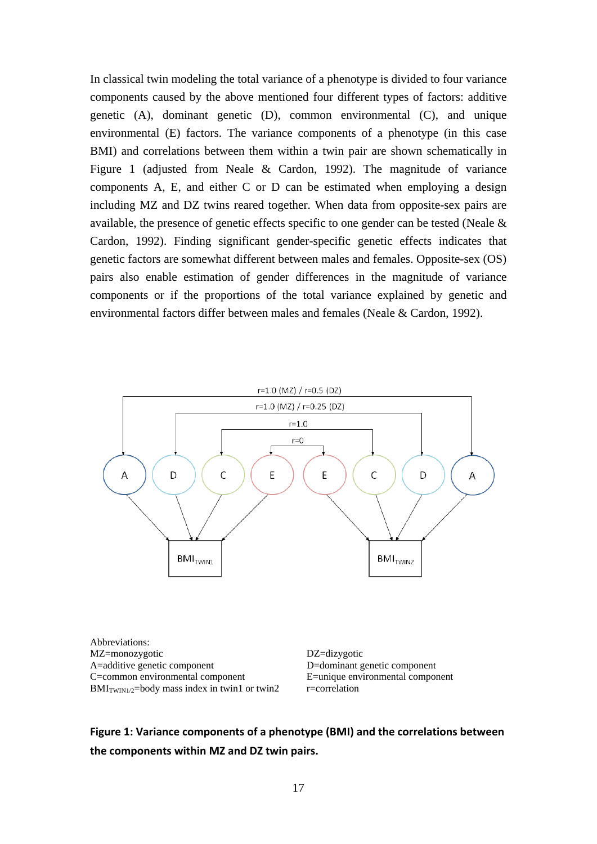In classical twin modeling the total variance of a phenotype is divided to four variance components caused by the above mentioned four different types of factors: additive genetic (A), dominant genetic (D), common environmental (C), and unique environmental (E) factors. The variance components of a phenotype (in this case BMI) and correlations between them within a twin pair are shown schematically in Figure 1 (adjusted from Neale & Cardon, 1992). The magnitude of variance components A, E, and either C or D can be estimated when employing a design including MZ and DZ twins reared together. When data from opposite-sex pairs are available, the presence of genetic effects specific to one gender can be tested (Neale & Cardon, 1992). Finding significant gender-specific genetic effects indicates that genetic factors are somewhat different between males and females. Opposite-sex (OS) pairs also enable estimation of gender differences in the magnitude of variance components or if the proportions of the total variance explained by genetic and environmental factors differ between males and females (Neale & Cardon, 1992).



Abbreviations: MZ=monozygotic DZ=dizygotic A=additive genetic component D=dominant genetic component C=common environmental component E=unique environmental component  $BMI_{TWIN1/2}$ =body mass index in twin1 or twin2 r=correlation

**Figure 1: Variance components of a phenotype (BMI) and the correlations between the components within MZ and DZ twin pairs.**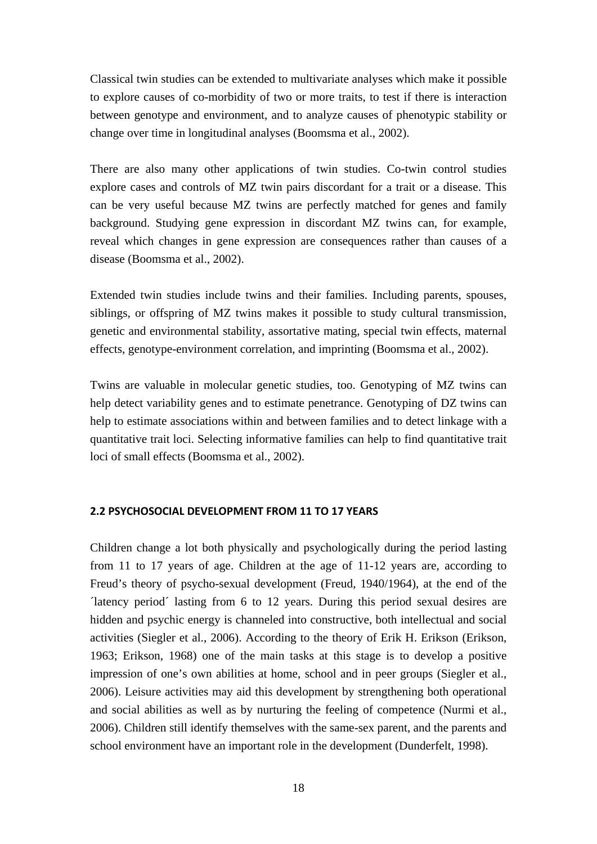Classical twin studies can be extended to multivariate analyses which make it possible to explore causes of co-morbidity of two or more traits, to test if there is interaction between genotype and environment, and to analyze causes of phenotypic stability or change over time in longitudinal analyses (Boomsma et al., 2002).

There are also many other applications of twin studies. Co-twin control studies explore cases and controls of MZ twin pairs discordant for a trait or a disease. This can be very useful because MZ twins are perfectly matched for genes and family background. Studying gene expression in discordant MZ twins can, for example, reveal which changes in gene expression are consequences rather than causes of a disease (Boomsma et al., 2002).

Extended twin studies include twins and their families. Including parents, spouses, siblings, or offspring of MZ twins makes it possible to study cultural transmission, genetic and environmental stability, assortative mating, special twin effects, maternal effects, genotype-environment correlation, and imprinting (Boomsma et al., 2002).

Twins are valuable in molecular genetic studies, too. Genotyping of MZ twins can help detect variability genes and to estimate penetrance. Genotyping of DZ twins can help to estimate associations within and between families and to detect linkage with a quantitative trait loci. Selecting informative families can help to find quantitative trait loci of small effects (Boomsma et al., 2002).

### **2.2 PSYCHOSOCIAL DEVELOPMENT FROM 11 TO 17 YEARS**

Children change a lot both physically and psychologically during the period lasting from 11 to 17 years of age. Children at the age of 11-12 years are, according to Freud's theory of psycho-sexual development (Freud, 1940/1964), at the end of the ´latency period´ lasting from 6 to 12 years. During this period sexual desires are hidden and psychic energy is channeled into constructive, both intellectual and social activities (Siegler et al., 2006). According to the theory of Erik H. Erikson (Erikson, 1963; Erikson, 1968) one of the main tasks at this stage is to develop a positive impression of one's own abilities at home, school and in peer groups (Siegler et al., 2006). Leisure activities may aid this development by strengthening both operational and social abilities as well as by nurturing the feeling of competence (Nurmi et al., 2006). Children still identify themselves with the same-sex parent, and the parents and school environment have an important role in the development (Dunderfelt, 1998).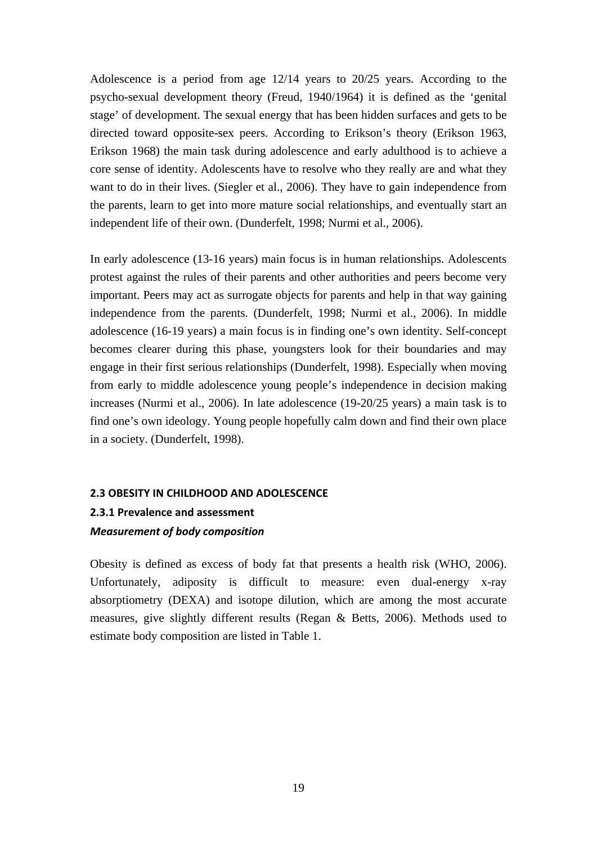Adolescence is a period from age 12/14 years to 20/25 years. According to the psycho-sexual development theory (Freud, 1940/1964) it is defined as the 'genital stage' of development. The sexual energy that has been hidden surfaces and gets to be directed toward opposite-sex peers. According to Erikson's theory (Erikson 1963, Erikson 1968) the main task during adolescence and early adulthood is to achieve a core sense of identity. Adolescents have to resolve who they really are and what they want to do in their lives. (Siegler et al., 2006). They have to gain independence from the parents, learn to get into more mature social relationships, and eventually start an independent life of their own. (Dunderfelt, 1998; Nurmi et al., 2006).

In early adolescence (13-16 years) main focus is in human relationships. Adolescents protest against the rules of their parents and other authorities and peers become very important. Peers may act as surrogate objects for parents and help in that way gaining independence from the parents. (Dunderfelt, 1998; Nurmi et al., 2006). In middle adolescence (16-19 years) a main focus is in finding one's own identity. Self-concept becomes clearer during this phase, youngsters look for their boundaries and may engage in their first serious relationships (Dunderfelt, 1998). Especially when moving from early to middle adolescence young people's independence in decision making increases (Nurmi et al., 2006). In late adolescence (19-20/25 years) a main task is to find one's own ideology. Young people hopefully calm down and find their own place in a society. (Dunderfelt, 1998).

#### **2.3 OBESITY IN CHILDHOOD AND ADOLESCENCE**

## **2.3.1 Prevalence and assessment**  *Measurement of body composition*

Obesity is defined as excess of body fat that presents a health risk (WHO, 2006). Unfortunately, adiposity is difficult to measure: even dual-energy x-ray absorptiometry (DEXA) and isotope dilution, which are among the most accurate measures, give slightly different results (Regan & Betts, 2006). Methods used to estimate body composition are listed in Table 1.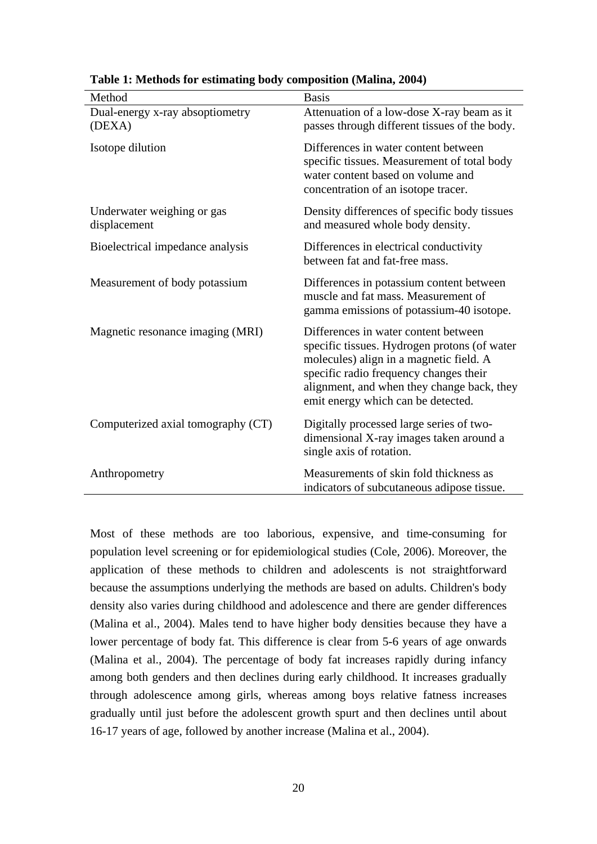| Method                                     | <b>Basis</b>                                                                                                                                                                                                                                                  |
|--------------------------------------------|---------------------------------------------------------------------------------------------------------------------------------------------------------------------------------------------------------------------------------------------------------------|
| Dual-energy x-ray absoptiometry<br>(DEXA)  | Attenuation of a low-dose X-ray beam as it<br>passes through different tissues of the body.                                                                                                                                                                   |
| Isotope dilution                           | Differences in water content between<br>specific tissues. Measurement of total body<br>water content based on volume and<br>concentration of an isotope tracer.                                                                                               |
| Underwater weighing or gas<br>displacement | Density differences of specific body tissues<br>and measured whole body density.                                                                                                                                                                              |
| Bioelectrical impedance analysis           | Differences in electrical conductivity<br>between fat and fat-free mass.                                                                                                                                                                                      |
| Measurement of body potassium              | Differences in potassium content between<br>muscle and fat mass. Measurement of<br>gamma emissions of potassium-40 isotope.                                                                                                                                   |
| Magnetic resonance imaging (MRI)           | Differences in water content between<br>specific tissues. Hydrogen protons (of water<br>molecules) align in a magnetic field. A<br>specific radio frequency changes their<br>alignment, and when they change back, they<br>emit energy which can be detected. |
| Computerized axial tomography (CT)         | Digitally processed large series of two-<br>dimensional X-ray images taken around a<br>single axis of rotation.                                                                                                                                               |
| Anthropometry                              | Measurements of skin fold thickness as<br>indicators of subcutaneous adipose tissue.                                                                                                                                                                          |

**Table 1: Methods for estimating body composition (Malina, 2004)**

Most of these methods are too laborious, expensive, and time-consuming for population level screening or for epidemiological studies (Cole, 2006). Moreover, the application of these methods to children and adolescents is not straightforward because the assumptions underlying the methods are based on adults. Children's body density also varies during childhood and adolescence and there are gender differences (Malina et al., 2004). Males tend to have higher body densities because they have a lower percentage of body fat. This difference is clear from 5-6 years of age onwards (Malina et al., 2004). The percentage of body fat increases rapidly during infancy among both genders and then declines during early childhood. It increases gradually through adolescence among girls, whereas among boys relative fatness increases gradually until just before the adolescent growth spurt and then declines until about 16-17 years of age, followed by another increase (Malina et al., 2004).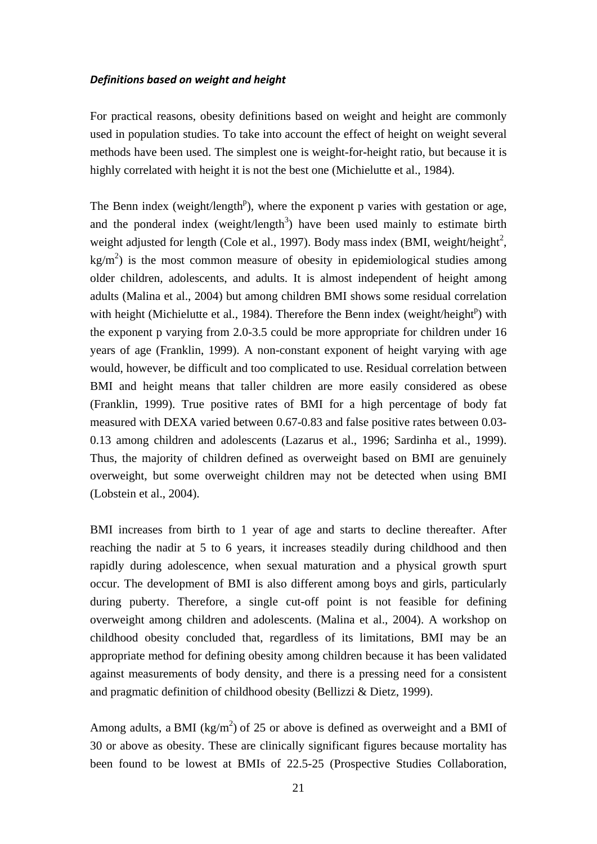#### *Definitions based on weight and height*

For practical reasons, obesity definitions based on weight and height are commonly used in population studies. To take into account the effect of height on weight several methods have been used. The simplest one is weight-for-height ratio, but because it is highly correlated with height it is not the best one (Michielutte et al., 1984).

The Benn index (weight/length<sup>p</sup>), where the exponent p varies with gestation or age, and the ponderal index (weight/length<sup>3</sup>) have been used mainly to estimate birth weight adjusted for length (Cole et al., 1997). Body mass index (BMI, weight/height<sup>2</sup>,  $\text{kg/m}^2$ ) is the most common measure of obesity in epidemiological studies among older children, adolescents, and adults. It is almost independent of height among adults (Malina et al., 2004) but among children BMI shows some residual correlation with height (Michielutte et al., 1984). Therefore the Benn index (weight/height<sup>p</sup>) with the exponent p varying from 2.0-3.5 could be more appropriate for children under 16 years of age (Franklin, 1999). A non-constant exponent of height varying with age would, however, be difficult and too complicated to use. Residual correlation between BMI and height means that taller children are more easily considered as obese (Franklin, 1999). True positive rates of BMI for a high percentage of body fat measured with DEXA varied between 0.67-0.83 and false positive rates between 0.03- 0.13 among children and adolescents (Lazarus et al., 1996; Sardinha et al., 1999). Thus, the majority of children defined as overweight based on BMI are genuinely overweight, but some overweight children may not be detected when using BMI (Lobstein et al., 2004).

BMI increases from birth to 1 year of age and starts to decline thereafter. After reaching the nadir at 5 to 6 years, it increases steadily during childhood and then rapidly during adolescence, when sexual maturation and a physical growth spurt occur. The development of BMI is also different among boys and girls, particularly during puberty. Therefore, a single cut-off point is not feasible for defining overweight among children and adolescents. (Malina et al., 2004). A workshop on childhood obesity concluded that, regardless of its limitations, BMI may be an appropriate method for defining obesity among children because it has been validated against measurements of body density, and there is a pressing need for a consistent and pragmatic definition of childhood obesity (Bellizzi & Dietz, 1999).

Among adults, a BMI ( $\text{kg/m}^2$ ) of 25 or above is defined as overweight and a BMI of 30 or above as obesity. These are clinically significant figures because mortality has been found to be lowest at BMIs of 22.5-25 (Prospective Studies Collaboration,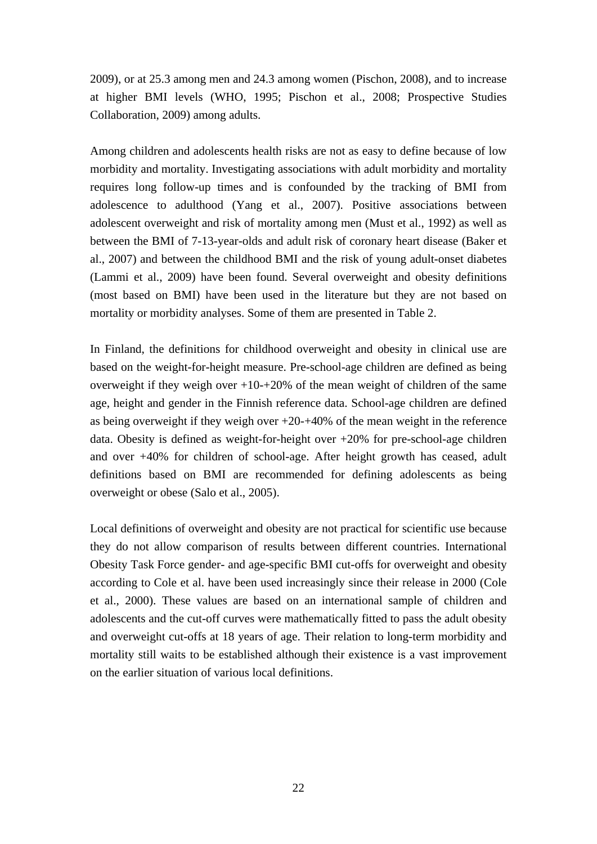2009), or at 25.3 among men and 24.3 among women (Pischon, 2008), and to increase at higher BMI levels (WHO, 1995; Pischon et al., 2008; Prospective Studies Collaboration, 2009) among adults.

Among children and adolescents health risks are not as easy to define because of low morbidity and mortality. Investigating associations with adult morbidity and mortality requires long follow-up times and is confounded by the tracking of BMI from adolescence to adulthood (Yang et al., 2007). Positive associations between adolescent overweight and risk of mortality among men (Must et al., 1992) as well as between the BMI of 7-13-year-olds and adult risk of coronary heart disease (Baker et al., 2007) and between the childhood BMI and the risk of young adult-onset diabetes (Lammi et al., 2009) have been found. Several overweight and obesity definitions (most based on BMI) have been used in the literature but they are not based on mortality or morbidity analyses. Some of them are presented in Table 2.

In Finland, the definitions for childhood overweight and obesity in clinical use are based on the weight-for-height measure. Pre-school-age children are defined as being overweight if they weigh over  $+10-+20\%$  of the mean weight of children of the same age, height and gender in the Finnish reference data. School-age children are defined as being overweight if they weigh over +20-+40% of the mean weight in the reference data. Obesity is defined as weight-for-height over +20% for pre-school-age children and over +40% for children of school-age. After height growth has ceased, adult definitions based on BMI are recommended for defining adolescents as being overweight or obese (Salo et al., 2005).

Local definitions of overweight and obesity are not practical for scientific use because they do not allow comparison of results between different countries. International Obesity Task Force gender- and age-specific BMI cut-offs for overweight and obesity according to Cole et al. have been used increasingly since their release in 2000 (Cole et al., 2000). These values are based on an international sample of children and adolescents and the cut-off curves were mathematically fitted to pass the adult obesity and overweight cut-offs at 18 years of age. Their relation to long-term morbidity and mortality still waits to be established although their existence is a vast improvement on the earlier situation of various local definitions.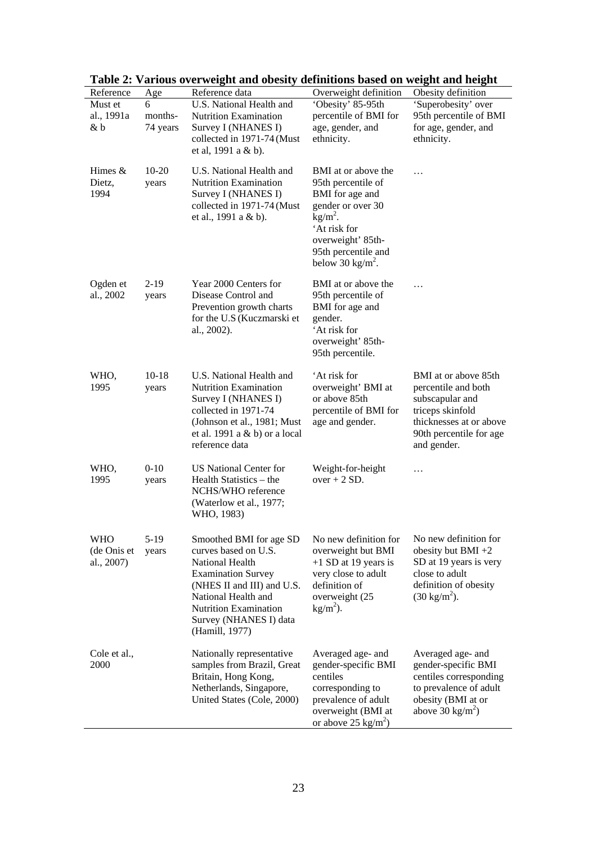| ravit 2.<br>Reference                   | Age                      | various over weight and obesity<br>Reference data                                                                                                                                                                                | achintons based on weight and height<br>Overweight definition                                                                                                                              | Obesity definition                                                                                                                                      |
|-----------------------------------------|--------------------------|----------------------------------------------------------------------------------------------------------------------------------------------------------------------------------------------------------------------------------|--------------------------------------------------------------------------------------------------------------------------------------------------------------------------------------------|---------------------------------------------------------------------------------------------------------------------------------------------------------|
| Must et<br>al., 1991a<br>& b            | 6<br>months-<br>74 years | U.S. National Health and<br>Nutrition Examination<br>Survey I (NHANES I)<br>collected in 1971-74 (Must<br>et al, 1991 a & b).                                                                                                    | 'Obesity' 85-95th<br>percentile of BMI for<br>age, gender, and<br>ethnicity.                                                                                                               | 'Superobesity' over<br>95th percentile of BMI<br>for age, gender, and<br>ethnicity.                                                                     |
| Himes &<br>Dietz,<br>1994               | $10 - 20$<br>years       | U.S. National Health and<br>Nutrition Examination<br>Survey I (NHANES I)<br>collected in 1971-74 (Must<br>et al., 1991 a & b).                                                                                                   | BMI at or above the<br>95th percentile of<br>BMI for age and<br>gender or over 30<br>$kg/m2$ .<br>'At risk for<br>overweight' 85th-<br>95th percentile and<br>below 30 kg/m <sup>2</sup> . | .                                                                                                                                                       |
| Ogden et<br>al., 2002                   | $2-19$<br>years          | Year 2000 Centers for<br>Disease Control and<br>Prevention growth charts<br>for the U.S (Kuczmarski et<br>al., 2002).                                                                                                            | BMI at or above the<br>95th percentile of<br>BMI for age and<br>gender.<br>'At risk for<br>overweight' 85th-<br>95th percentile.                                                           | .                                                                                                                                                       |
| WHO,<br>1995                            | $10-18$<br>years         | U.S. National Health and<br>Nutrition Examination<br>Survey I (NHANES I)<br>collected in 1971-74<br>(Johnson et al., 1981; Must<br>et al. 1991 a $& b$ or a local<br>reference data                                              | 'At risk for<br>overweight' BMI at<br>or above 85th<br>percentile of BMI for<br>age and gender.                                                                                            | BMI at or above 85th<br>percentile and both<br>subscapular and<br>triceps skinfold<br>thicknesses at or above<br>90th percentile for age<br>and gender. |
| WHO,<br>1995                            | $0 - 10$<br>years        | <b>US National Center for</b><br>Health Statistics – the<br>NCHS/WHO reference<br>(Waterlow et al., 1977;<br>WHO, 1983)                                                                                                          | Weight-for-height<br>$over + 2 SD.$                                                                                                                                                        | .                                                                                                                                                       |
| <b>WHO</b><br>(de Onis et<br>al., 2007) | $5-19$<br>years          | Smoothed BMI for age SD<br>curves based on U.S.<br>National Health<br><b>Examination Survey</b><br>(NHES II and III) and U.S.<br>National Health and<br><b>Nutrition Examination</b><br>Survey (NHANES I) data<br>(Hamill, 1977) | No new definition for<br>overweight but BMI<br>$+1$ SD at 19 years is<br>very close to adult<br>definition of<br>overweight (25<br>$kg/m2$ ).                                              | No new definition for<br>obesity but $BMI +2$<br>SD at 19 years is very<br>close to adult<br>definition of obesity<br>$(30 \text{ kg/m}^2)$ .           |
| Cole et al.,<br>2000                    |                          | Nationally representative<br>samples from Brazil, Great<br>Britain, Hong Kong,<br>Netherlands, Singapore,<br>United States (Cole, 2000)                                                                                          | Averaged age- and<br>gender-specific BMI<br>centiles<br>corresponding to<br>prevalence of adult<br>overweight (BMI at<br>or above 25 kg/m <sup>2</sup> )                                   | Averaged age- and<br>gender-specific BMI<br>centiles corresponding<br>to prevalence of adult<br>obesity (BMI at or<br>above 30 kg/m <sup>2</sup> )      |

|  | Table 2: Various overweight and obesity definitions based on weight and height |  |  |  |
|--|--------------------------------------------------------------------------------|--|--|--|
|  |                                                                                |  |  |  |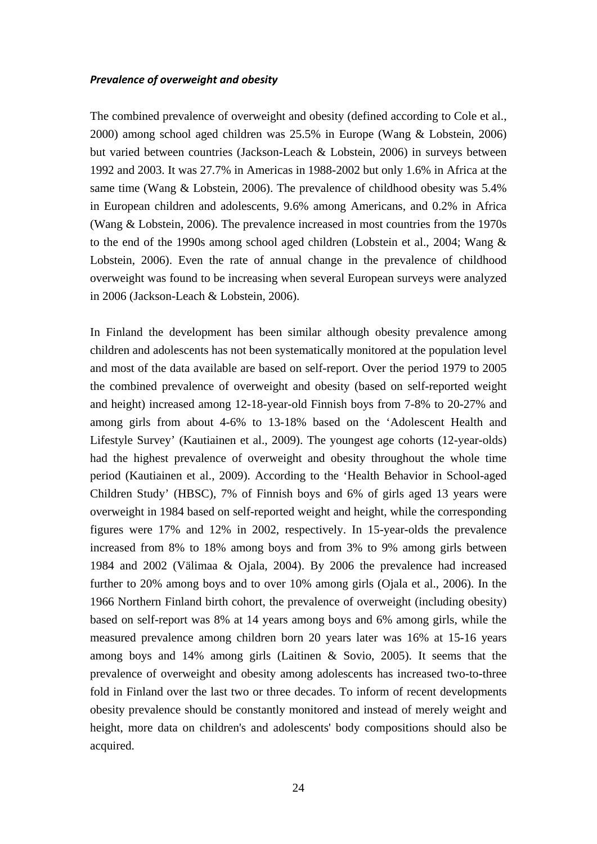#### *Prevalence of overweight and obesity*

The combined prevalence of overweight and obesity (defined according to Cole et al., 2000) among school aged children was 25.5% in Europe (Wang & Lobstein, 2006) but varied between countries (Jackson-Leach & Lobstein, 2006) in surveys between 1992 and 2003. It was 27.7% in Americas in 1988-2002 but only 1.6% in Africa at the same time (Wang & Lobstein, 2006). The prevalence of childhood obesity was 5.4% in European children and adolescents, 9.6% among Americans, and 0.2% in Africa (Wang & Lobstein, 2006). The prevalence increased in most countries from the 1970s to the end of the 1990s among school aged children (Lobstein et al., 2004; Wang & Lobstein, 2006). Even the rate of annual change in the prevalence of childhood overweight was found to be increasing when several European surveys were analyzed in 2006 (Jackson-Leach & Lobstein, 2006).

In Finland the development has been similar although obesity prevalence among children and adolescents has not been systematically monitored at the population level and most of the data available are based on self-report. Over the period 1979 to 2005 the combined prevalence of overweight and obesity (based on self-reported weight and height) increased among 12-18-year-old Finnish boys from 7-8% to 20-27% and among girls from about 4-6% to 13-18% based on the 'Adolescent Health and Lifestyle Survey' (Kautiainen et al., 2009). The youngest age cohorts (12-year-olds) had the highest prevalence of overweight and obesity throughout the whole time period (Kautiainen et al., 2009). According to the 'Health Behavior in School-aged Children Study' (HBSC), 7% of Finnish boys and 6% of girls aged 13 years were overweight in 1984 based on self-reported weight and height, while the corresponding figures were 17% and 12% in 2002, respectively. In 15-year-olds the prevalence increased from 8% to 18% among boys and from 3% to 9% among girls between 1984 and 2002 (Välimaa & Ojala, 2004). By 2006 the prevalence had increased further to 20% among boys and to over 10% among girls (Ojala et al., 2006). In the 1966 Northern Finland birth cohort, the prevalence of overweight (including obesity) based on self-report was 8% at 14 years among boys and 6% among girls, while the measured prevalence among children born 20 years later was 16% at 15-16 years among boys and 14% among girls (Laitinen & Sovio, 2005). It seems that the prevalence of overweight and obesity among adolescents has increased two-to-three fold in Finland over the last two or three decades. To inform of recent developments obesity prevalence should be constantly monitored and instead of merely weight and height, more data on children's and adolescents' body compositions should also be acquired.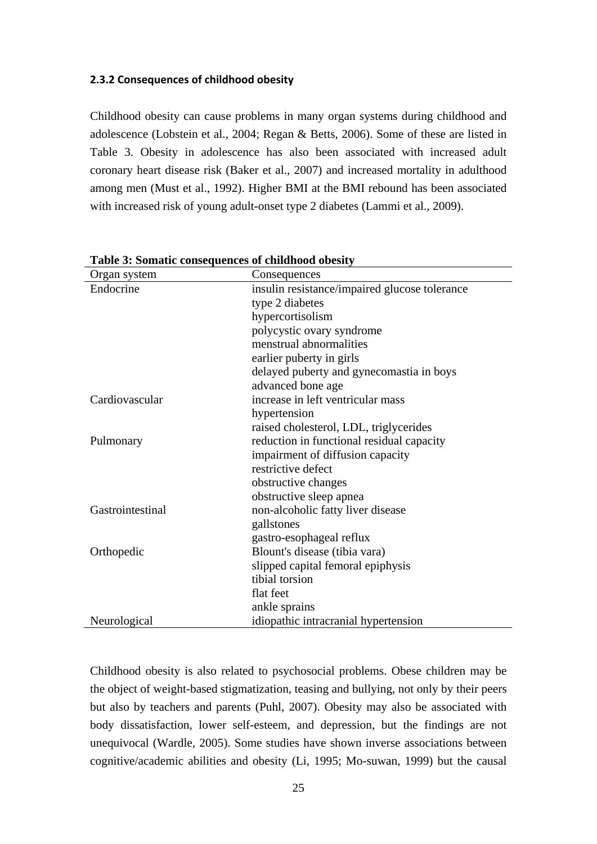#### **2.3.2 Consequences of childhood obesity**

Childhood obesity can cause problems in many organ systems during childhood and adolescence (Lobstein et al., 2004; Regan & Betts, 2006). Some of these are listed in Table 3. Obesity in adolescence has also been associated with increased adult coronary heart disease risk (Baker et al., 2007) and increased mortality in adulthood among men (Must et al., 1992). Higher BMI at the BMI rebound has been associated with increased risk of young adult-onset type 2 diabetes (Lammi et al., 2009).

| Organ system     | Consequences                                  |  |  |  |
|------------------|-----------------------------------------------|--|--|--|
| Endocrine        | insulin resistance/impaired glucose tolerance |  |  |  |
|                  | type 2 diabetes                               |  |  |  |
|                  | hypercortisolism                              |  |  |  |
|                  | polycystic ovary syndrome                     |  |  |  |
|                  | menstrual abnormalities                       |  |  |  |
|                  | earlier puberty in girls                      |  |  |  |
|                  | delayed puberty and gynecomastia in boys      |  |  |  |
|                  | advanced bone age                             |  |  |  |
| Cardiovascular   | increase in left ventricular mass             |  |  |  |
|                  | hypertension                                  |  |  |  |
|                  | raised cholesterol, LDL, triglycerides        |  |  |  |
| Pulmonary        | reduction in functional residual capacity     |  |  |  |
|                  | impairment of diffusion capacity              |  |  |  |
|                  | restrictive defect                            |  |  |  |
|                  | obstructive changes                           |  |  |  |
|                  | obstructive sleep apnea                       |  |  |  |
| Gastrointestinal | non-alcoholic fatty liver disease             |  |  |  |
|                  | gallstones                                    |  |  |  |
|                  | gastro-esophageal reflux                      |  |  |  |
| Orthopedic       | Blount's disease (tibia vara)                 |  |  |  |
|                  | slipped capital femoral epiphysis             |  |  |  |
|                  | tibial torsion                                |  |  |  |
|                  | flat feet                                     |  |  |  |
|                  | ankle sprains                                 |  |  |  |
| Neurological     | idiopathic intracranial hypertension          |  |  |  |

**Table 3: Somatic consequences of childhood obesity** 

Childhood obesity is also related to psychosocial problems. Obese children may be the object of weight-based stigmatization, teasing and bullying, not only by their peers but also by teachers and parents (Puhl, 2007). Obesity may also be associated with body dissatisfaction, lower self-esteem, and depression, but the findings are not unequivocal (Wardle, 2005). Some studies have shown inverse associations between cognitive/academic abilities and obesity (Li, 1995; Mo-suwan, 1999) but the causal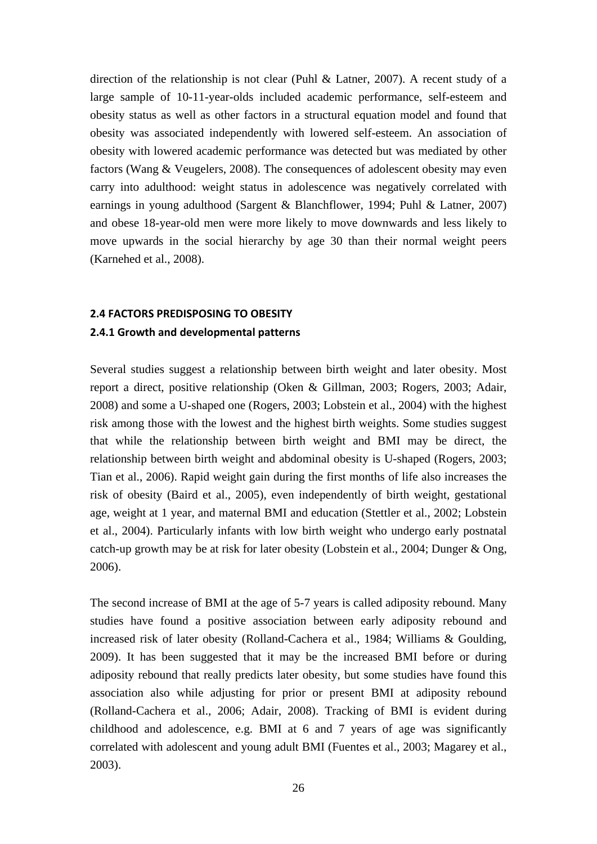direction of the relationship is not clear (Puhl & Latner, 2007). A recent study of a large sample of 10-11-year-olds included academic performance, self-esteem and obesity status as well as other factors in a structural equation model and found that obesity was associated independently with lowered self-esteem. An association of obesity with lowered academic performance was detected but was mediated by other factors (Wang & Veugelers, 2008). The consequences of adolescent obesity may even carry into adulthood: weight status in adolescence was negatively correlated with earnings in young adulthood (Sargent & Blanchflower, 1994; Puhl & Latner, 2007) and obese 18-year-old men were more likely to move downwards and less likely to move upwards in the social hierarchy by age 30 than their normal weight peers (Karnehed et al., 2008).

#### **2.4 FACTORS PREDISPOSING TO OBESITY**

#### **2.4.1 Growth and developmental patterns**

Several studies suggest a relationship between birth weight and later obesity. Most report a direct, positive relationship (Oken & Gillman, 2003; Rogers, 2003; Adair, 2008) and some a U-shaped one (Rogers, 2003; Lobstein et al., 2004) with the highest risk among those with the lowest and the highest birth weights. Some studies suggest that while the relationship between birth weight and BMI may be direct, the relationship between birth weight and abdominal obesity is U-shaped (Rogers, 2003; Tian et al., 2006). Rapid weight gain during the first months of life also increases the risk of obesity (Baird et al., 2005), even independently of birth weight, gestational age, weight at 1 year, and maternal BMI and education (Stettler et al., 2002; Lobstein et al., 2004). Particularly infants with low birth weight who undergo early postnatal catch-up growth may be at risk for later obesity (Lobstein et al., 2004; Dunger & Ong, 2006).

The second increase of BMI at the age of 5-7 years is called adiposity rebound. Many studies have found a positive association between early adiposity rebound and increased risk of later obesity (Rolland-Cachera et al., 1984; Williams & Goulding, 2009). It has been suggested that it may be the increased BMI before or during adiposity rebound that really predicts later obesity, but some studies have found this association also while adjusting for prior or present BMI at adiposity rebound (Rolland-Cachera et al., 2006; Adair, 2008). Tracking of BMI is evident during childhood and adolescence, e.g. BMI at 6 and 7 years of age was significantly correlated with adolescent and young adult BMI (Fuentes et al., 2003; Magarey et al., 2003).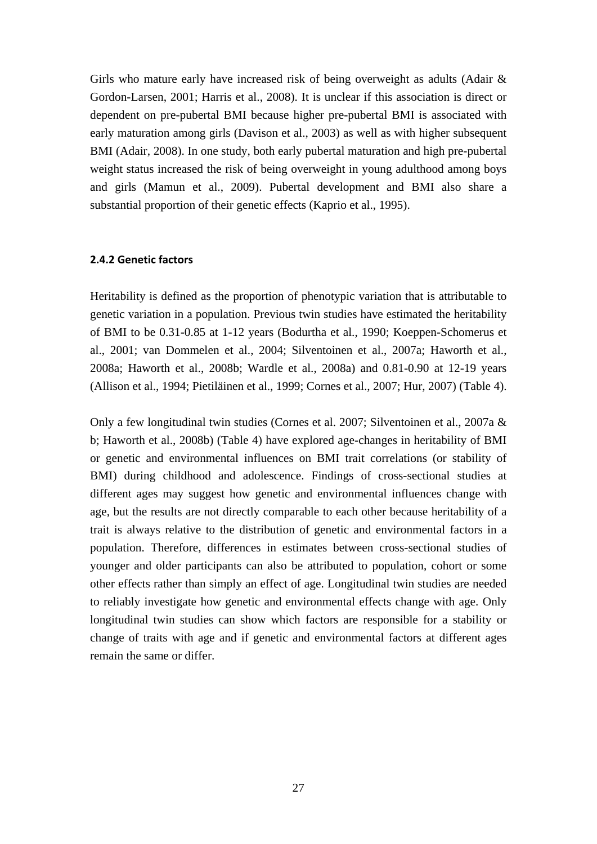Girls who mature early have increased risk of being overweight as adults (Adair & Gordon-Larsen, 2001; Harris et al., 2008). It is unclear if this association is direct or dependent on pre-pubertal BMI because higher pre-pubertal BMI is associated with early maturation among girls (Davison et al., 2003) as well as with higher subsequent BMI (Adair, 2008). In one study, both early pubertal maturation and high pre-pubertal weight status increased the risk of being overweight in young adulthood among boys and girls (Mamun et al., 2009). Pubertal development and BMI also share a substantial proportion of their genetic effects (Kaprio et al., 1995).

#### **2.4.2 Genetic factors**

Heritability is defined as the proportion of phenotypic variation that is attributable to genetic variation in a population. Previous twin studies have estimated the heritability of BMI to be 0.31-0.85 at 1-12 years (Bodurtha et al., 1990; Koeppen-Schomerus et al., 2001; van Dommelen et al., 2004; Silventoinen et al., 2007a; Haworth et al., 2008a; Haworth et al., 2008b; Wardle et al., 2008a) and 0.81-0.90 at 12-19 years (Allison et al., 1994; Pietiläinen et al., 1999; Cornes et al., 2007; Hur, 2007) (Table 4).

Only a few longitudinal twin studies (Cornes et al. 2007; Silventoinen et al., 2007a & b; Haworth et al., 2008b) (Table 4) have explored age-changes in heritability of BMI or genetic and environmental influences on BMI trait correlations (or stability of BMI) during childhood and adolescence. Findings of cross-sectional studies at different ages may suggest how genetic and environmental influences change with age, but the results are not directly comparable to each other because heritability of a trait is always relative to the distribution of genetic and environmental factors in a population. Therefore, differences in estimates between cross-sectional studies of younger and older participants can also be attributed to population, cohort or some other effects rather than simply an effect of age. Longitudinal twin studies are needed to reliably investigate how genetic and environmental effects change with age. Only longitudinal twin studies can show which factors are responsible for a stability or change of traits with age and if genetic and environmental factors at different ages remain the same or differ.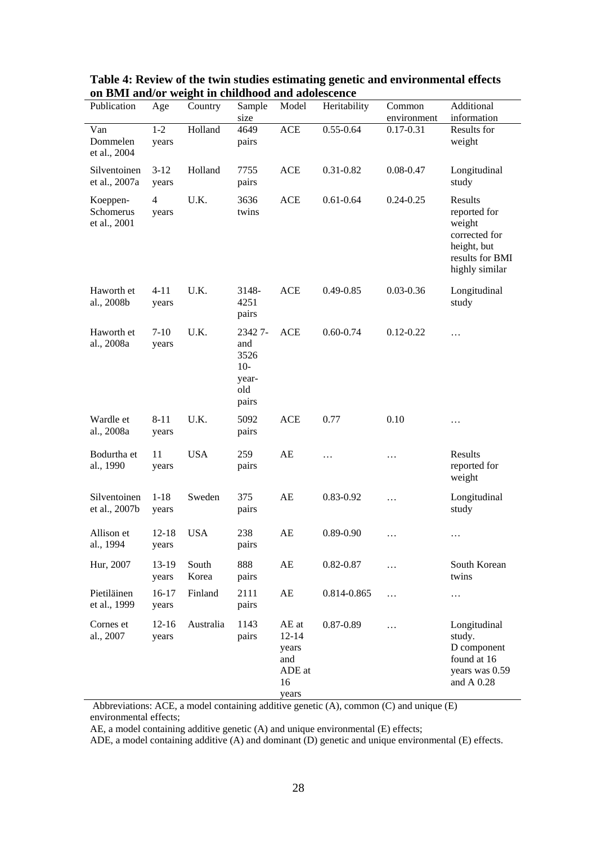| Publication                           | Age                     | Country        | Sample                                                  | Model                                                       | Heritability  | Common                       | Additional                                                                                             |
|---------------------------------------|-------------------------|----------------|---------------------------------------------------------|-------------------------------------------------------------|---------------|------------------------------|--------------------------------------------------------------------------------------------------------|
| Van<br>Dommelen<br>et al., 2004       | $1 - 2$<br>years        | Holland        | size<br>4649<br>pairs                                   | <b>ACE</b>                                                  | $0.55 - 0.64$ | environment<br>$0.17 - 0.31$ | information<br>Results for<br>weight                                                                   |
| Silventoinen<br>et al., 2007a         | $3-12$<br>years         | Holland        | 7755<br>pairs                                           | <b>ACE</b>                                                  | 0.31-0.82     | $0.08 - 0.47$                | Longitudinal<br>study                                                                                  |
| Koeppen-<br>Schomerus<br>et al., 2001 | $\overline{4}$<br>years | U.K.           | 3636<br>twins                                           | <b>ACE</b>                                                  | $0.61 - 0.64$ | $0.24 - 0.25$                | Results<br>reported for<br>weight<br>corrected for<br>height, but<br>results for BMI<br>highly similar |
| Haworth et<br>al., 2008b              | $4 - 11$<br>years       | U.K.           | 3148-<br>4251<br>pairs                                  | <b>ACE</b>                                                  | $0.49 - 0.85$ | $0.03 - 0.36$                | Longitudinal<br>study                                                                                  |
| Haworth et<br>al., 2008a              | $7-10$<br>years         | U.K.           | 23427-<br>and<br>3526<br>$10-$<br>year-<br>old<br>pairs | <b>ACE</b>                                                  | $0.60 - 0.74$ | $0.12 - 0.22$                | $\cdots$                                                                                               |
| Wardle et<br>al., 2008a               | $8 - 11$<br>years       | U.K.           | 5092<br>pairs                                           | <b>ACE</b>                                                  | 0.77          | 0.10                         | .                                                                                                      |
| Bodurtha et<br>al., 1990              | 11<br>years             | <b>USA</b>     | 259<br>pairs                                            | AE                                                          | .             | .                            | Results<br>reported for<br>weight                                                                      |
| Silventoinen<br>et al., 2007b         | $1 - 18$<br>years       | Sweden         | 375<br>pairs                                            | AE                                                          | 0.83-0.92     | $\cdots$                     | Longitudinal<br>study                                                                                  |
| Allison et<br>al., 1994               | $12 - 18$<br>years      | <b>USA</b>     | 238<br>pairs                                            | AE                                                          | $0.89 - 0.90$ | .                            | .                                                                                                      |
| Hur, 2007                             | $13-19$<br>years        | South<br>Korea | 888<br>pairs                                            | AE                                                          | $0.82 - 0.87$ | .                            | South Korean<br>twins                                                                                  |
| Pietiläinen<br>et al., 1999           | 16-17<br>years          | Finland        | 2111<br>pairs                                           | AE                                                          | 0.814-0.865   | $\cdots$                     | .                                                                                                      |
| Cornes et<br>al., 2007                | $12-16$<br>years        | Australia      | 1143<br>pairs                                           | AE at<br>$12 - 14$<br>years<br>and<br>ADE at<br>16<br>years | 0.87-0.89     | $\cdots$                     | Longitudinal<br>study.<br>D component<br>found at 16<br>years was 0.59<br>and A 0.28                   |

#### **Table 4: Review of the twin studies estimating genetic and environmental effects on BMI and/or weight in childhood and adolescence**

Abbreviations: ACE, a model containing additive genetic (A), common (C) and unique (E) environmental effects;

AE, a model containing additive genetic (A) and unique environmental (E) effects;

ADE, a model containing additive (A) and dominant (D) genetic and unique environmental (E) effects.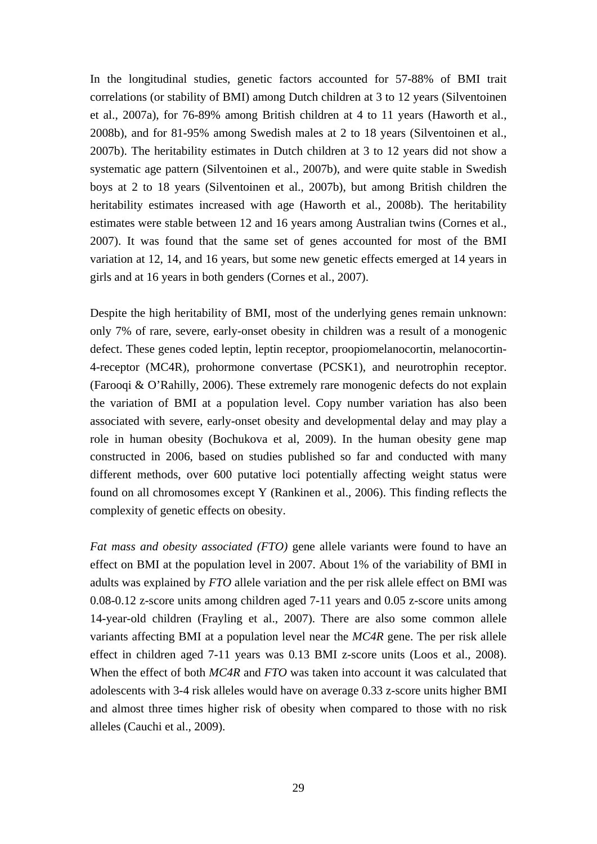In the longitudinal studies, genetic factors accounted for 57-88% of BMI trait correlations (or stability of BMI) among Dutch children at 3 to 12 years (Silventoinen et al., 2007a), for 76-89% among British children at 4 to 11 years (Haworth et al., 2008b), and for 81-95% among Swedish males at 2 to 18 years (Silventoinen et al., 2007b). The heritability estimates in Dutch children at 3 to 12 years did not show a systematic age pattern (Silventoinen et al., 2007b), and were quite stable in Swedish boys at 2 to 18 years (Silventoinen et al., 2007b), but among British children the heritability estimates increased with age (Haworth et al., 2008b). The heritability estimates were stable between 12 and 16 years among Australian twins (Cornes et al., 2007). It was found that the same set of genes accounted for most of the BMI variation at 12, 14, and 16 years, but some new genetic effects emerged at 14 years in girls and at 16 years in both genders (Cornes et al., 2007).

Despite the high heritability of BMI, most of the underlying genes remain unknown: only 7% of rare, severe, early-onset obesity in children was a result of a monogenic defect. These genes coded leptin, leptin receptor, proopiomelanocortin, melanocortin-4-receptor (MC4R), prohormone convertase (PCSK1), and neurotrophin receptor. (Farooqi & O'Rahilly, 2006). These extremely rare monogenic defects do not explain the variation of BMI at a population level. Copy number variation has also been associated with severe, early-onset obesity and developmental delay and may play a role in human obesity (Bochukova et al, 2009). In the human obesity gene map constructed in 2006, based on studies published so far and conducted with many different methods, over 600 putative loci potentially affecting weight status were found on all chromosomes except Y (Rankinen et al., 2006). This finding reflects the complexity of genetic effects on obesity.

*Fat mass and obesity associated (FTO)* gene allele variants were found to have an effect on BMI at the population level in 2007. About 1% of the variability of BMI in adults was explained by *FTO* allele variation and the per risk allele effect on BMI was 0.08-0.12 z-score units among children aged 7-11 years and 0.05 z-score units among 14-year-old children (Frayling et al., 2007). There are also some common allele variants affecting BMI at a population level near the *MC4R* gene. The per risk allele effect in children aged 7-11 years was 0.13 BMI z-score units (Loos et al., 2008). When the effect of both *MC4R* and *FTO* was taken into account it was calculated that adolescents with 3-4 risk alleles would have on average 0.33 z-score units higher BMI and almost three times higher risk of obesity when compared to those with no risk alleles (Cauchi et al., 2009).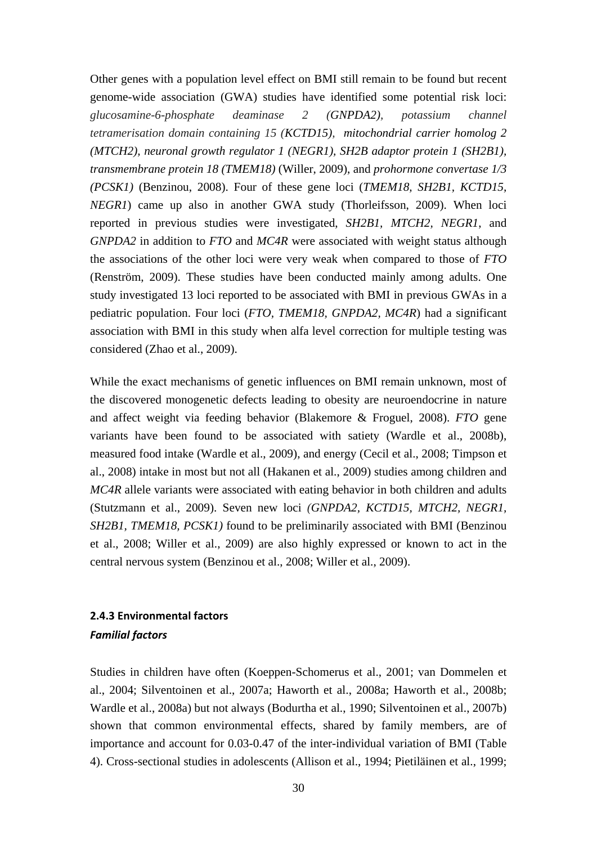Other genes with a population level effect on BMI still remain to be found but recent genome-wide association (GWA) studies have identified some potential risk loci: *glucosamine-6-phosphate deaminase 2 (GNPDA2), potassium channel tetramerisation domain containing 15 (KCTD15), mitochondrial carrier homolog 2 (MTCH2), neuronal growth regulator 1 (NEGR1), SH2B adaptor protein 1 (SH2B1), transmembrane protein 18 (TMEM18)* (Willer, 2009), and *prohormone convertase 1/3 (PCSK1)* (Benzinou, 2008). Four of these gene loci (*TMEM18, SH2B1, KCTD15, NEGR1*) came up also in another GWA study (Thorleifsson, 2009). When loci reported in previous studies were investigated, *SH2B1, MTCH2, NEGR1*, and *GNPDA2* in addition to *FTO* and *MC4R* were associated with weight status although the associations of the other loci were very weak when compared to those of *FTO*  (Renström, 2009). These studies have been conducted mainly among adults. One study investigated 13 loci reported to be associated with BMI in previous GWAs in a pediatric population. Four loci (*FTO, TMEM18, GNPDA2, MC4R*) had a significant association with BMI in this study when alfa level correction for multiple testing was considered (Zhao et al., 2009).

While the exact mechanisms of genetic influences on BMI remain unknown, most of the discovered monogenetic defects leading to obesity are neuroendocrine in nature and affect weight via feeding behavior (Blakemore & Froguel, 2008). *FTO* gene variants have been found to be associated with satiety (Wardle et al., 2008b), measured food intake (Wardle et al., 2009), and energy (Cecil et al., 2008; Timpson et al., 2008) intake in most but not all (Hakanen et al., 2009) studies among children and *MC4R* allele variants were associated with eating behavior in both children and adults (Stutzmann et al., 2009). Seven new loci *(GNPDA2, KCTD15, MTCH2, NEGR1, SH2B1, TMEM18, PCSK1)* found to be preliminarily associated with BMI (Benzinou et al., 2008; Willer et al., 2009) are also highly expressed or known to act in the central nervous system (Benzinou et al., 2008; Willer et al., 2009).

## **2.4.3 Environmental factors**  *Familial factors*

Studies in children have often (Koeppen-Schomerus et al., 2001; van Dommelen et al., 2004; Silventoinen et al., 2007a; Haworth et al., 2008a; Haworth et al., 2008b; Wardle et al., 2008a) but not always (Bodurtha et al., 1990; Silventoinen et al., 2007b) shown that common environmental effects, shared by family members, are of importance and account for 0.03-0.47 of the inter-individual variation of BMI (Table 4). Cross-sectional studies in adolescents (Allison et al., 1994; Pietiläinen et al., 1999;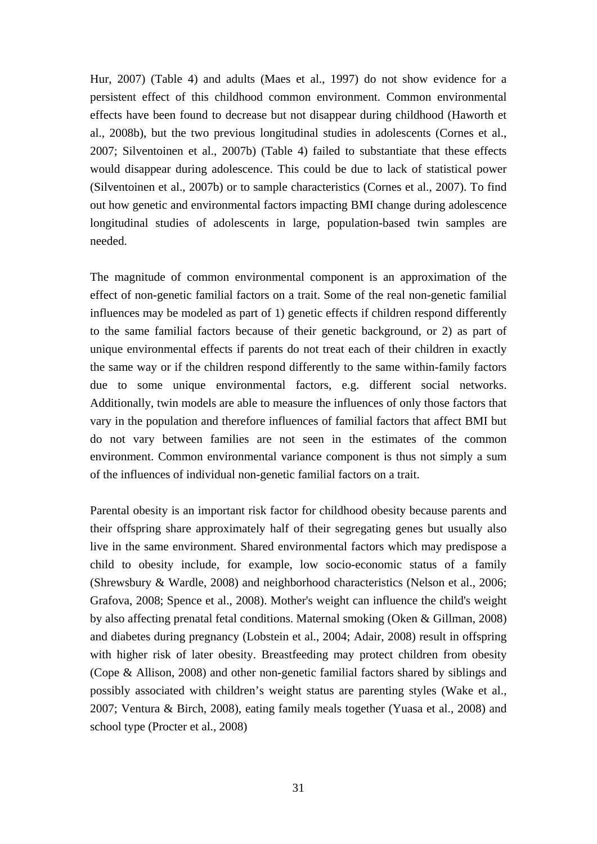Hur, 2007) (Table 4) and adults (Maes et al., 1997) do not show evidence for a persistent effect of this childhood common environment. Common environmental effects have been found to decrease but not disappear during childhood (Haworth et al., 2008b), but the two previous longitudinal studies in adolescents (Cornes et al., 2007; Silventoinen et al., 2007b) (Table 4) failed to substantiate that these effects would disappear during adolescence. This could be due to lack of statistical power (Silventoinen et al., 2007b) or to sample characteristics (Cornes et al., 2007). To find out how genetic and environmental factors impacting BMI change during adolescence longitudinal studies of adolescents in large, population-based twin samples are needed.

The magnitude of common environmental component is an approximation of the effect of non-genetic familial factors on a trait. Some of the real non-genetic familial influences may be modeled as part of 1) genetic effects if children respond differently to the same familial factors because of their genetic background, or 2) as part of unique environmental effects if parents do not treat each of their children in exactly the same way or if the children respond differently to the same within-family factors due to some unique environmental factors, e.g. different social networks. Additionally, twin models are able to measure the influences of only those factors that vary in the population and therefore influences of familial factors that affect BMI but do not vary between families are not seen in the estimates of the common environment. Common environmental variance component is thus not simply a sum of the influences of individual non-genetic familial factors on a trait.

Parental obesity is an important risk factor for childhood obesity because parents and their offspring share approximately half of their segregating genes but usually also live in the same environment. Shared environmental factors which may predispose a child to obesity include, for example, low socio-economic status of a family (Shrewsbury & Wardle, 2008) and neighborhood characteristics (Nelson et al., 2006; Grafova, 2008; Spence et al., 2008). Mother's weight can influence the child's weight by also affecting prenatal fetal conditions. Maternal smoking (Oken & Gillman, 2008) and diabetes during pregnancy (Lobstein et al., 2004; Adair, 2008) result in offspring with higher risk of later obesity. Breastfeeding may protect children from obesity (Cope & Allison, 2008) and other non-genetic familial factors shared by siblings and possibly associated with children's weight status are parenting styles (Wake et al., 2007; Ventura & Birch, 2008), eating family meals together (Yuasa et al., 2008) and school type (Procter et al., 2008)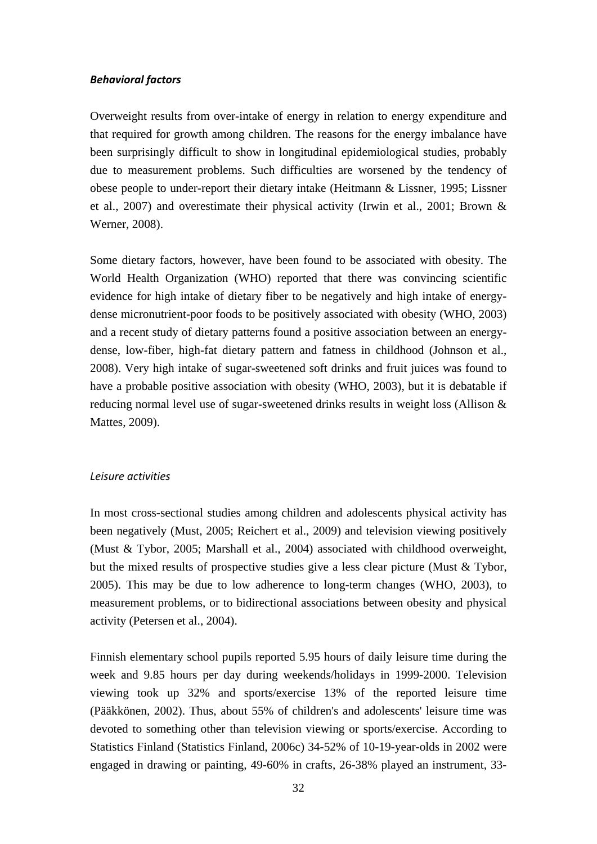#### *Behavioral factors*

Overweight results from over-intake of energy in relation to energy expenditure and that required for growth among children. The reasons for the energy imbalance have been surprisingly difficult to show in longitudinal epidemiological studies, probably due to measurement problems. Such difficulties are worsened by the tendency of obese people to under-report their dietary intake (Heitmann & Lissner, 1995; Lissner et al., 2007) and overestimate their physical activity (Irwin et al., 2001; Brown & Werner, 2008).

Some dietary factors, however, have been found to be associated with obesity. The World Health Organization (WHO) reported that there was convincing scientific evidence for high intake of dietary fiber to be negatively and high intake of energydense micronutrient-poor foods to be positively associated with obesity (WHO, 2003) and a recent study of dietary patterns found a positive association between an energydense, low-fiber, high-fat dietary pattern and fatness in childhood (Johnson et al., 2008). Very high intake of sugar-sweetened soft drinks and fruit juices was found to have a probable positive association with obesity (WHO, 2003), but it is debatable if reducing normal level use of sugar-sweetened drinks results in weight loss (Allison & Mattes, 2009).

#### *Leisure activities*

In most cross-sectional studies among children and adolescents physical activity has been negatively (Must, 2005; Reichert et al., 2009) and television viewing positively (Must & Tybor, 2005; Marshall et al., 2004) associated with childhood overweight, but the mixed results of prospective studies give a less clear picture (Must & Tybor, 2005). This may be due to low adherence to long-term changes (WHO, 2003), to measurement problems, or to bidirectional associations between obesity and physical activity (Petersen et al., 2004).

Finnish elementary school pupils reported 5.95 hours of daily leisure time during the week and 9.85 hours per day during weekends/holidays in 1999-2000. Television viewing took up 32% and sports/exercise 13% of the reported leisure time (Pääkkönen, 2002). Thus, about 55% of children's and adolescents' leisure time was devoted to something other than television viewing or sports/exercise. According to Statistics Finland (Statistics Finland, 2006c) 34-52% of 10-19-year-olds in 2002 were engaged in drawing or painting, 49-60% in crafts, 26-38% played an instrument, 33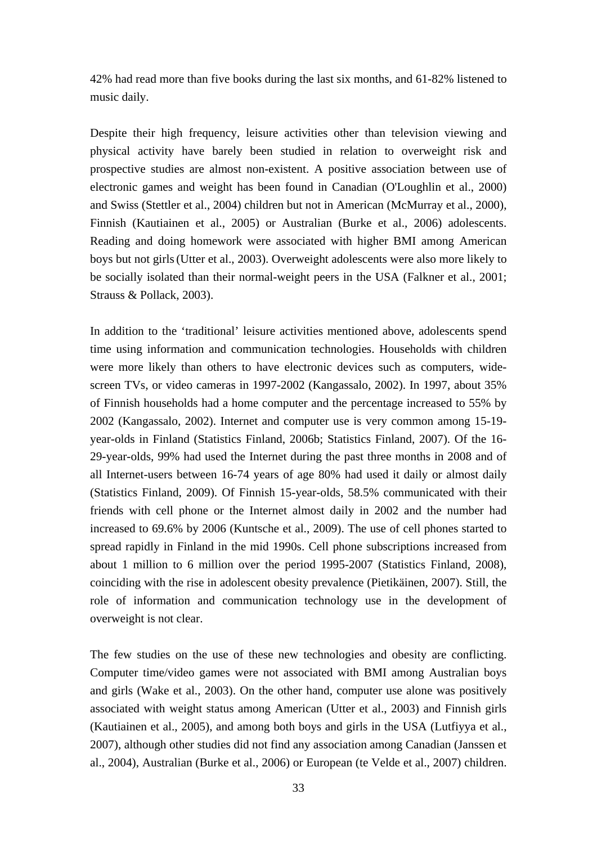42% had read more than five books during the last six months, and 61-82% listened to music daily.

Despite their high frequency, leisure activities other than television viewing and physical activity have barely been studied in relation to overweight risk and prospective studies are almost non-existent. A positive association between use of electronic games and weight has been found in Canadian (O'Loughlin et al., 2000) and Swiss (Stettler et al., 2004) children but not in American (McMurray et al., 2000), Finnish (Kautiainen et al., 2005) or Australian (Burke et al., 2006) adolescents. Reading and doing homework were associated with higher BMI among American boys but not girls(Utter et al., 2003). Overweight adolescents were also more likely to be socially isolated than their normal-weight peers in the USA (Falkner et al., 2001; Strauss & Pollack, 2003).

In addition to the 'traditional' leisure activities mentioned above, adolescents spend time using information and communication technologies. Households with children were more likely than others to have electronic devices such as computers, widescreen TVs, or video cameras in 1997-2002 (Kangassalo, 2002). In 1997, about 35% of Finnish households had a home computer and the percentage increased to 55% by 2002 (Kangassalo, 2002). Internet and computer use is very common among 15-19 year-olds in Finland (Statistics Finland, 2006b; Statistics Finland, 2007). Of the 16- 29-year-olds, 99% had used the Internet during the past three months in 2008 and of all Internet-users between 16-74 years of age 80% had used it daily or almost daily (Statistics Finland, 2009). Of Finnish 15-year-olds, 58.5% communicated with their friends with cell phone or the Internet almost daily in 2002 and the number had increased to 69.6% by 2006 (Kuntsche et al., 2009). The use of cell phones started to spread rapidly in Finland in the mid 1990s. Cell phone subscriptions increased from about 1 million to 6 million over the period 1995-2007 (Statistics Finland, 2008), coinciding with the rise in adolescent obesity prevalence (Pietikäinen, 2007). Still, the role of information and communication technology use in the development of overweight is not clear.

The few studies on the use of these new technologies and obesity are conflicting. Computer time/video games were not associated with BMI among Australian boys and girls (Wake et al., 2003). On the other hand, computer use alone was positively associated with weight status among American (Utter et al., 2003) and Finnish girls (Kautiainen et al., 2005), and among both boys and girls in the USA (Lutfiyya et al., 2007), although other studies did not find any association among Canadian (Janssen et al., 2004), Australian (Burke et al., 2006) or European (te Velde et al., 2007) children.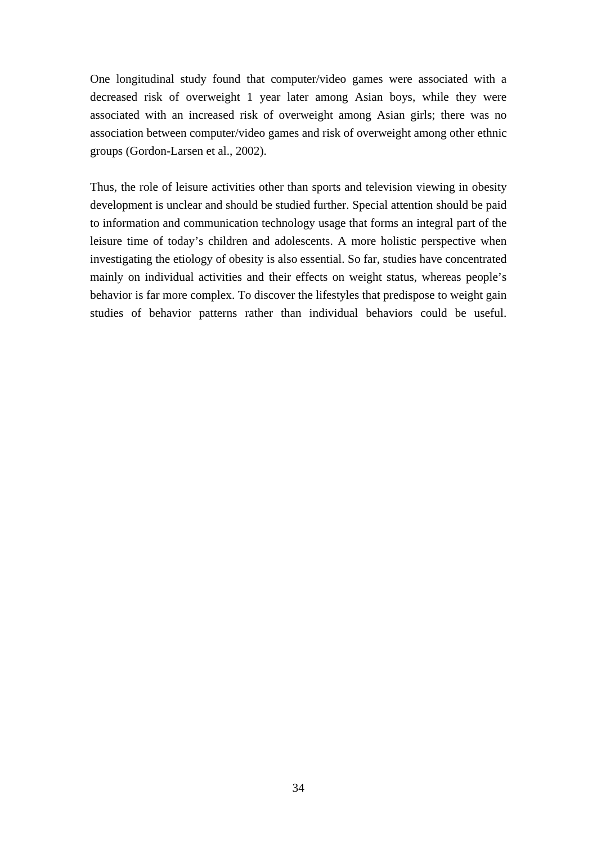One longitudinal study found that computer/video games were associated with a decreased risk of overweight 1 year later among Asian boys, while they were associated with an increased risk of overweight among Asian girls; there was no association between computer/video games and risk of overweight among other ethnic groups (Gordon-Larsen et al., 2002).

Thus, the role of leisure activities other than sports and television viewing in obesity development is unclear and should be studied further. Special attention should be paid to information and communication technology usage that forms an integral part of the leisure time of today's children and adolescents. A more holistic perspective when investigating the etiology of obesity is also essential. So far, studies have concentrated mainly on individual activities and their effects on weight status, whereas people's behavior is far more complex. To discover the lifestyles that predispose to weight gain studies of behavior patterns rather than individual behaviors could be useful.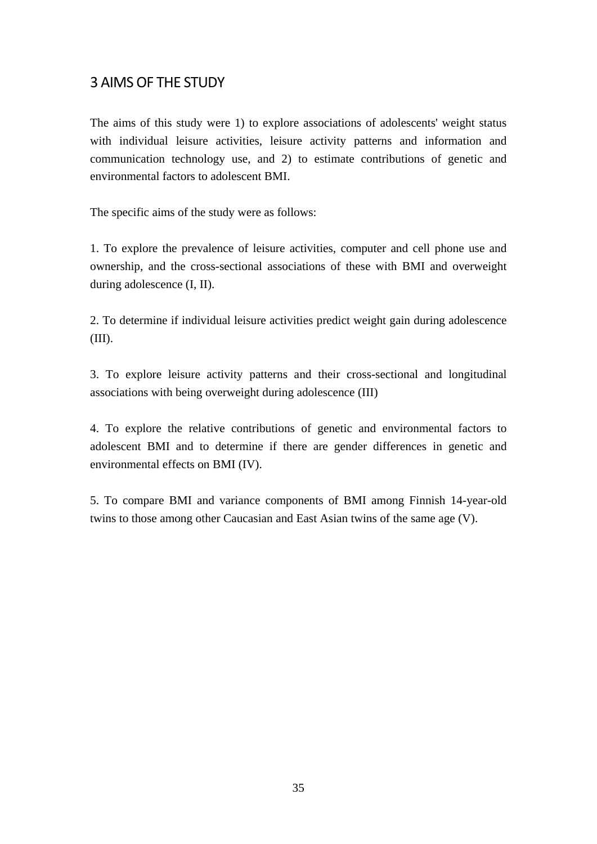# 3 AIMS OF THE STUDY

The aims of this study were 1) to explore associations of adolescents' weight status with individual leisure activities, leisure activity patterns and information and communication technology use, and 2) to estimate contributions of genetic and environmental factors to adolescent BMI.

The specific aims of the study were as follows:

1. To explore the prevalence of leisure activities, computer and cell phone use and ownership, and the cross-sectional associations of these with BMI and overweight during adolescence (I, II).

2. To determine if individual leisure activities predict weight gain during adolescence (III).

3. To explore leisure activity patterns and their cross-sectional and longitudinal associations with being overweight during adolescence (III)

4. To explore the relative contributions of genetic and environmental factors to adolescent BMI and to determine if there are gender differences in genetic and environmental effects on BMI (IV).

5. To compare BMI and variance components of BMI among Finnish 14-year-old twins to those among other Caucasian and East Asian twins of the same age (V).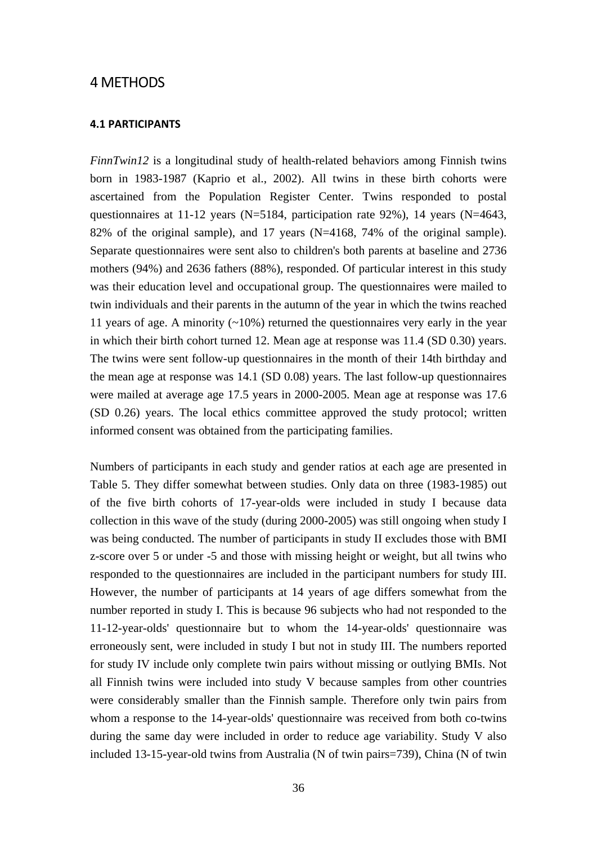## 4 METHODS

#### **4.1 PARTICIPANTS**

*FinnTwin12* is a longitudinal study of health-related behaviors among Finnish twins born in 1983-1987 (Kaprio et al., 2002). All twins in these birth cohorts were ascertained from the Population Register Center. Twins responded to postal questionnaires at 11-12 years (N=5184, participation rate 92%), 14 years (N=4643, 82% of the original sample), and 17 years (N=4168, 74% of the original sample). Separate questionnaires were sent also to children's both parents at baseline and 2736 mothers (94%) and 2636 fathers (88%), responded. Of particular interest in this study was their education level and occupational group. The questionnaires were mailed to twin individuals and their parents in the autumn of the year in which the twins reached 11 years of age. A minority  $(~10\%)$  returned the questionnaires very early in the year in which their birth cohort turned 12. Mean age at response was 11.4 (SD 0.30) years. The twins were sent follow-up questionnaires in the month of their 14th birthday and the mean age at response was 14.1 (SD 0.08) years. The last follow-up questionnaires were mailed at average age 17.5 years in 2000-2005. Mean age at response was 17.6 (SD 0.26) years. The local ethics committee approved the study protocol; written informed consent was obtained from the participating families.

Numbers of participants in each study and gender ratios at each age are presented in Table 5. They differ somewhat between studies. Only data on three (1983-1985) out of the five birth cohorts of 17-year-olds were included in study I because data collection in this wave of the study (during 2000-2005) was still ongoing when study I was being conducted. The number of participants in study II excludes those with BMI z-score over 5 or under -5 and those with missing height or weight, but all twins who responded to the questionnaires are included in the participant numbers for study III. However, the number of participants at 14 years of age differs somewhat from the number reported in study I. This is because 96 subjects who had not responded to the 11-12-year-olds' questionnaire but to whom the 14-year-olds' questionnaire was erroneously sent, were included in study I but not in study III. The numbers reported for study IV include only complete twin pairs without missing or outlying BMIs. Not all Finnish twins were included into study V because samples from other countries were considerably smaller than the Finnish sample. Therefore only twin pairs from whom a response to the 14-year-olds' questionnaire was received from both co-twins during the same day were included in order to reduce age variability. Study V also included 13-15-year-old twins from Australia (N of twin pairs=739), China (N of twin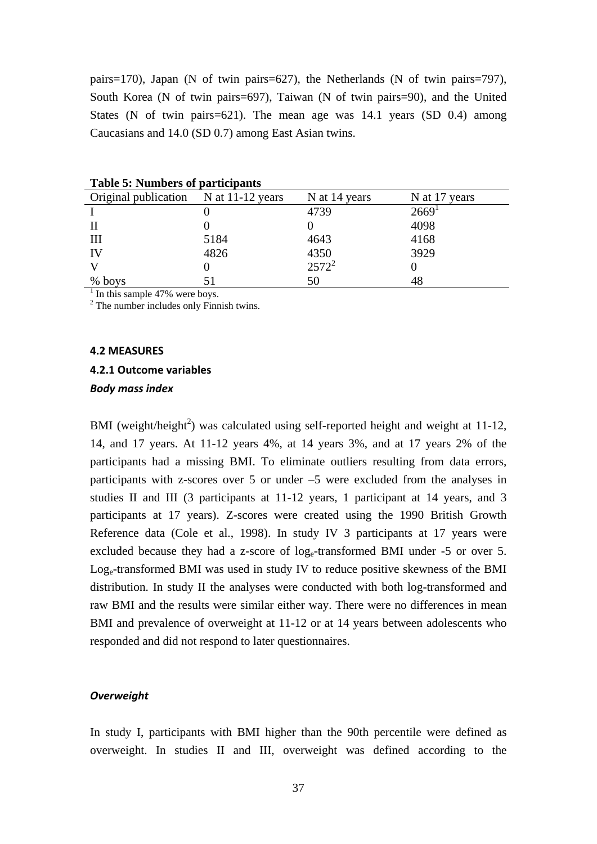pairs=170), Japan (N of twin pairs=627), the Netherlands (N of twin pairs=797), South Korea (N of twin pairs=697), Taiwan (N of twin pairs=90), and the United States (N of twin pairs=621). The mean age was 14.1 years (SD 0.4) among Caucasians and 14.0 (SD 0.7) among East Asian twins.

| Tuoit C. T. Milliotlo of pul depublico      |      |               |                     |
|---------------------------------------------|------|---------------|---------------------|
| Original publication N at 11-12 years       |      | N at 14 years | N at 17 years       |
|                                             |      | 4739          | $2669$ <sup>1</sup> |
|                                             |      |               | 4098                |
| Ш                                           | 5184 | 4643          | 4168                |
| IV                                          | 4826 | 4350          | 3929                |
|                                             |      | $2572^2$      |                     |
| % boys                                      | 51   | 50            | 48                  |
| $\frac{1}{1}$ In this sample 47% were boys. |      |               |                     |

**Table 5: Numbers of participants** 

<sup>2</sup> The number includes only Finnish twins.

#### **4.2 MEASURES**

#### **4.2.1 Outcome variables**

#### *Body mass index*

BMI (weight/height<sup>2</sup>) was calculated using self-reported height and weight at 11-12, 14, and 17 years. At 11-12 years 4%, at 14 years 3%, and at 17 years 2% of the participants had a missing BMI. To eliminate outliers resulting from data errors, participants with z-scores over 5 or under –5 were excluded from the analyses in studies II and III (3 participants at 11-12 years, 1 participant at 14 years, and 3 participants at 17 years). Z-scores were created using the 1990 British Growth Reference data (Cole et al., 1998). In study IV 3 participants at 17 years were excluded because they had a z-score of log<sub>e</sub>-transformed BMI under -5 or over 5. Loge-transformed BMI was used in study IV to reduce positive skewness of the BMI distribution. In study II the analyses were conducted with both log-transformed and raw BMI and the results were similar either way. There were no differences in mean BMI and prevalence of overweight at 11-12 or at 14 years between adolescents who responded and did not respond to later questionnaires.

#### *Overweight*

In study I, participants with BMI higher than the 90th percentile were defined as overweight. In studies II and III, overweight was defined according to the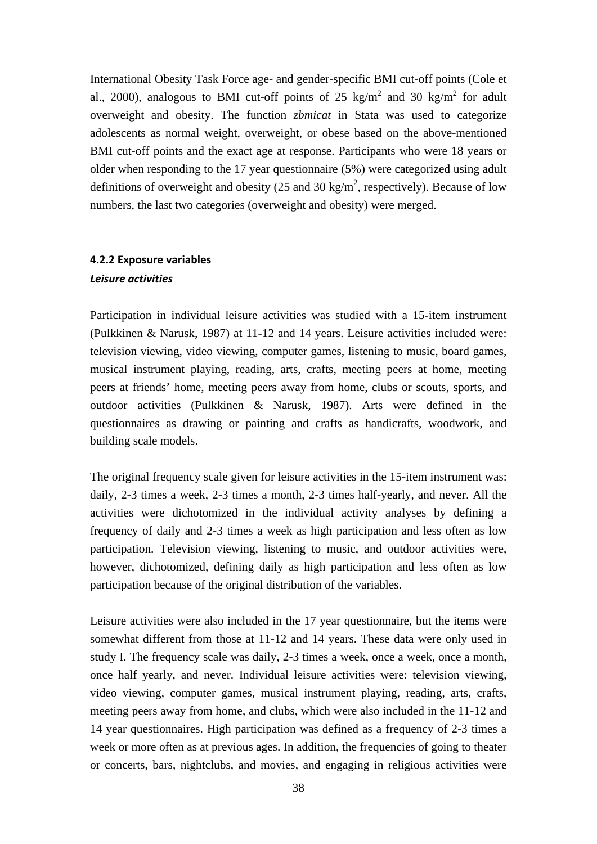International Obesity Task Force age- and gender-specific BMI cut-off points (Cole et al., 2000), analogous to BMI cut-off points of 25 kg/m<sup>2</sup> and 30 kg/m<sup>2</sup> for adult overweight and obesity. The function *zbmicat* in Stata was used to categorize adolescents as normal weight, overweight, or obese based on the above-mentioned BMI cut-off points and the exact age at response. Participants who were 18 years or older when responding to the 17 year questionnaire (5%) were categorized using adult definitions of overweight and obesity (25 and 30 kg/m<sup>2</sup>, respectively). Because of low numbers, the last two categories (overweight and obesity) were merged.

## **4.2.2 Exposure variables**

#### *Leisure activities*

Participation in individual leisure activities was studied with a 15-item instrument (Pulkkinen & Narusk, 1987) at 11-12 and 14 years. Leisure activities included were: television viewing, video viewing, computer games, listening to music, board games, musical instrument playing, reading, arts, crafts, meeting peers at home, meeting peers at friends' home, meeting peers away from home, clubs or scouts, sports, and outdoor activities (Pulkkinen & Narusk, 1987). Arts were defined in the questionnaires as drawing or painting and crafts as handicrafts, woodwork, and building scale models.

The original frequency scale given for leisure activities in the 15-item instrument was: daily, 2-3 times a week, 2-3 times a month, 2-3 times half-yearly, and never. All the activities were dichotomized in the individual activity analyses by defining a frequency of daily and 2-3 times a week as high participation and less often as low participation. Television viewing, listening to music, and outdoor activities were, however, dichotomized, defining daily as high participation and less often as low participation because of the original distribution of the variables.

Leisure activities were also included in the 17 year questionnaire, but the items were somewhat different from those at 11-12 and 14 years. These data were only used in study I. The frequency scale was daily, 2-3 times a week, once a week, once a month, once half yearly, and never. Individual leisure activities were: television viewing, video viewing, computer games, musical instrument playing, reading, arts, crafts, meeting peers away from home, and clubs, which were also included in the 11-12 and 14 year questionnaires. High participation was defined as a frequency of 2-3 times a week or more often as at previous ages. In addition, the frequencies of going to theater or concerts, bars, nightclubs, and movies, and engaging in religious activities were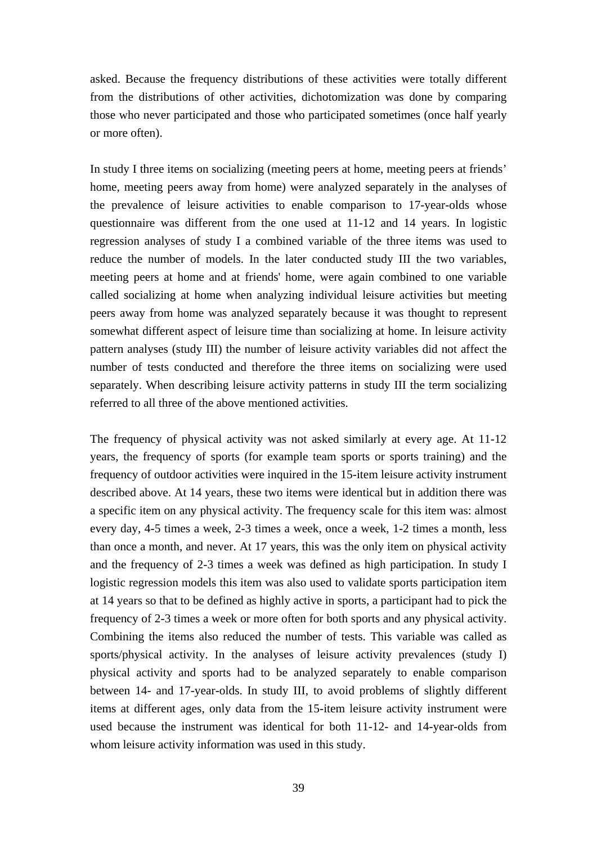asked. Because the frequency distributions of these activities were totally different from the distributions of other activities, dichotomization was done by comparing those who never participated and those who participated sometimes (once half yearly or more often).

In study I three items on socializing (meeting peers at home, meeting peers at friends' home, meeting peers away from home) were analyzed separately in the analyses of the prevalence of leisure activities to enable comparison to 17-year-olds whose questionnaire was different from the one used at 11-12 and 14 years. In logistic regression analyses of study I a combined variable of the three items was used to reduce the number of models. In the later conducted study III the two variables, meeting peers at home and at friends' home, were again combined to one variable called socializing at home when analyzing individual leisure activities but meeting peers away from home was analyzed separately because it was thought to represent somewhat different aspect of leisure time than socializing at home. In leisure activity pattern analyses (study III) the number of leisure activity variables did not affect the number of tests conducted and therefore the three items on socializing were used separately. When describing leisure activity patterns in study III the term socializing referred to all three of the above mentioned activities.

The frequency of physical activity was not asked similarly at every age. At 11-12 years, the frequency of sports (for example team sports or sports training) and the frequency of outdoor activities were inquired in the 15-item leisure activity instrument described above. At 14 years, these two items were identical but in addition there was a specific item on any physical activity. The frequency scale for this item was: almost every day, 4-5 times a week, 2-3 times a week, once a week, 1-2 times a month, less than once a month, and never. At 17 years, this was the only item on physical activity and the frequency of 2-3 times a week was defined as high participation. In study I logistic regression models this item was also used to validate sports participation item at 14 years so that to be defined as highly active in sports, a participant had to pick the frequency of 2-3 times a week or more often for both sports and any physical activity. Combining the items also reduced the number of tests. This variable was called as sports/physical activity. In the analyses of leisure activity prevalences (study I) physical activity and sports had to be analyzed separately to enable comparison between 14- and 17-year-olds. In study III, to avoid problems of slightly different items at different ages, only data from the 15-item leisure activity instrument were used because the instrument was identical for both 11-12- and 14-year-olds from whom leisure activity information was used in this study.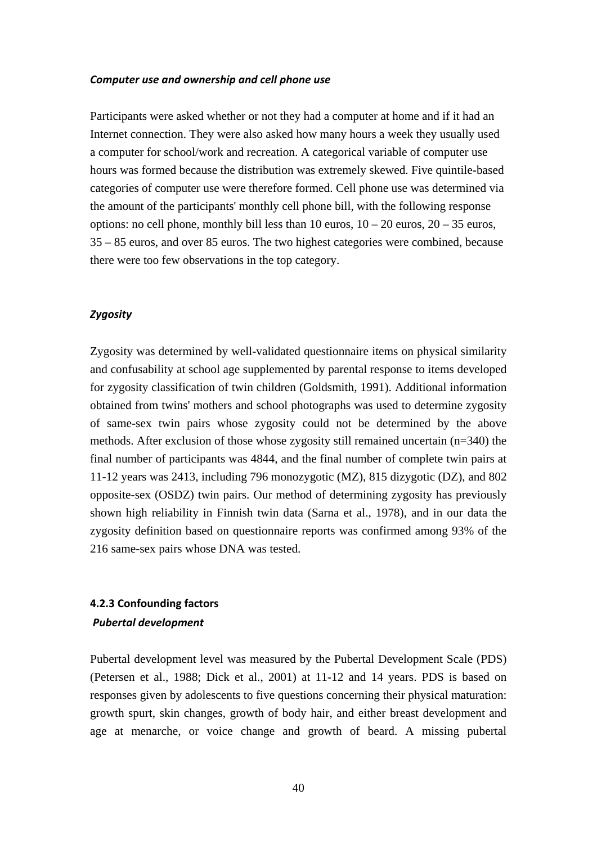#### *Computer use and ownership and cell phone use*

Participants were asked whether or not they had a computer at home and if it had an Internet connection. They were also asked how many hours a week they usually used a computer for school/work and recreation. A categorical variable of computer use hours was formed because the distribution was extremely skewed. Five quintile-based categories of computer use were therefore formed. Cell phone use was determined via the amount of the participants' monthly cell phone bill, with the following response options: no cell phone, monthly bill less than  $10$  euros,  $10 - 20$  euros,  $20 - 35$  euros, 35 – 85 euros, and over 85 euros. The two highest categories were combined, because there were too few observations in the top category.

## *Zygosity*

Zygosity was determined by well-validated questionnaire items on physical similarity and confusability at school age supplemented by parental response to items developed for zygosity classification of twin children (Goldsmith, 1991). Additional information obtained from twins' mothers and school photographs was used to determine zygosity of same-sex twin pairs whose zygosity could not be determined by the above methods. After exclusion of those whose zygosity still remained uncertain (n=340) the final number of participants was 4844, and the final number of complete twin pairs at 11-12 years was 2413, including 796 monozygotic (MZ), 815 dizygotic (DZ), and 802 opposite-sex (OSDZ) twin pairs. Our method of determining zygosity has previously shown high reliability in Finnish twin data (Sarna et al., 1978), and in our data the zygosity definition based on questionnaire reports was confirmed among 93% of the 216 same-sex pairs whose DNA was tested.

# **4.2.3 Confounding factors**   *Pubertal development*

Pubertal development level was measured by the Pubertal Development Scale (PDS) (Petersen et al., 1988; Dick et al., 2001) at 11-12 and 14 years. PDS is based on responses given by adolescents to five questions concerning their physical maturation: growth spurt, skin changes, growth of body hair, and either breast development and age at menarche, or voice change and growth of beard. A missing pubertal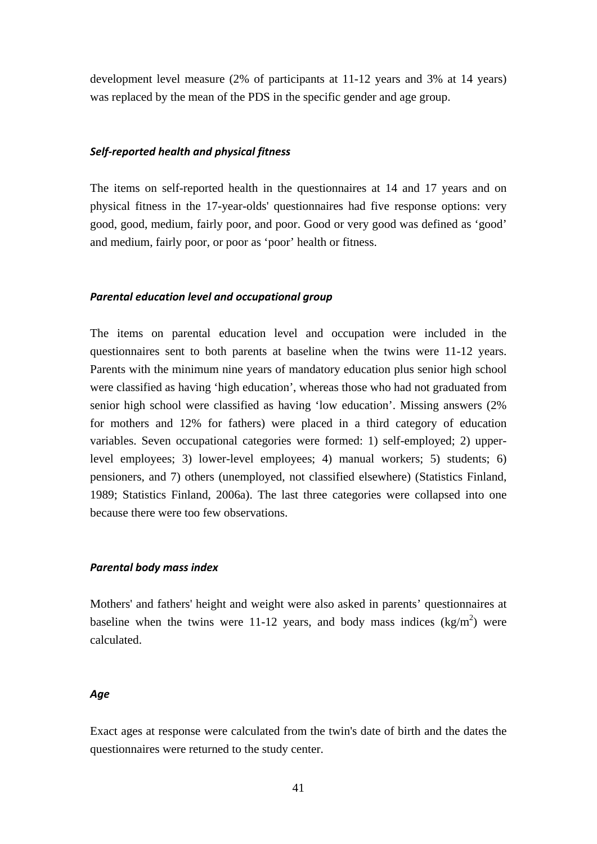development level measure (2% of participants at 11-12 years and 3% at 14 years) was replaced by the mean of the PDS in the specific gender and age group.

#### *Self-reported health and physical fitness*

The items on self-reported health in the questionnaires at 14 and 17 years and on physical fitness in the 17-year-olds' questionnaires had five response options: very good, good, medium, fairly poor, and poor. Good or very good was defined as 'good' and medium, fairly poor, or poor as 'poor' health or fitness.

#### *Parental education level and occupational group*

The items on parental education level and occupation were included in the questionnaires sent to both parents at baseline when the twins were 11-12 years. Parents with the minimum nine years of mandatory education plus senior high school were classified as having 'high education', whereas those who had not graduated from senior high school were classified as having 'low education'. Missing answers (2% for mothers and 12% for fathers) were placed in a third category of education variables. Seven occupational categories were formed: 1) self-employed; 2) upperlevel employees; 3) lower-level employees; 4) manual workers; 5) students; 6) pensioners, and 7) others (unemployed, not classified elsewhere) (Statistics Finland, 1989; Statistics Finland, 2006a). The last three categories were collapsed into one because there were too few observations.

#### *Parental body mass index*

Mothers' and fathers' height and weight were also asked in parents' questionnaires at baseline when the twins were 11-12 years, and body mass indices  $(kg/m<sup>2</sup>)$  were calculated.

#### *Age*

Exact ages at response were calculated from the twin's date of birth and the dates the questionnaires were returned to the study center.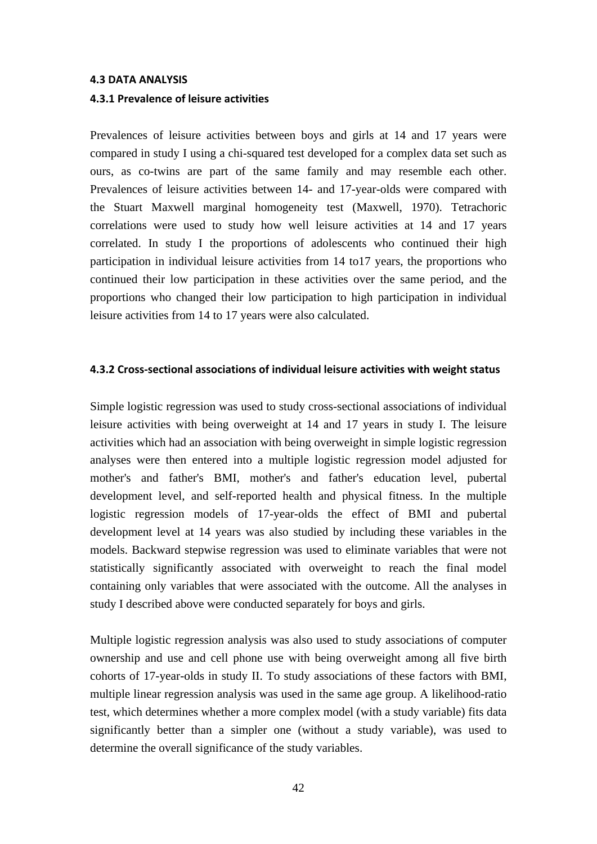#### **4.3 DATA ANALYSIS**

#### **4.3.1 Prevalence of leisure activities**

Prevalences of leisure activities between boys and girls at 14 and 17 years were compared in study I using a chi-squared test developed for a complex data set such as ours, as co-twins are part of the same family and may resemble each other. Prevalences of leisure activities between 14- and 17-year-olds were compared with the Stuart Maxwell marginal homogeneity test (Maxwell, 1970). Tetrachoric correlations were used to study how well leisure activities at 14 and 17 years correlated. In study I the proportions of adolescents who continued their high participation in individual leisure activities from 14 to17 years, the proportions who continued their low participation in these activities over the same period, and the proportions who changed their low participation to high participation in individual leisure activities from 14 to 17 years were also calculated.

#### **4.3.2 Cross-sectional associations of individual leisure activities with weight status**

Simple logistic regression was used to study cross-sectional associations of individual leisure activities with being overweight at 14 and 17 years in study I. The leisure activities which had an association with being overweight in simple logistic regression analyses were then entered into a multiple logistic regression model adjusted for mother's and father's BMI, mother's and father's education level, pubertal development level, and self-reported health and physical fitness. In the multiple logistic regression models of 17-year-olds the effect of BMI and pubertal development level at 14 years was also studied by including these variables in the models. Backward stepwise regression was used to eliminate variables that were not statistically significantly associated with overweight to reach the final model containing only variables that were associated with the outcome. All the analyses in study I described above were conducted separately for boys and girls.

Multiple logistic regression analysis was also used to study associations of computer ownership and use and cell phone use with being overweight among all five birth cohorts of 17-year-olds in study II. To study associations of these factors with BMI, multiple linear regression analysis was used in the same age group. A likelihood-ratio test, which determines whether a more complex model (with a study variable) fits data significantly better than a simpler one (without a study variable), was used to determine the overall significance of the study variables.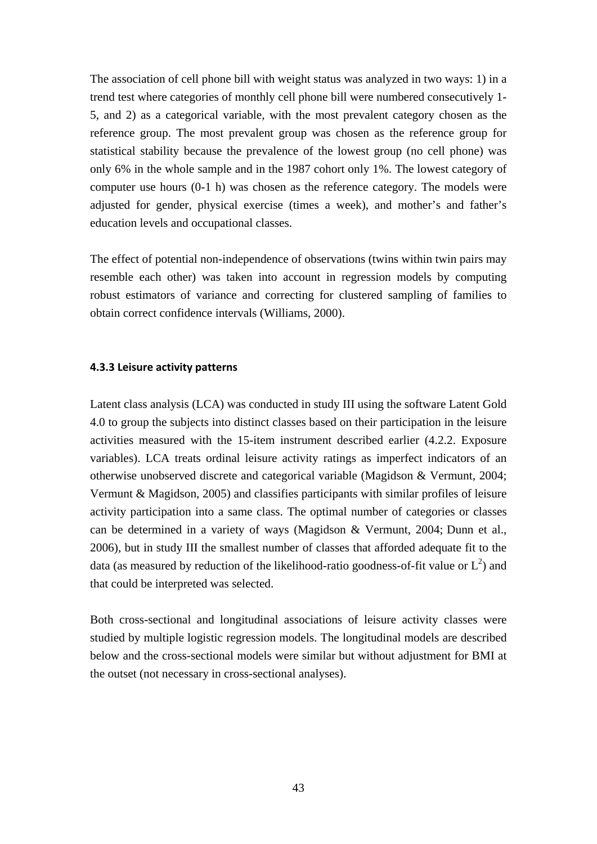The association of cell phone bill with weight status was analyzed in two ways: 1) in a trend test where categories of monthly cell phone bill were numbered consecutively 1- 5, and 2) as a categorical variable, with the most prevalent category chosen as the reference group. The most prevalent group was chosen as the reference group for statistical stability because the prevalence of the lowest group (no cell phone) was only 6% in the whole sample and in the 1987 cohort only 1%. The lowest category of computer use hours (0-1 h) was chosen as the reference category. The models were adjusted for gender, physical exercise (times a week), and mother's and father's education levels and occupational classes.

The effect of potential non-independence of observations (twins within twin pairs may resemble each other) was taken into account in regression models by computing robust estimators of variance and correcting for clustered sampling of families to obtain correct confidence intervals (Williams, 2000).

## **4.3.3 Leisure activity patterns**

Latent class analysis (LCA) was conducted in study III using the software Latent Gold 4.0 to group the subjects into distinct classes based on their participation in the leisure activities measured with the 15-item instrument described earlier (4.2.2. Exposure variables). LCA treats ordinal leisure activity ratings as imperfect indicators of an otherwise unobserved discrete and categorical variable (Magidson & Vermunt, 2004; Vermunt & Magidson, 2005) and classifies participants with similar profiles of leisure activity participation into a same class. The optimal number of categories or classes can be determined in a variety of ways (Magidson & Vermunt, 2004; Dunn et al., 2006), but in study III the smallest number of classes that afforded adequate fit to the data (as measured by reduction of the likelihood-ratio goodness-of-fit value or  $L^2$ ) and that could be interpreted was selected.

Both cross-sectional and longitudinal associations of leisure activity classes were studied by multiple logistic regression models. The longitudinal models are described below and the cross-sectional models were similar but without adjustment for BMI at the outset (not necessary in cross-sectional analyses).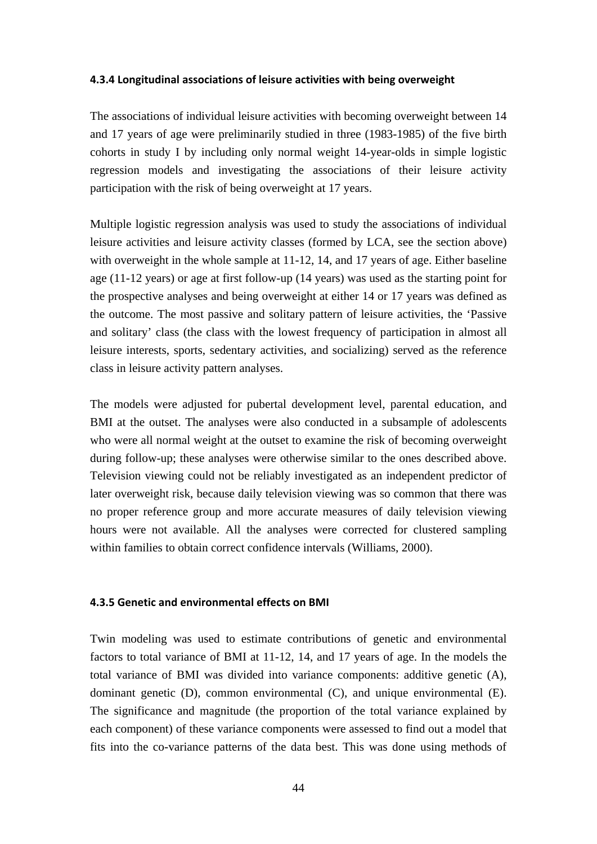#### **4.3.4 Longitudinal associations of leisure activities with being overweight**

The associations of individual leisure activities with becoming overweight between 14 and 17 years of age were preliminarily studied in three (1983-1985) of the five birth cohorts in study I by including only normal weight 14-year-olds in simple logistic regression models and investigating the associations of their leisure activity participation with the risk of being overweight at 17 years.

Multiple logistic regression analysis was used to study the associations of individual leisure activities and leisure activity classes (formed by LCA, see the section above) with overweight in the whole sample at 11-12, 14, and 17 years of age. Either baseline age (11-12 years) or age at first follow-up (14 years) was used as the starting point for the prospective analyses and being overweight at either 14 or 17 years was defined as the outcome. The most passive and solitary pattern of leisure activities, the 'Passive and solitary' class (the class with the lowest frequency of participation in almost all leisure interests, sports, sedentary activities, and socializing) served as the reference class in leisure activity pattern analyses.

The models were adjusted for pubertal development level, parental education, and BMI at the outset. The analyses were also conducted in a subsample of adolescents who were all normal weight at the outset to examine the risk of becoming overweight during follow-up; these analyses were otherwise similar to the ones described above. Television viewing could not be reliably investigated as an independent predictor of later overweight risk, because daily television viewing was so common that there was no proper reference group and more accurate measures of daily television viewing hours were not available. All the analyses were corrected for clustered sampling within families to obtain correct confidence intervals (Williams, 2000).

#### **4.3.5 Genetic and environmental effects on BMI**

Twin modeling was used to estimate contributions of genetic and environmental factors to total variance of BMI at 11-12, 14, and 17 years of age. In the models the total variance of BMI was divided into variance components: additive genetic (A), dominant genetic (D), common environmental (C), and unique environmental (E). The significance and magnitude (the proportion of the total variance explained by each component) of these variance components were assessed to find out a model that fits into the co-variance patterns of the data best. This was done using methods of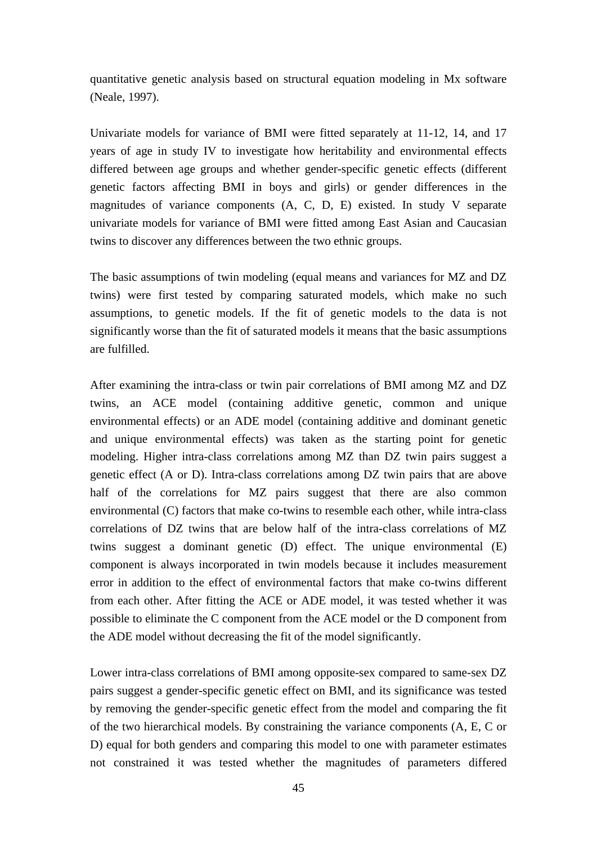quantitative genetic analysis based on structural equation modeling in Mx software (Neale, 1997).

Univariate models for variance of BMI were fitted separately at 11-12, 14, and 17 years of age in study IV to investigate how heritability and environmental effects differed between age groups and whether gender-specific genetic effects (different genetic factors affecting BMI in boys and girls) or gender differences in the magnitudes of variance components (A, C, D, E) existed. In study V separate univariate models for variance of BMI were fitted among East Asian and Caucasian twins to discover any differences between the two ethnic groups.

The basic assumptions of twin modeling (equal means and variances for MZ and DZ twins) were first tested by comparing saturated models, which make no such assumptions, to genetic models. If the fit of genetic models to the data is not significantly worse than the fit of saturated models it means that the basic assumptions are fulfilled.

After examining the intra-class or twin pair correlations of BMI among MZ and DZ twins, an ACE model (containing additive genetic, common and unique environmental effects) or an ADE model (containing additive and dominant genetic and unique environmental effects) was taken as the starting point for genetic modeling. Higher intra-class correlations among MZ than DZ twin pairs suggest a genetic effect (A or D). Intra-class correlations among DZ twin pairs that are above half of the correlations for MZ pairs suggest that there are also common environmental (C) factors that make co-twins to resemble each other, while intra-class correlations of DZ twins that are below half of the intra-class correlations of MZ twins suggest a dominant genetic (D) effect. The unique environmental (E) component is always incorporated in twin models because it includes measurement error in addition to the effect of environmental factors that make co-twins different from each other. After fitting the ACE or ADE model, it was tested whether it was possible to eliminate the C component from the ACE model or the D component from the ADE model without decreasing the fit of the model significantly.

Lower intra-class correlations of BMI among opposite-sex compared to same-sex DZ pairs suggest a gender-specific genetic effect on BMI, and its significance was tested by removing the gender-specific genetic effect from the model and comparing the fit of the two hierarchical models. By constraining the variance components (A, E, C or D) equal for both genders and comparing this model to one with parameter estimates not constrained it was tested whether the magnitudes of parameters differed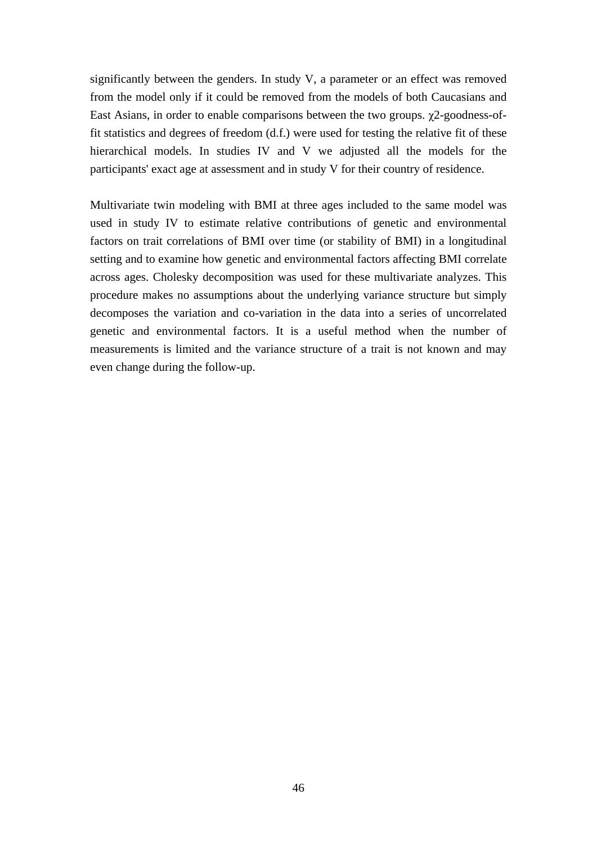significantly between the genders. In study V, a parameter or an effect was removed from the model only if it could be removed from the models of both Caucasians and East Asians, in order to enable comparisons between the two groups. χ2-goodness-offit statistics and degrees of freedom (d.f.) were used for testing the relative fit of these hierarchical models. In studies IV and V we adjusted all the models for the participants' exact age at assessment and in study V for their country of residence.

Multivariate twin modeling with BMI at three ages included to the same model was used in study IV to estimate relative contributions of genetic and environmental factors on trait correlations of BMI over time (or stability of BMI) in a longitudinal setting and to examine how genetic and environmental factors affecting BMI correlate across ages. Cholesky decomposition was used for these multivariate analyzes. This procedure makes no assumptions about the underlying variance structure but simply decomposes the variation and co-variation in the data into a series of uncorrelated genetic and environmental factors. It is a useful method when the number of measurements is limited and the variance structure of a trait is not known and may even change during the follow-up.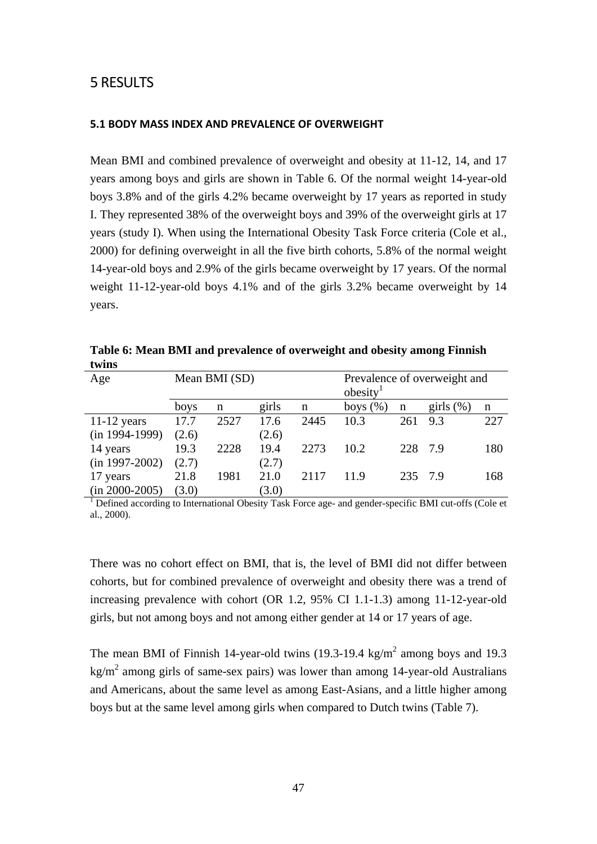# 5 RESULTS

## **5.1 BODY MASS INDEX AND PREVALENCE OF OVERWEIGHT**

Mean BMI and combined prevalence of overweight and obesity at 11-12, 14, and 17 years among boys and girls are shown in Table 6. Of the normal weight 14-year-old boys 3.8% and of the girls 4.2% became overweight by 17 years as reported in study I. They represented 38% of the overweight boys and 39% of the overweight girls at 17 years (study I). When using the International Obesity Task Force criteria (Cole et al., 2000) for defining overweight in all the five birth cohorts, 5.8% of the normal weight 14-year-old boys and 2.9% of the girls became overweight by 17 years. Of the normal weight 11-12-year-old boys 4.1% and of the girls 3.2% became overweight by 14 years.

| Age              |       | Mean BMI (SD) |       |      | obesity     |         | Prevalence of overweight and |     |
|------------------|-------|---------------|-------|------|-------------|---------|------------------------------|-----|
|                  | boys  | n             | girls | n    | boys $(\%)$ | n       | girls $(\%)$                 | n   |
| $11-12$ years    | 17.7  | 2527          | 17.6  | 2445 | 10.3        | 261     | 9.3                          | 227 |
| $(in 1994-1999)$ | (2.6) |               | (2.6) |      |             |         |                              |     |
| 14 years         | 19.3  | 2228          | 19.4  | 2273 | 10.2        | 228 7.9 |                              | 180 |
| $(in 1997-2002)$ | (2.7) |               | (2.7) |      |             |         |                              |     |
| 17 years         | 21.8  | 1981          | 21.0  | 2117 | 11.9        | 235 7.9 |                              | 168 |
| $(in 2000-2005)$ | (3.0) |               | (3.0) |      |             |         |                              |     |

**Table 6: Mean BMI and prevalence of overweight and obesity among Finnish twins** 

<sup>1</sup> Defined according to International Obesity Task Force age- and gender-specific BMI cut-offs (Cole et al., 2000).

There was no cohort effect on BMI, that is, the level of BMI did not differ between cohorts, but for combined prevalence of overweight and obesity there was a trend of increasing prevalence with cohort (OR 1.2, 95% CI 1.1-1.3) among 11-12-year-old girls, but not among boys and not among either gender at 14 or 17 years of age.

The mean BMI of Finnish 14-year-old twins  $(19.3-19.4 \text{ kg/m}^2$  among boys and 19.3  $\text{kg/m}^2$  among girls of same-sex pairs) was lower than among 14-year-old Australians and Americans, about the same level as among East-Asians, and a little higher among boys but at the same level among girls when compared to Dutch twins (Table 7).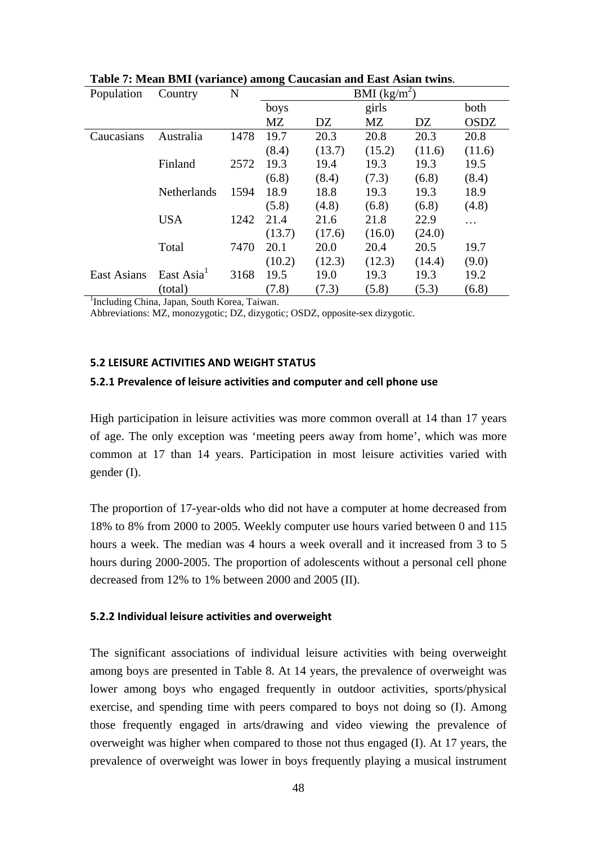| Population                                   | Country            | N    | BMI $(kg/m^2)$ |        |        |        |             |
|----------------------------------------------|--------------------|------|----------------|--------|--------|--------|-------------|
|                                              |                    |      | boys           |        | girls  |        | both        |
|                                              |                    |      | MZ             | DZ     | MZ     | DZ     | <b>OSDZ</b> |
| Caucasians                                   | Australia          | 1478 | 19.7           | 20.3   | 20.8   | 20.3   | 20.8        |
|                                              |                    |      | (8.4)          | (13.7) | (15.2) | (11.6) | (11.6)      |
|                                              | Finland            | 2572 | 19.3           | 19.4   | 19.3   | 19.3   | 19.5        |
|                                              |                    |      | (6.8)          | (8.4)  | (7.3)  | (6.8)  | (8.4)       |
|                                              | <b>Netherlands</b> | 1594 | 18.9           | 18.8   | 19.3   | 19.3   | 18.9        |
|                                              |                    |      | (5.8)          | (4.8)  | (6.8)  | (6.8)  | (4.8)       |
|                                              | <b>USA</b>         | 1242 | 21.4           | 21.6   | 21.8   | 22.9   | .           |
|                                              |                    |      | (13.7)         | (17.6) | (16.0) | (24.0) |             |
|                                              | Total              | 7470 | 20.1           | 20.0   | 20.4   | 20.5   | 19.7        |
|                                              |                    |      | (10.2)         | (12.3) | (12.3) | (14.4) | (9.0)       |
| <b>East Asians</b>                           | East Asia          | 3168 | 19.5           | 19.0   | 19.3   | 19.3   | 19.2        |
|                                              | (total)            |      | (7.8)          | (7.3)  | (5.8)  | (5.3)  | (6.8)       |
| Including China, Japan, South Korea, Taiwan. |                    |      |                |        |        |        |             |

**Table 7: Mean BMI (variance) among Caucasian and East Asian twins**.

Abbreviations: MZ, monozygotic; DZ, dizygotic; OSDZ, opposite-sex dizygotic.

#### **5.2 LEISURE ACTIVITIES AND WEIGHT STATUS**

#### **5.2.1 Prevalence of leisure activities and computer and cell phone use**

High participation in leisure activities was more common overall at 14 than 17 years of age. The only exception was 'meeting peers away from home', which was more common at 17 than 14 years. Participation in most leisure activities varied with gender (I).

The proportion of 17-year-olds who did not have a computer at home decreased from 18% to 8% from 2000 to 2005. Weekly computer use hours varied between 0 and 115 hours a week. The median was 4 hours a week overall and it increased from 3 to 5 hours during 2000-2005. The proportion of adolescents without a personal cell phone decreased from 12% to 1% between 2000 and 2005 (II).

#### **5.2.2 Individual leisure activities and overweight**

The significant associations of individual leisure activities with being overweight among boys are presented in Table 8. At 14 years, the prevalence of overweight was lower among boys who engaged frequently in outdoor activities, sports/physical exercise, and spending time with peers compared to boys not doing so (I). Among those frequently engaged in arts/drawing and video viewing the prevalence of overweight was higher when compared to those not thus engaged (I). At 17 years, the prevalence of overweight was lower in boys frequently playing a musical instrument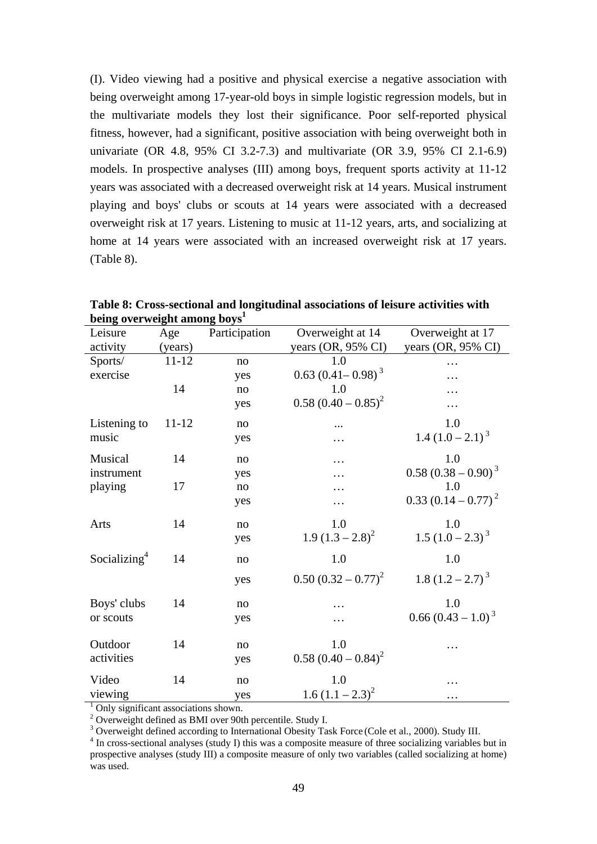(I). Video viewing had a positive and physical exercise a negative association with being overweight among 17-year-old boys in simple logistic regression models, but in the multivariate models they lost their significance. Poor self-reported physical fitness, however, had a significant, positive association with being overweight both in univariate (OR 4.8, 95% CI 3.2-7.3) and multivariate (OR 3.9, 95% CI 2.1-6.9) models. In prospective analyses (III) among boys, frequent sports activity at 11-12 years was associated with a decreased overweight risk at 14 years. Musical instrument playing and boys' clubs or scouts at 14 years were associated with a decreased overweight risk at 17 years. Listening to music at 11-12 years, arts, and socializing at home at 14 years were associated with an increased overweight risk at 17 years. (Table 8).

| Leisure                              | Age       | Participation | Overweight at 14         | Overweight at 17        |  |
|--------------------------------------|-----------|---------------|--------------------------|-------------------------|--|
| activity                             | (years)   |               | years (OR, 95% CI)       | years (OR, 95% CI)      |  |
| Sports/                              | 11-12     | no            | 1.0                      | .                       |  |
| exercise                             |           | yes           | $0.63 (0.41 - 0.98)^{3}$ | .                       |  |
|                                      | 14        | no            | 1.0                      |                         |  |
|                                      |           | yes           | $0.58 (0.40 - 0.85)^2$   |                         |  |
| Listening to                         | $11 - 12$ | no            |                          | 1.0                     |  |
| music                                |           | yes           | .                        | 1.4 $(1.0 - 2.1)^3$     |  |
| Musical                              | 14        | no            | .                        | 1.0                     |  |
| instrument                           |           | yes           |                          | $0.58(0.38-0.90)^{3}$   |  |
| playing                              | 17        | no            |                          | 1.0                     |  |
|                                      |           | yes           | .                        | $0.33 (0.14 - 0.77)^2$  |  |
| Arts                                 | 14        | no            | 1.0                      | 1.0                     |  |
|                                      |           | yes           | $1.9(1.3-2.8)^2$         | $1.5 (1.0 - 2.3)^{3}$   |  |
| Socializing <sup>4</sup>             | 14        | no            | 1.0                      | 1.0                     |  |
|                                      |           | yes           | $0.50 (0.32 - 0.77)^2$   | 1.8 $(1.2 - 2.7)^3$     |  |
| Boys' clubs                          | 14        | $\rm no$      |                          | 1.0                     |  |
| or scouts                            |           | yes           |                          | $0.66 (0.43 - 1.0)^{3}$ |  |
| Outdoor                              | 14        | no            | 1.0                      |                         |  |
| activities                           |           | yes           | $0.58 (0.40 - 0.84)^2$   |                         |  |
| Video                                | 14        | no            | 1.0                      |                         |  |
| viewing                              |           | yes           | 1.6 $(1.1 - 2.3)^2$      | .                       |  |
| Only significant associations shown. |           |               |                          |                         |  |

**Table 8: Cross-sectional and longitudinal associations of leisure activities with being overweight among boys<sup>1</sup>**

<sup>2</sup> Overweight defined as BMI over 90th percentile. Study I.

<sup>3</sup> Overweight defined according to International Obesity Task Force (Cole et al., 2000). Study III.

<sup>4</sup> In cross-sectional analyses (study I) this was a composite measure of three socializing variables but in prospective analyses (study III) a composite measure of only two variables (called socializing at home) was used.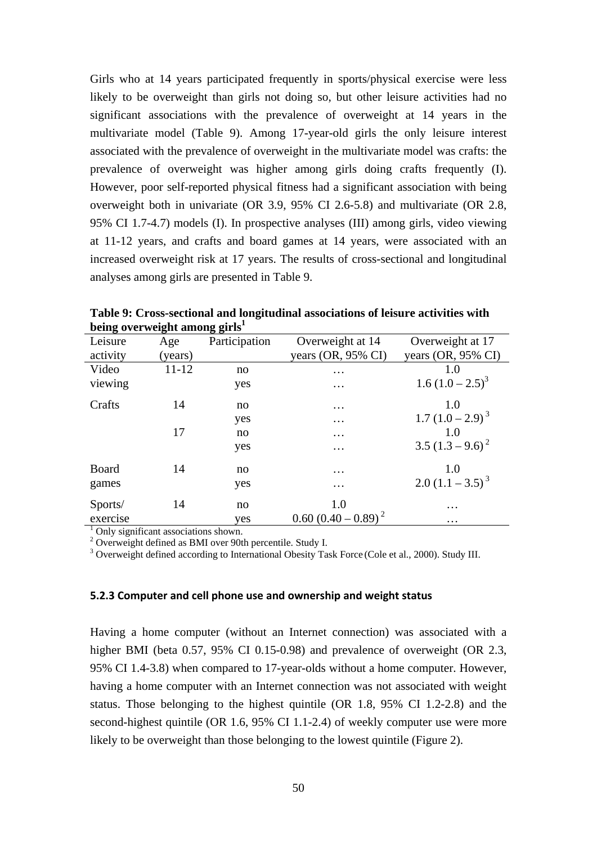Girls who at 14 years participated frequently in sports/physical exercise were less likely to be overweight than girls not doing so, but other leisure activities had no significant associations with the prevalence of overweight at 14 years in the multivariate model (Table 9). Among 17-year-old girls the only leisure interest associated with the prevalence of overweight in the multivariate model was crafts: the prevalence of overweight was higher among girls doing crafts frequently (I). However, poor self-reported physical fitness had a significant association with being overweight both in univariate (OR 3.9, 95% CI 2.6-5.8) and multivariate (OR 2.8, 95% CI 1.7-4.7) models (I). In prospective analyses (III) among girls, video viewing at 11-12 years, and crafts and board games at 14 years, were associated with an increased overweight risk at 17 years. The results of cross-sectional and longitudinal analyses among girls are presented in Table 9.

| Leisure  | Age                                  | Participation | Overweight at 14              | Overweight at 17              |  |  |  |
|----------|--------------------------------------|---------------|-------------------------------|-------------------------------|--|--|--|
| activity | (years)                              |               | years $(OR, 95\% \text{ CI})$ | years $(OR, 95\% \text{ CI})$ |  |  |  |
| Video    | $11 - 12$                            | no            | $\cdots$                      | 1.0                           |  |  |  |
| viewing  |                                      | yes           | $\cdots$                      | $1.6 (1.0 - 2.5)^{3}$         |  |  |  |
| Crafts   | 14                                   | no            | $\cdots$                      | 1.0                           |  |  |  |
|          |                                      | yes           | $\cdots$                      | $1.7 (1.0 - 2.9)^{3}$         |  |  |  |
|          | 17                                   | no            | $\cdots$                      | 1.0                           |  |  |  |
|          |                                      | yes           | $\cdots$                      | $3.5(1.3-9.6)^2$              |  |  |  |
| Board    | 14                                   | no            | .                             | 1.0                           |  |  |  |
| games    |                                      | yes           | $\cdots$                      | $2.0 (1.1 - 3.5)^{3}$         |  |  |  |
| Sports/  | 14                                   | no            | 1.0                           | $\cdots$                      |  |  |  |
| exercise |                                      | yes           | $0.60 (0.40 - 0.89)^2$        | $\cdots$                      |  |  |  |
|          | Only significant associations shown. |               |                               |                               |  |  |  |

**Table 9: Cross-sectional and longitudinal associations of leisure activities with being overweight among girls<sup>1</sup>**

<sup>2</sup> Overweight defined as BMI over 90th percentile. Study I.

<sup>3</sup> Overweight defined according to International Obesity Task Force (Cole et al., 2000). Study III.

#### **5.2.3 Computer and cell phone use and ownership and weight status**

Having a home computer (without an Internet connection) was associated with a higher BMI (beta 0.57, 95% CI 0.15-0.98) and prevalence of overweight (OR 2.3, 95% CI 1.4-3.8) when compared to 17-year-olds without a home computer. However, having a home computer with an Internet connection was not associated with weight status. Those belonging to the highest quintile (OR 1.8, 95% CI 1.2-2.8) and the second-highest quintile (OR 1.6, 95% CI 1.1-2.4) of weekly computer use were more likely to be overweight than those belonging to the lowest quintile (Figure 2).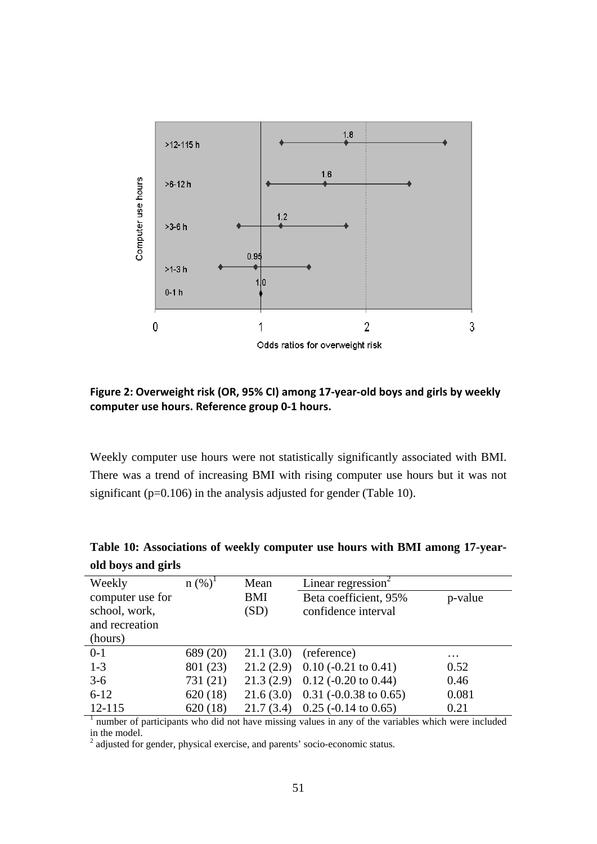

## **Figure 2: Overweight risk (OR, 95% CI) among 17-year-old boys and girls by weekly computer use hours. Reference group 0-1 hours.**

Weekly computer use hours were not statistically significantly associated with BMI. There was a trend of increasing BMI with rising computer use hours but it was not significant (p=0.106) in the analysis adjusted for gender (Table 10).

| Weekly<br>computer use for<br>school, work, | $n (%)^1$ | Mean<br><b>BMI</b><br>(SD) | Linear regression <sup>2</sup><br>Beta coefficient, 95%<br>confidence interval | p-value   |
|---------------------------------------------|-----------|----------------------------|--------------------------------------------------------------------------------|-----------|
| and recreation                              |           |                            |                                                                                |           |
| (hours)                                     |           |                            |                                                                                |           |
| $0-1$                                       | 689 (20)  | 21.1(3.0)                  | (reference)                                                                    | $\ddotsc$ |
| $1-3$                                       | 801 (23)  |                            | $21.2(2.9)$ 0.10 (-0.21 to 0.41)                                               | 0.52      |
| $3-6$                                       | 731 (21)  |                            | $21.3(2.9)$ 0.12 (-0.20 to 0.44)                                               | 0.46      |
| $6 - 12$                                    | 620(18)   |                            | $21.6(3.0)$ 0.31 (-0.0.38 to 0.65)                                             | 0.081     |
| $12 - 115$                                  | 620(18)   | 21.7(3.4)                  | $0.25$ (-0.14 to 0.65)                                                         | 0.21      |

**Table 10: Associations of weekly computer use hours with BMI among 17-yearold boys and girls**

 $<sup>1</sup>$  number of participants who did not have missing values in any of the variables which were included</sup> in the model.

 $2$  adjusted for gender, physical exercise, and parents' socio-economic status.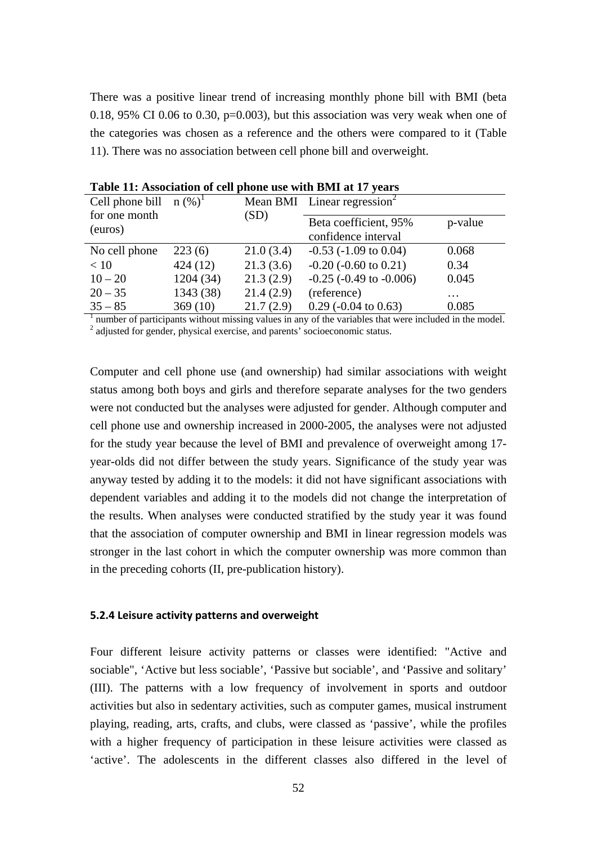There was a positive linear trend of increasing monthly phone bill with BMI (beta 0.18, 95% CI 0.06 to 0.30,  $p=0.003$ ), but this association was very weak when one of the categories was chosen as a reference and the others were compared to it (Table 11). There was no association between cell phone bill and overweight.

| Cell phone bill $n (\%)^1$ |           |           | Mean BMI Linear regression <sup>2</sup>      |          |
|----------------------------|-----------|-----------|----------------------------------------------|----------|
| for one month<br>(euros)   |           | (SD)      | Beta coefficient, 95%<br>confidence interval | p-value  |
| No cell phone              | 223(6)    | 21.0(3.4) | $-0.53$ ( $-1.09$ to 0.04)                   | 0.068    |
| < 10                       | 424(12)   | 21.3(3.6) | $-0.20$ ( $-0.60$ to $0.21$ )                | 0.34     |
| $10 - 20$                  | 1204 (34) | 21.3(2.9) | $-0.25$ ( $-0.49$ to $-0.006$ )              | 0.045    |
| $20 - 35$                  | 1343 (38) | 21.4(2.9) | (reference)                                  | $\cdots$ |
| $35 - 85$                  | 369(10)   | 21.7(2.9) | $0.29$ (-0.04 to 0.63)                       | 0.085    |

**Table 11: Association of cell phone use with BMI at 17 years** 

<sup>1</sup> number of participants without missing values in any of the variables that were included in the model.<sup>2</sup> adjusted for gender, physical exercise, and parents' socioeconomic status.

Computer and cell phone use (and ownership) had similar associations with weight status among both boys and girls and therefore separate analyses for the two genders were not conducted but the analyses were adjusted for gender. Although computer and cell phone use and ownership increased in 2000-2005, the analyses were not adjusted for the study year because the level of BMI and prevalence of overweight among 17 year-olds did not differ between the study years. Significance of the study year was anyway tested by adding it to the models: it did not have significant associations with dependent variables and adding it to the models did not change the interpretation of the results. When analyses were conducted stratified by the study year it was found that the association of computer ownership and BMI in linear regression models was stronger in the last cohort in which the computer ownership was more common than in the preceding cohorts (II, pre-publication history).

#### **5.2.4 Leisure activity patterns and overweight**

Four different leisure activity patterns or classes were identified: "Active and sociable", 'Active but less sociable', 'Passive but sociable', and 'Passive and solitary' (III). The patterns with a low frequency of involvement in sports and outdoor activities but also in sedentary activities, such as computer games, musical instrument playing, reading, arts, crafts, and clubs, were classed as 'passive', while the profiles with a higher frequency of participation in these leisure activities were classed as 'active'. The adolescents in the different classes also differed in the level of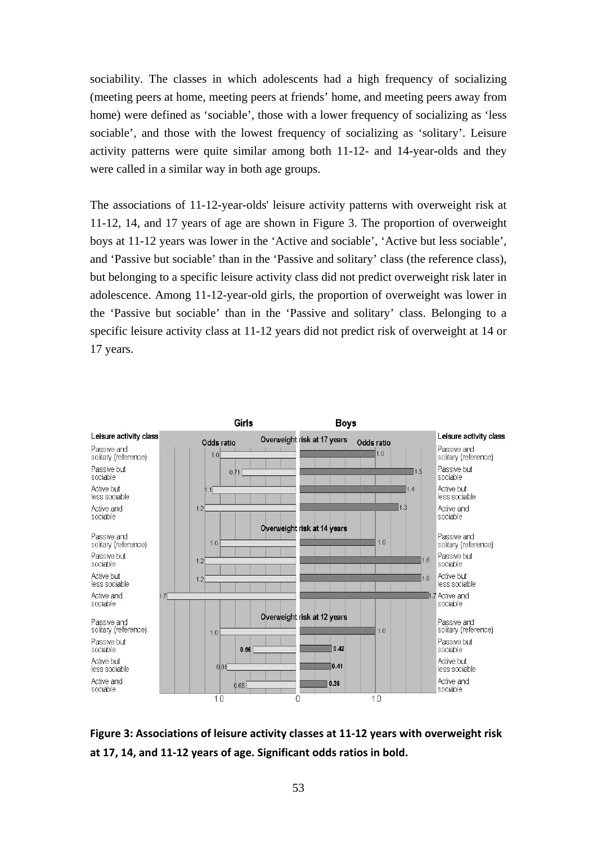sociability. The classes in which adolescents had a high frequency of socializing (meeting peers at home, meeting peers at friends' home, and meeting peers away from home) were defined as 'sociable', those with a lower frequency of socializing as 'less sociable', and those with the lowest frequency of socializing as 'solitary'. Leisure activity patterns were quite similar among both  $11-12$ - and  $14$ -year-olds and they were called in a similar way in both age groups.

The associations of 11-12-year-olds' leisure activity patterns with overweight risk at 11-12, 14, and 17 years of age are shown in Figure 3. The proportion of overweight boys at 11-12 years was lower in the 'Active and sociable', 'Active but less sociable', and 'Passive but sociable' than in the 'Passive and solitary' class (the reference class), but belonging to a specific leisure activity class did not predict overweight risk later in adolescence. Among 11-12-year-old girls, the proportion of overweight was lower in the 'Passive but sociable' than in the 'Passive and solitary' class. Belonging to a specific leisure activity class at 11-12 years did not predict risk of overweight at 14 or 17 years.



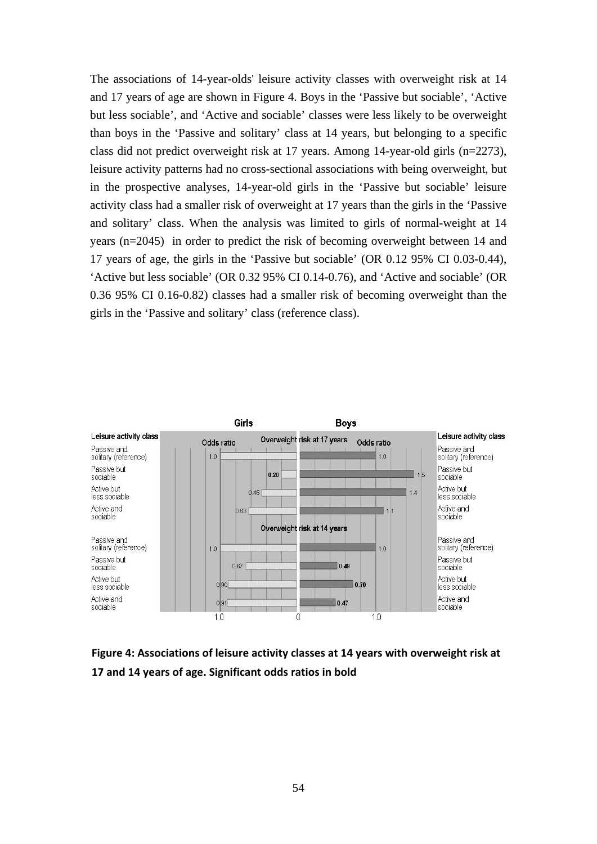The associations of 14-year-olds' leisure activity classes with overweight risk at 14 and 17 years of age are shown in Figure 4. Boys in the 'Passive but sociable', 'Active but less sociable', and 'Active and sociable' classes were less likely to be overweight than boys in the 'Passive and solitary' class at 14 years, but belonging to a specific class did not predict overweight risk at 17 years. Among 14-year-old girls (n=2273), leisure activity patterns had no cross-sectional associations with being overweight, but in the prospective analyses, 14-year-old girls in the 'Passive but sociable' leisure activity class had a smaller risk of overweight at 17 years than the girls in the 'Passive and solitary' class. When the analysis was limited to girls of normal-weight at 14 years (n=2045) in order to predict the risk of becoming overweight between 14 and 17 years of age, the girls in the 'Passive but sociable' (OR 0.12 95% CI 0.03-0.44), 'Active but less sociable' (OR 0.32 95% CI 0.14-0.76), and 'Active and sociable' (OR 0.36 95% CI 0.16-0.82) classes had a smaller risk of becoming overweight than the girls in the 'Passive and solitary' class (reference class).



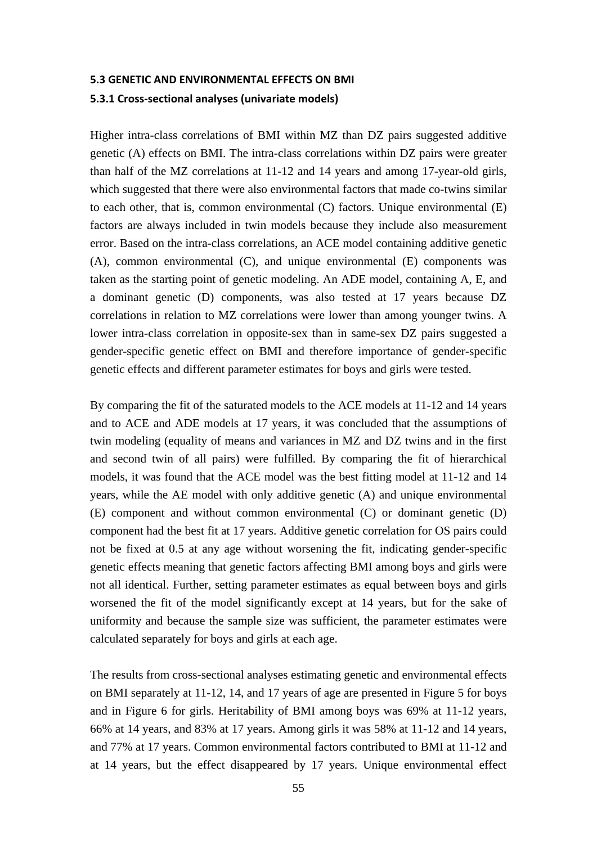### **5.3 GENETIC AND ENVIRONMENTAL EFFECTS ON BMI**

#### **5.3.1 Cross-sectional analyses (univariate models)**

Higher intra-class correlations of BMI within MZ than DZ pairs suggested additive genetic (A) effects on BMI. The intra-class correlations within DZ pairs were greater than half of the MZ correlations at 11-12 and 14 years and among 17-year-old girls, which suggested that there were also environmental factors that made co-twins similar to each other, that is, common environmental (C) factors. Unique environmental (E) factors are always included in twin models because they include also measurement error. Based on the intra-class correlations, an ACE model containing additive genetic (A), common environmental (C), and unique environmental (E) components was taken as the starting point of genetic modeling. An ADE model, containing A, E, and a dominant genetic (D) components, was also tested at 17 years because DZ correlations in relation to MZ correlations were lower than among younger twins. A lower intra-class correlation in opposite-sex than in same-sex DZ pairs suggested a gender-specific genetic effect on BMI and therefore importance of gender-specific genetic effects and different parameter estimates for boys and girls were tested.

By comparing the fit of the saturated models to the ACE models at 11-12 and 14 years and to ACE and ADE models at 17 years, it was concluded that the assumptions of twin modeling (equality of means and variances in MZ and DZ twins and in the first and second twin of all pairs) were fulfilled. By comparing the fit of hierarchical models, it was found that the ACE model was the best fitting model at 11-12 and 14 years, while the AE model with only additive genetic (A) and unique environmental (E) component and without common environmental (C) or dominant genetic (D) component had the best fit at 17 years. Additive genetic correlation for OS pairs could not be fixed at 0.5 at any age without worsening the fit, indicating gender-specific genetic effects meaning that genetic factors affecting BMI among boys and girls were not all identical. Further, setting parameter estimates as equal between boys and girls worsened the fit of the model significantly except at 14 years, but for the sake of uniformity and because the sample size was sufficient, the parameter estimates were calculated separately for boys and girls at each age.

The results from cross-sectional analyses estimating genetic and environmental effects on BMI separately at 11-12, 14, and 17 years of age are presented in Figure 5 for boys and in Figure 6 for girls. Heritability of BMI among boys was 69% at 11-12 years, 66% at 14 years, and 83% at 17 years. Among girls it was 58% at 11-12 and 14 years, and 77% at 17 years. Common environmental factors contributed to BMI at 11-12 and at 14 years, but the effect disappeared by 17 years. Unique environmental effect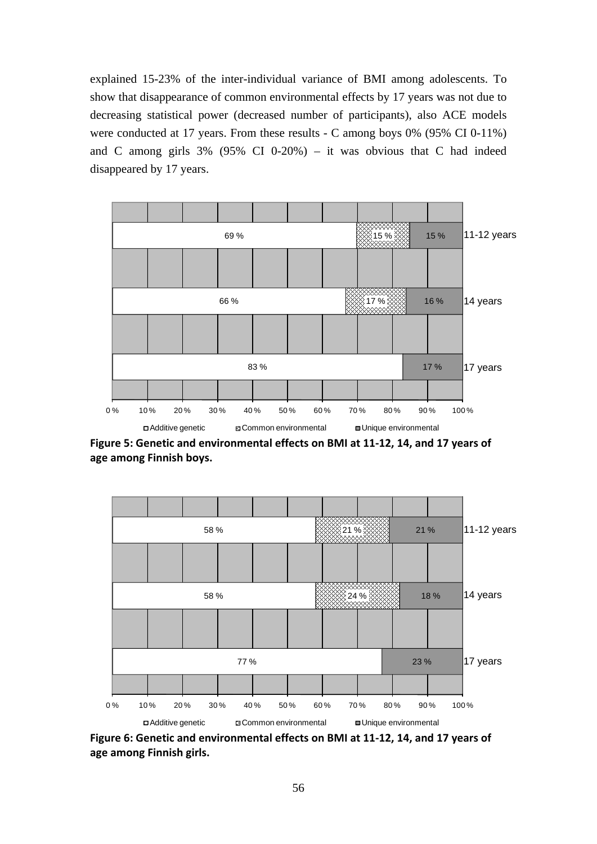explained 15-23% of the inter-individual variance of BMI among adolescents. To show that disappearance of common environmental effects by 17 years was not due to decreasing statistical power (decreased number of participants), also ACE models were conducted at 17 years. From these results - C among boys 0% (95% CI 0-11%) and C among girls  $3\%$  (95% CI 0-20%) – it was obvious that C had indeed disappeared by 17 years.



**Figure 5: Genetic and environmental effects on BMI at 11-12, 14, and 17 years of age among Finnish boys.** 



**Figure 6: Genetic and environmental effects on BMI at 11-12, 14, and 17 years of age among Finnish girls.**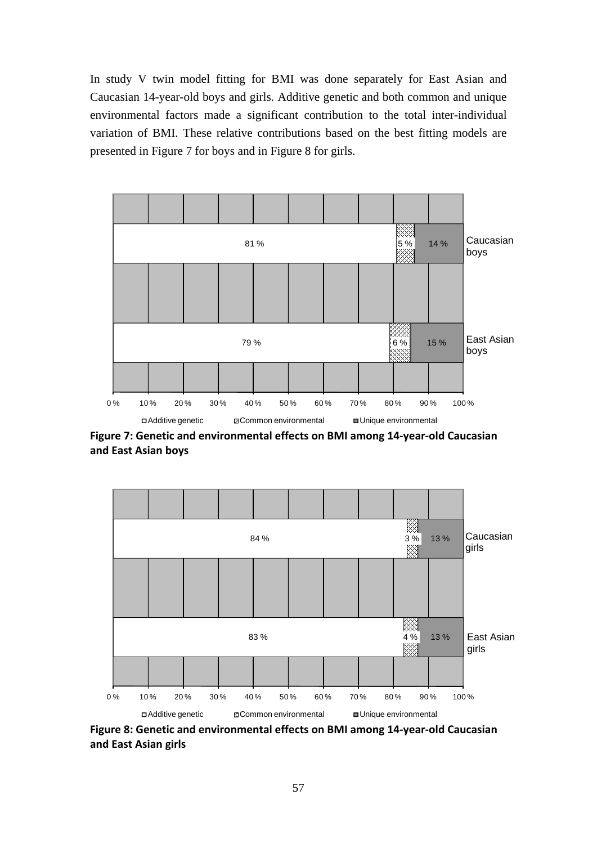In study V twin model fitting for BMI was done separately for East Asian and Caucasian 14-year-old boys and girls. Additive genetic and both common and unique environmental factors made a significant contribution to the total inter-individual variation of BMI. These relative contributions based on the best fitting models are presented in Figure 7 for boys and in Figure 8 for girls.



**Figure 7: Genetic and environmental effects on BMI among 14-year-old Caucasian and East Asian boys** 



**Figure 8: Genetic and environmental effects on BMI among 14-year-old Caucasian and East Asian girls**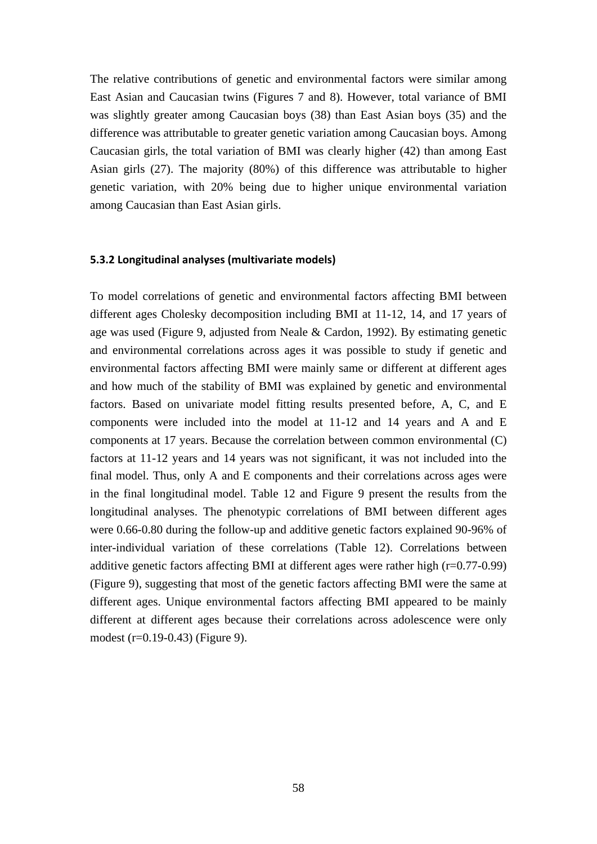The relative contributions of genetic and environmental factors were similar among East Asian and Caucasian twins (Figures 7 and 8). However, total variance of BMI was slightly greater among Caucasian boys (38) than East Asian boys (35) and the difference was attributable to greater genetic variation among Caucasian boys. Among Caucasian girls, the total variation of BMI was clearly higher (42) than among East Asian girls (27). The majority (80%) of this difference was attributable to higher genetic variation, with 20% being due to higher unique environmental variation among Caucasian than East Asian girls.

#### **5.3.2 Longitudinal analyses (multivariate models)**

To model correlations of genetic and environmental factors affecting BMI between different ages Cholesky decomposition including BMI at 11-12, 14, and 17 years of age was used (Figure 9, adjusted from Neale & Cardon, 1992). By estimating genetic and environmental correlations across ages it was possible to study if genetic and environmental factors affecting BMI were mainly same or different at different ages and how much of the stability of BMI was explained by genetic and environmental factors. Based on univariate model fitting results presented before, A, C, and E components were included into the model at 11-12 and 14 years and A and E components at 17 years. Because the correlation between common environmental (C) factors at 11-12 years and 14 years was not significant, it was not included into the final model. Thus, only A and E components and their correlations across ages were in the final longitudinal model. Table 12 and Figure 9 present the results from the longitudinal analyses. The phenotypic correlations of BMI between different ages were 0.66-0.80 during the follow-up and additive genetic factors explained 90-96% of inter-individual variation of these correlations (Table 12). Correlations between additive genetic factors affecting BMI at different ages were rather high (r=0.77-0.99) (Figure 9), suggesting that most of the genetic factors affecting BMI were the same at different ages. Unique environmental factors affecting BMI appeared to be mainly different at different ages because their correlations across adolescence were only modest (r=0.19-0.43) (Figure 9).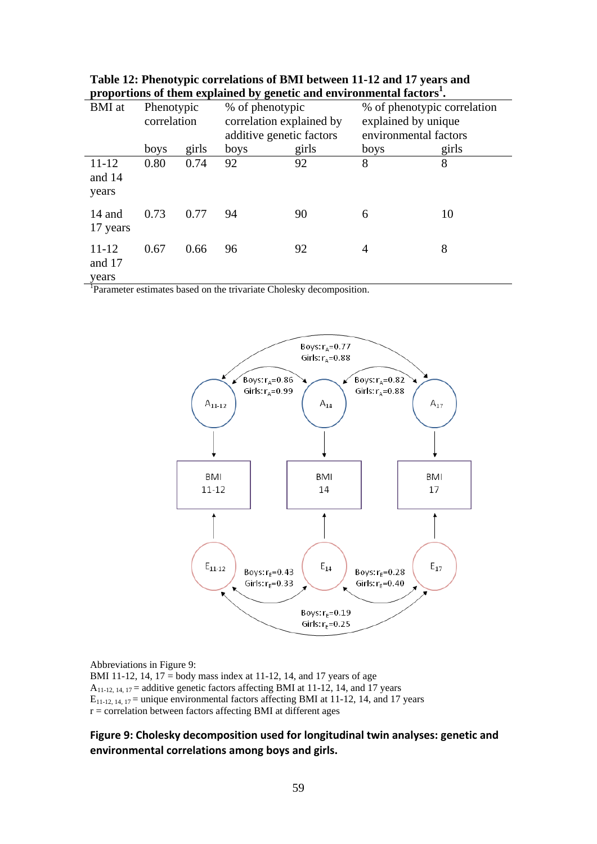|                              |                           |       | ~ ມ ສະ                                                                  |       |                                                                             |       |
|------------------------------|---------------------------|-------|-------------------------------------------------------------------------|-------|-----------------------------------------------------------------------------|-------|
| <b>BMI</b> at                | Phenotypic<br>correlation |       | % of phenotypic<br>correlation explained by<br>additive genetic factors |       | % of phenotypic correlation<br>explained by unique<br>environmental factors |       |
|                              | boys                      | girls | boys                                                                    | girls | boys                                                                        | girls |
| $11 - 12$<br>and 14<br>years | 0.80                      | 0.74  | 92                                                                      | 92    | 8                                                                           | 8     |
| 14 and<br>17 years           | 0.73                      | 0.77  | 94                                                                      | 90    | 6                                                                           | 10    |
| $11 - 12$<br>and 17<br>years | 0.67                      | 0.66  | 96                                                                      | 92    | 4                                                                           | 8     |

| Table 12: Phenotypic correlations of BMI between 11-12 and 17 years and           |
|-----------------------------------------------------------------------------------|
| proportions of them explained by genetic and environmental factors <sup>1</sup> . |

<sup>1</sup>Parameter estimates based on the trivariate Cholesky decomposition.



Abbreviations in Figure 9:

BMI 11-12, 14, 17 = body mass index at 11-12, 14, and 17 years of age  $A_{11-12, 14, 17}$  = additive genetic factors affecting BMI at 11-12, 14, and 17 years  $E_{11-12, 14, 17}$  = unique environmental factors affecting BMI at 11-12, 14, and 17 years  $r =$  correlation between factors affecting BMI at different ages

## **Figure 9: Cholesky decomposition used for longitudinal twin analyses: genetic and environmental correlations among boys and girls.**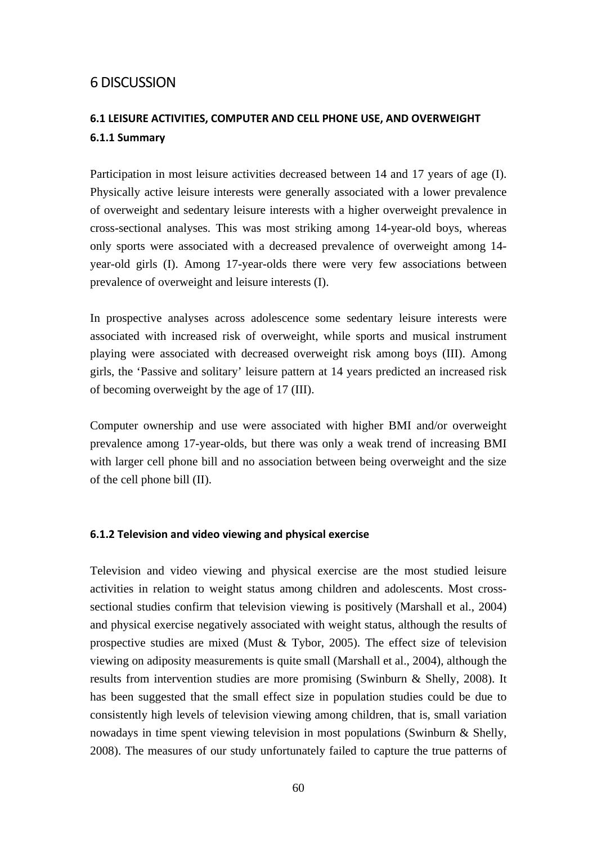# 6 DISCUSSION

# **6.1 LEISURE ACTIVITIES, COMPUTER AND CELL PHONE USE, AND OVERWEIGHT 6.1.1 Summary**

Participation in most leisure activities decreased between 14 and 17 years of age (I). Physically active leisure interests were generally associated with a lower prevalence of overweight and sedentary leisure interests with a higher overweight prevalence in cross-sectional analyses. This was most striking among 14-year-old boys, whereas only sports were associated with a decreased prevalence of overweight among 14 year-old girls (I). Among 17-year-olds there were very few associations between prevalence of overweight and leisure interests (I).

In prospective analyses across adolescence some sedentary leisure interests were associated with increased risk of overweight, while sports and musical instrument playing were associated with decreased overweight risk among boys (III). Among girls, the 'Passive and solitary' leisure pattern at 14 years predicted an increased risk of becoming overweight by the age of 17 (III).

Computer ownership and use were associated with higher BMI and/or overweight prevalence among 17-year-olds, but there was only a weak trend of increasing BMI with larger cell phone bill and no association between being overweight and the size of the cell phone bill (II).

## **6.1.2 Television and video viewing and physical exercise**

Television and video viewing and physical exercise are the most studied leisure activities in relation to weight status among children and adolescents. Most crosssectional studies confirm that television viewing is positively (Marshall et al., 2004) and physical exercise negatively associated with weight status, although the results of prospective studies are mixed (Must & Tybor, 2005). The effect size of television viewing on adiposity measurements is quite small (Marshall et al., 2004), although the results from intervention studies are more promising (Swinburn & Shelly, 2008). It has been suggested that the small effect size in population studies could be due to consistently high levels of television viewing among children, that is, small variation nowadays in time spent viewing television in most populations (Swinburn & Shelly, 2008). The measures of our study unfortunately failed to capture the true patterns of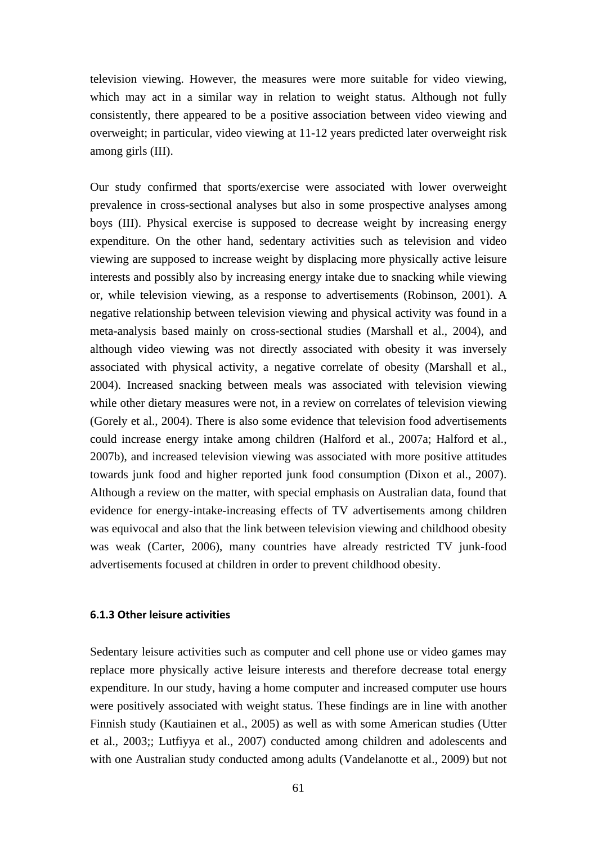television viewing. However, the measures were more suitable for video viewing, which may act in a similar way in relation to weight status. Although not fully consistently, there appeared to be a positive association between video viewing and overweight; in particular, video viewing at 11-12 years predicted later overweight risk among girls (III).

Our study confirmed that sports/exercise were associated with lower overweight prevalence in cross-sectional analyses but also in some prospective analyses among boys (III). Physical exercise is supposed to decrease weight by increasing energy expenditure. On the other hand, sedentary activities such as television and video viewing are supposed to increase weight by displacing more physically active leisure interests and possibly also by increasing energy intake due to snacking while viewing or, while television viewing, as a response to advertisements (Robinson, 2001). A negative relationship between television viewing and physical activity was found in a meta-analysis based mainly on cross-sectional studies (Marshall et al., 2004), and although video viewing was not directly associated with obesity it was inversely associated with physical activity, a negative correlate of obesity (Marshall et al., 2004). Increased snacking between meals was associated with television viewing while other dietary measures were not, in a review on correlates of television viewing (Gorely et al., 2004). There is also some evidence that television food advertisements could increase energy intake among children (Halford et al., 2007a; Halford et al., 2007b), and increased television viewing was associated with more positive attitudes towards junk food and higher reported junk food consumption (Dixon et al., 2007). Although a review on the matter, with special emphasis on Australian data, found that evidence for energy-intake-increasing effects of TV advertisements among children was equivocal and also that the link between television viewing and childhood obesity was weak (Carter, 2006), many countries have already restricted TV junk-food advertisements focused at children in order to prevent childhood obesity.

#### **6.1.3 Other leisure activities**

Sedentary leisure activities such as computer and cell phone use or video games may replace more physically active leisure interests and therefore decrease total energy expenditure. In our study, having a home computer and increased computer use hours were positively associated with weight status. These findings are in line with another Finnish study (Kautiainen et al., 2005) as well as with some American studies (Utter et al., 2003;; Lutfiyya et al., 2007) conducted among children and adolescents and with one Australian study conducted among adults (Vandelanotte et al., 2009) but not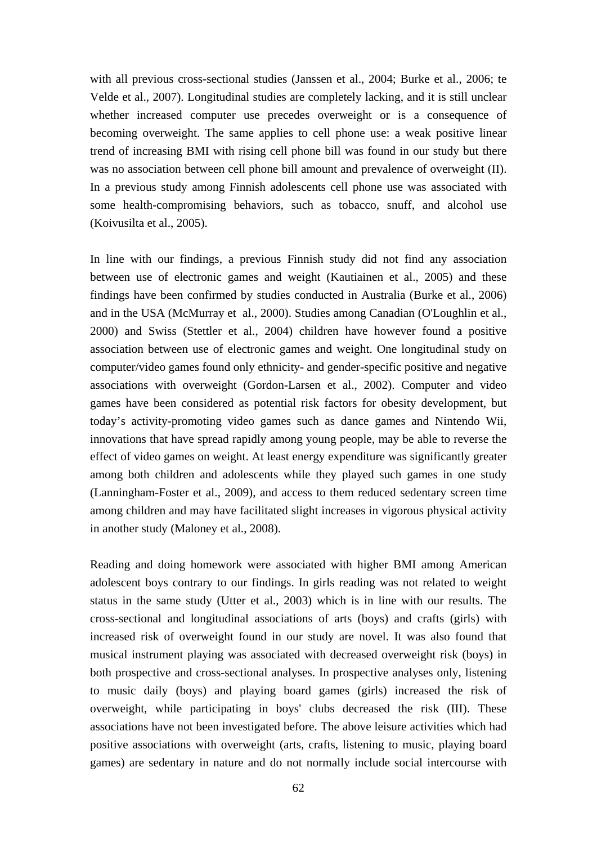with all previous cross-sectional studies (Janssen et al., 2004; Burke et al., 2006; te Velde et al., 2007). Longitudinal studies are completely lacking, and it is still unclear whether increased computer use precedes overweight or is a consequence of becoming overweight. The same applies to cell phone use: a weak positive linear trend of increasing BMI with rising cell phone bill was found in our study but there was no association between cell phone bill amount and prevalence of overweight (II). In a previous study among Finnish adolescents cell phone use was associated with some health-compromising behaviors, such as tobacco, snuff, and alcohol use (Koivusilta et al., 2005).

In line with our findings, a previous Finnish study did not find any association between use of electronic games and weight (Kautiainen et al., 2005) and these findings have been confirmed by studies conducted in Australia (Burke et al., 2006) and in the USA (McMurray et al., 2000). Studies among Canadian (O'Loughlin et al., 2000) and Swiss (Stettler et al., 2004) children have however found a positive association between use of electronic games and weight. One longitudinal study on computer/video games found only ethnicity- and gender-specific positive and negative associations with overweight (Gordon-Larsen et al., 2002). Computer and video games have been considered as potential risk factors for obesity development, but today's activity-promoting video games such as dance games and Nintendo Wii, innovations that have spread rapidly among young people, may be able to reverse the effect of video games on weight. At least energy expenditure was significantly greater among both children and adolescents while they played such games in one study (Lanningham-Foster et al., 2009), and access to them reduced sedentary screen time among children and may have facilitated slight increases in vigorous physical activity in another study (Maloney et al., 2008).

Reading and doing homework were associated with higher BMI among American adolescent boys contrary to our findings. In girls reading was not related to weight status in the same study (Utter et al., 2003) which is in line with our results. The cross-sectional and longitudinal associations of arts (boys) and crafts (girls) with increased risk of overweight found in our study are novel. It was also found that musical instrument playing was associated with decreased overweight risk (boys) in both prospective and cross-sectional analyses. In prospective analyses only, listening to music daily (boys) and playing board games (girls) increased the risk of overweight, while participating in boys' clubs decreased the risk (III). These associations have not been investigated before. The above leisure activities which had positive associations with overweight (arts, crafts, listening to music, playing board games) are sedentary in nature and do not normally include social intercourse with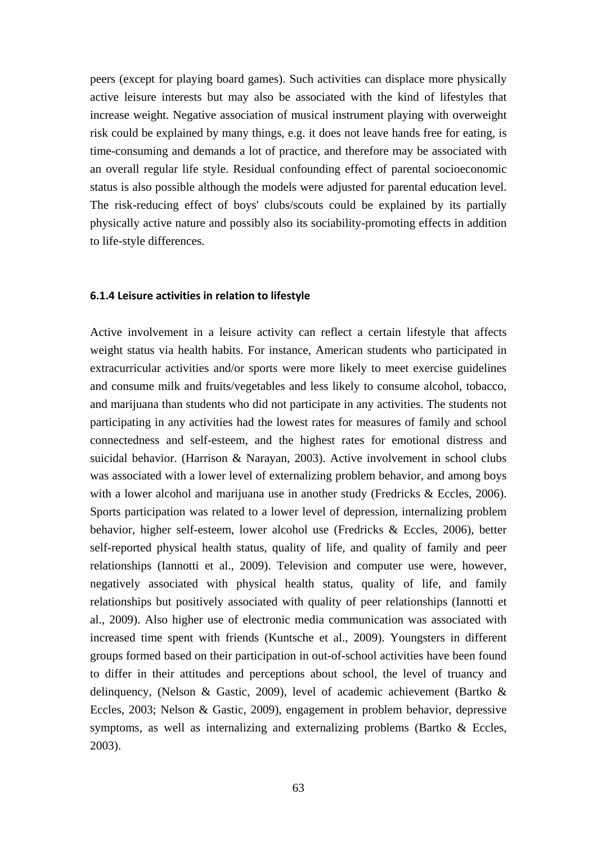peers (except for playing board games). Such activities can displace more physically active leisure interests but may also be associated with the kind of lifestyles that increase weight. Negative association of musical instrument playing with overweight risk could be explained by many things, e.g. it does not leave hands free for eating, is time-consuming and demands a lot of practice, and therefore may be associated with an overall regular life style. Residual confounding effect of parental socioeconomic status is also possible although the models were adjusted for parental education level. The risk-reducing effect of boys' clubs/scouts could be explained by its partially physically active nature and possibly also its sociability-promoting effects in addition to life-style differences.

#### **6.1.4 Leisure activities in relation to lifestyle**

Active involvement in a leisure activity can reflect a certain lifestyle that affects weight status via health habits. For instance, American students who participated in extracurricular activities and/or sports were more likely to meet exercise guidelines and consume milk and fruits/vegetables and less likely to consume alcohol, tobacco, and marijuana than students who did not participate in any activities. The students not participating in any activities had the lowest rates for measures of family and school connectedness and self-esteem, and the highest rates for emotional distress and suicidal behavior. (Harrison & Narayan, 2003). Active involvement in school clubs was associated with a lower level of externalizing problem behavior, and among boys with a lower alcohol and marijuana use in another study (Fredricks & Eccles, 2006). Sports participation was related to a lower level of depression, internalizing problem behavior, higher self-esteem, lower alcohol use (Fredricks & Eccles, 2006), better self-reported physical health status, quality of life, and quality of family and peer relationships (Iannotti et al., 2009). Television and computer use were, however, negatively associated with physical health status, quality of life, and family relationships but positively associated with quality of peer relationships (Iannotti et al., 2009). Also higher use of electronic media communication was associated with increased time spent with friends (Kuntsche et al., 2009). Youngsters in different groups formed based on their participation in out-of-school activities have been found to differ in their attitudes and perceptions about school, the level of truancy and delinquency, (Nelson & Gastic, 2009), level of academic achievement (Bartko & Eccles, 2003; Nelson & Gastic, 2009), engagement in problem behavior, depressive symptoms, as well as internalizing and externalizing problems (Bartko & Eccles, 2003).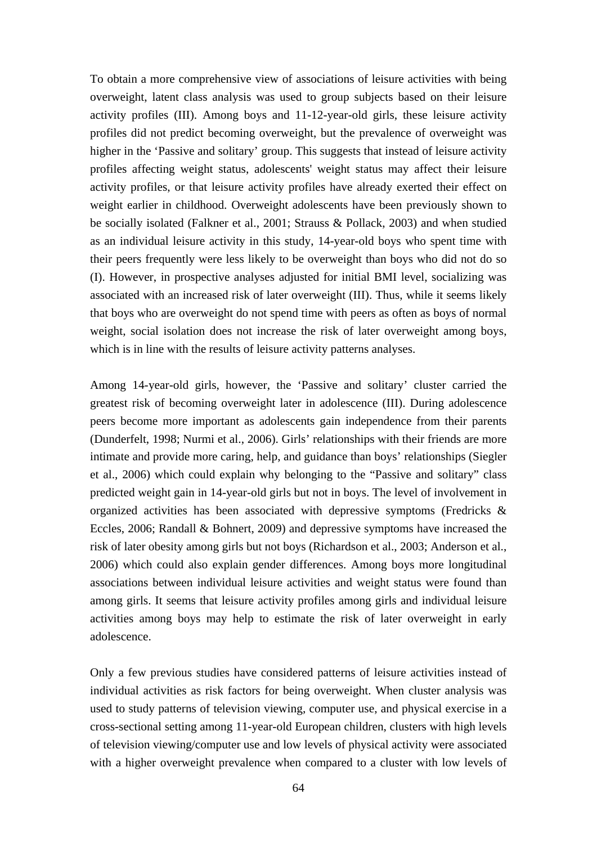To obtain a more comprehensive view of associations of leisure activities with being overweight, latent class analysis was used to group subjects based on their leisure activity profiles (III). Among boys and 11-12-year-old girls, these leisure activity profiles did not predict becoming overweight, but the prevalence of overweight was higher in the 'Passive and solitary' group. This suggests that instead of leisure activity profiles affecting weight status, adolescents' weight status may affect their leisure activity profiles, or that leisure activity profiles have already exerted their effect on weight earlier in childhood. Overweight adolescents have been previously shown to be socially isolated (Falkner et al., 2001; Strauss & Pollack, 2003) and when studied as an individual leisure activity in this study, 14-year-old boys who spent time with their peers frequently were less likely to be overweight than boys who did not do so (I). However, in prospective analyses adjusted for initial BMI level, socializing was associated with an increased risk of later overweight (III). Thus, while it seems likely that boys who are overweight do not spend time with peers as often as boys of normal weight, social isolation does not increase the risk of later overweight among boys, which is in line with the results of leisure activity patterns analyses.

Among 14-year-old girls, however, the 'Passive and solitary' cluster carried the greatest risk of becoming overweight later in adolescence (III). During adolescence peers become more important as adolescents gain independence from their parents (Dunderfelt, 1998; Nurmi et al., 2006). Girls' relationships with their friends are more intimate and provide more caring, help, and guidance than boys' relationships (Siegler et al., 2006) which could explain why belonging to the "Passive and solitary" class predicted weight gain in 14-year-old girls but not in boys. The level of involvement in organized activities has been associated with depressive symptoms (Fredricks & Eccles, 2006; Randall & Bohnert, 2009) and depressive symptoms have increased the risk of later obesity among girls but not boys (Richardson et al., 2003; Anderson et al., 2006) which could also explain gender differences. Among boys more longitudinal associations between individual leisure activities and weight status were found than among girls. It seems that leisure activity profiles among girls and individual leisure activities among boys may help to estimate the risk of later overweight in early adolescence.

Only a few previous studies have considered patterns of leisure activities instead of individual activities as risk factors for being overweight. When cluster analysis was used to study patterns of television viewing, computer use, and physical exercise in a cross-sectional setting among 11-year-old European children, clusters with high levels of television viewing/computer use and low levels of physical activity were associated with a higher overweight prevalence when compared to a cluster with low levels of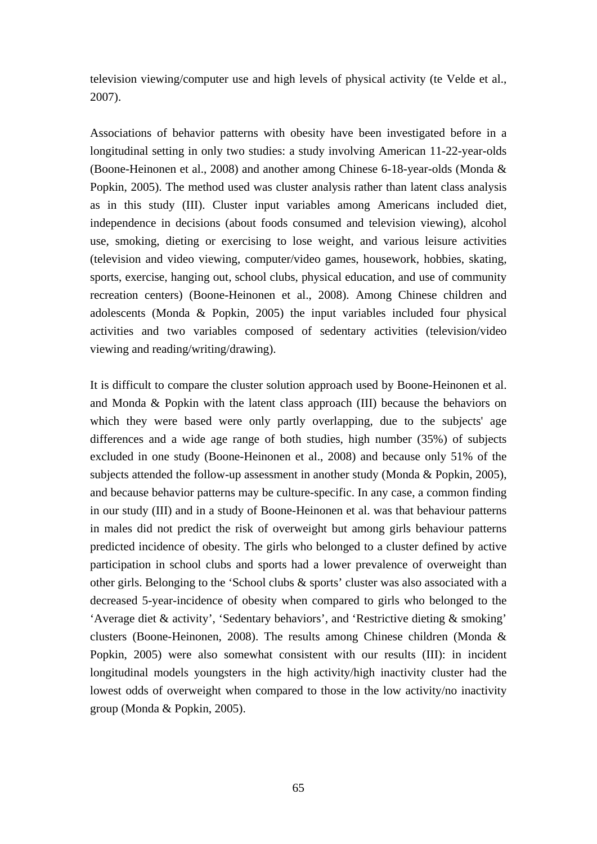television viewing/computer use and high levels of physical activity (te Velde et al., 2007).

Associations of behavior patterns with obesity have been investigated before in a longitudinal setting in only two studies: a study involving American 11-22-year-olds (Boone-Heinonen et al., 2008) and another among Chinese 6-18-year-olds (Monda & Popkin, 2005). The method used was cluster analysis rather than latent class analysis as in this study (III). Cluster input variables among Americans included diet, independence in decisions (about foods consumed and television viewing), alcohol use, smoking, dieting or exercising to lose weight, and various leisure activities (television and video viewing, computer/video games, housework, hobbies, skating, sports, exercise, hanging out, school clubs, physical education, and use of community recreation centers) (Boone-Heinonen et al., 2008). Among Chinese children and adolescents (Monda & Popkin, 2005) the input variables included four physical activities and two variables composed of sedentary activities (television/video viewing and reading/writing/drawing).

It is difficult to compare the cluster solution approach used by Boone-Heinonen et al. and Monda & Popkin with the latent class approach (III) because the behaviors on which they were based were only partly overlapping, due to the subjects' age differences and a wide age range of both studies, high number (35%) of subjects excluded in one study (Boone-Heinonen et al., 2008) and because only 51% of the subjects attended the follow-up assessment in another study (Monda & Popkin, 2005), and because behavior patterns may be culture-specific. In any case, a common finding in our study (III) and in a study of Boone-Heinonen et al. was that behaviour patterns in males did not predict the risk of overweight but among girls behaviour patterns predicted incidence of obesity. The girls who belonged to a cluster defined by active participation in school clubs and sports had a lower prevalence of overweight than other girls. Belonging to the 'School clubs & sports' cluster was also associated with a decreased 5-year-incidence of obesity when compared to girls who belonged to the 'Average diet & activity', 'Sedentary behaviors', and 'Restrictive dieting & smoking' clusters (Boone-Heinonen, 2008). The results among Chinese children (Monda & Popkin, 2005) were also somewhat consistent with our results (III): in incident longitudinal models youngsters in the high activity/high inactivity cluster had the lowest odds of overweight when compared to those in the low activity/no inactivity group (Monda & Popkin, 2005).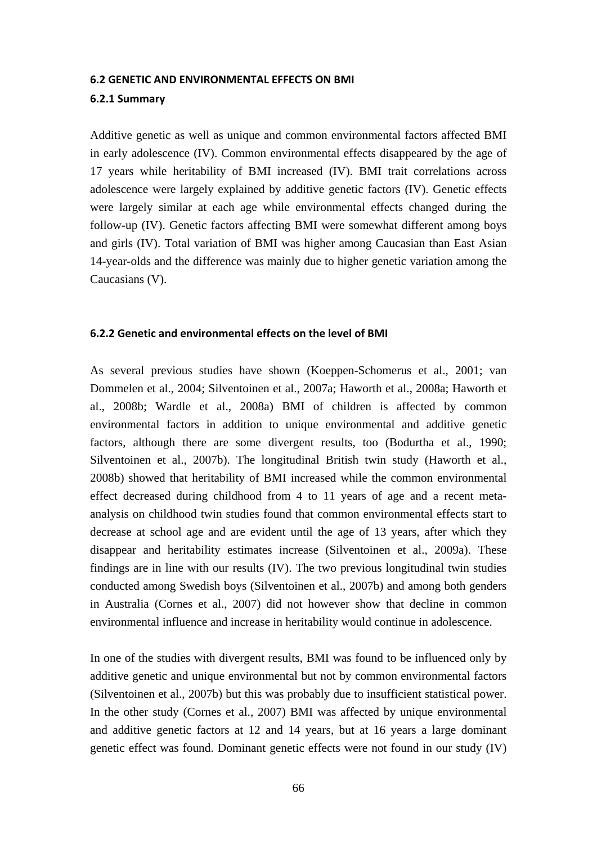#### **6.2 GENETIC AND ENVIRONMENTAL EFFECTS ON BMI**

### **6.2.1 Summary**

Additive genetic as well as unique and common environmental factors affected BMI in early adolescence (IV). Common environmental effects disappeared by the age of 17 years while heritability of BMI increased (IV). BMI trait correlations across adolescence were largely explained by additive genetic factors (IV). Genetic effects were largely similar at each age while environmental effects changed during the follow-up (IV). Genetic factors affecting BMI were somewhat different among boys and girls (IV). Total variation of BMI was higher among Caucasian than East Asian 14-year-olds and the difference was mainly due to higher genetic variation among the Caucasians (V).

#### **6.2.2 Genetic and environmental effects on the level of BMI**

As several previous studies have shown (Koeppen-Schomerus et al., 2001; van Dommelen et al., 2004; Silventoinen et al., 2007a; Haworth et al., 2008a; Haworth et al., 2008b; Wardle et al., 2008a) BMI of children is affected by common environmental factors in addition to unique environmental and additive genetic factors, although there are some divergent results, too (Bodurtha et al., 1990; Silventoinen et al., 2007b). The longitudinal British twin study (Haworth et al., 2008b) showed that heritability of BMI increased while the common environmental effect decreased during childhood from 4 to 11 years of age and a recent metaanalysis on childhood twin studies found that common environmental effects start to decrease at school age and are evident until the age of 13 years, after which they disappear and heritability estimates increase (Silventoinen et al., 2009a). These findings are in line with our results (IV). The two previous longitudinal twin studies conducted among Swedish boys (Silventoinen et al., 2007b) and among both genders in Australia (Cornes et al., 2007) did not however show that decline in common environmental influence and increase in heritability would continue in adolescence.

In one of the studies with divergent results, BMI was found to be influenced only by additive genetic and unique environmental but not by common environmental factors (Silventoinen et al., 2007b) but this was probably due to insufficient statistical power. In the other study (Cornes et al., 2007) BMI was affected by unique environmental and additive genetic factors at 12 and 14 years, but at 16 years a large dominant genetic effect was found. Dominant genetic effects were not found in our study (IV)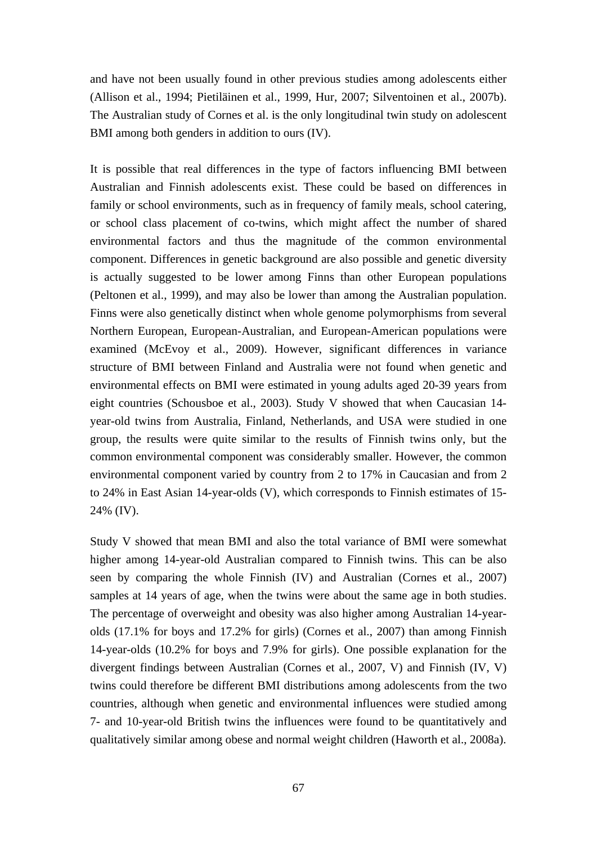and have not been usually found in other previous studies among adolescents either (Allison et al., 1994; Pietiläinen et al., 1999, Hur, 2007; Silventoinen et al., 2007b). The Australian study of Cornes et al. is the only longitudinal twin study on adolescent BMI among both genders in addition to ours (IV).

It is possible that real differences in the type of factors influencing BMI between Australian and Finnish adolescents exist. These could be based on differences in family or school environments, such as in frequency of family meals, school catering, or school class placement of co-twins, which might affect the number of shared environmental factors and thus the magnitude of the common environmental component. Differences in genetic background are also possible and genetic diversity is actually suggested to be lower among Finns than other European populations (Peltonen et al., 1999), and may also be lower than among the Australian population. Finns were also genetically distinct when whole genome polymorphisms from several Northern European, European-Australian, and European-American populations were examined (McEvoy et al., 2009). However, significant differences in variance structure of BMI between Finland and Australia were not found when genetic and environmental effects on BMI were estimated in young adults aged 20-39 years from eight countries (Schousboe et al., 2003). Study V showed that when Caucasian 14 year-old twins from Australia, Finland, Netherlands, and USA were studied in one group, the results were quite similar to the results of Finnish twins only, but the common environmental component was considerably smaller. However, the common environmental component varied by country from 2 to 17% in Caucasian and from 2 to 24% in East Asian 14-year-olds (V), which corresponds to Finnish estimates of 15- 24% (IV).

Study V showed that mean BMI and also the total variance of BMI were somewhat higher among 14-year-old Australian compared to Finnish twins. This can be also seen by comparing the whole Finnish (IV) and Australian (Cornes et al., 2007) samples at 14 years of age, when the twins were about the same age in both studies. The percentage of overweight and obesity was also higher among Australian 14-yearolds (17.1% for boys and 17.2% for girls) (Cornes et al., 2007) than among Finnish 14-year-olds (10.2% for boys and 7.9% for girls). One possible explanation for the divergent findings between Australian (Cornes et al., 2007, V) and Finnish (IV, V) twins could therefore be different BMI distributions among adolescents from the two countries, although when genetic and environmental influences were studied among 7- and 10-year-old British twins the influences were found to be quantitatively and qualitatively similar among obese and normal weight children (Haworth et al., 2008a).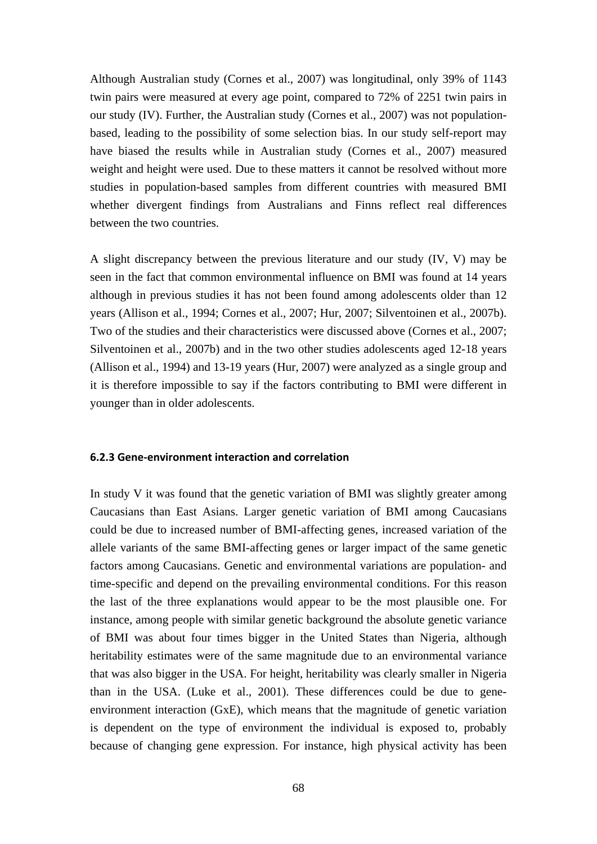Although Australian study (Cornes et al., 2007) was longitudinal, only 39% of 1143 twin pairs were measured at every age point, compared to 72% of 2251 twin pairs in our study (IV). Further, the Australian study (Cornes et al., 2007) was not populationbased, leading to the possibility of some selection bias. In our study self-report may have biased the results while in Australian study (Cornes et al., 2007) measured weight and height were used. Due to these matters it cannot be resolved without more studies in population-based samples from different countries with measured BMI whether divergent findings from Australians and Finns reflect real differences between the two countries.

A slight discrepancy between the previous literature and our study (IV, V) may be seen in the fact that common environmental influence on BMI was found at 14 years although in previous studies it has not been found among adolescents older than 12 years (Allison et al., 1994; Cornes et al., 2007; Hur, 2007; Silventoinen et al., 2007b). Two of the studies and their characteristics were discussed above (Cornes et al., 2007; Silventoinen et al., 2007b) and in the two other studies adolescents aged 12-18 years (Allison et al., 1994) and 13-19 years (Hur, 2007) were analyzed as a single group and it is therefore impossible to say if the factors contributing to BMI were different in younger than in older adolescents.

# **6.2.3 Gene-environment interaction and correlation**

In study V it was found that the genetic variation of BMI was slightly greater among Caucasians than East Asians. Larger genetic variation of BMI among Caucasians could be due to increased number of BMI-affecting genes, increased variation of the allele variants of the same BMI-affecting genes or larger impact of the same genetic factors among Caucasians. Genetic and environmental variations are population- and time-specific and depend on the prevailing environmental conditions. For this reason the last of the three explanations would appear to be the most plausible one. For instance, among people with similar genetic background the absolute genetic variance of BMI was about four times bigger in the United States than Nigeria, although heritability estimates were of the same magnitude due to an environmental variance that was also bigger in the USA. For height, heritability was clearly smaller in Nigeria than in the USA. (Luke et al., 2001). These differences could be due to geneenvironment interaction (GxE), which means that the magnitude of genetic variation is dependent on the type of environment the individual is exposed to, probably because of changing gene expression. For instance, high physical activity has been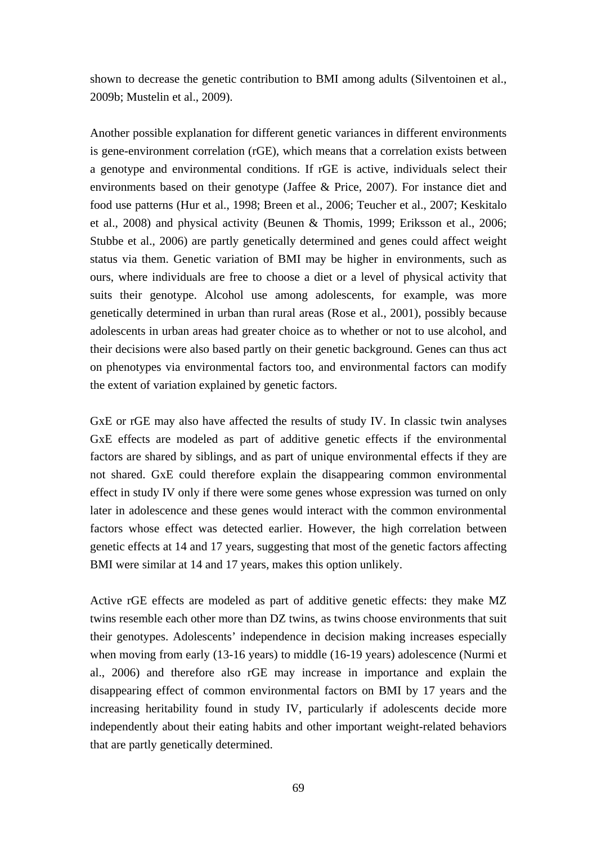shown to decrease the genetic contribution to BMI among adults (Silventoinen et al., 2009b; Mustelin et al., 2009).

Another possible explanation for different genetic variances in different environments is gene-environment correlation (rGE), which means that a correlation exists between a genotype and environmental conditions. If rGE is active, individuals select their environments based on their genotype (Jaffee & Price, 2007). For instance diet and food use patterns (Hur et al., 1998; Breen et al., 2006; Teucher et al., 2007; Keskitalo et al., 2008) and physical activity (Beunen & Thomis, 1999; Eriksson et al., 2006; Stubbe et al., 2006) are partly genetically determined and genes could affect weight status via them. Genetic variation of BMI may be higher in environments, such as ours, where individuals are free to choose a diet or a level of physical activity that suits their genotype. Alcohol use among adolescents, for example, was more genetically determined in urban than rural areas (Rose et al., 2001), possibly because adolescents in urban areas had greater choice as to whether or not to use alcohol, and their decisions were also based partly on their genetic background. Genes can thus act on phenotypes via environmental factors too, and environmental factors can modify the extent of variation explained by genetic factors.

GxE or rGE may also have affected the results of study IV. In classic twin analyses GxE effects are modeled as part of additive genetic effects if the environmental factors are shared by siblings, and as part of unique environmental effects if they are not shared. GxE could therefore explain the disappearing common environmental effect in study IV only if there were some genes whose expression was turned on only later in adolescence and these genes would interact with the common environmental factors whose effect was detected earlier. However, the high correlation between genetic effects at 14 and 17 years, suggesting that most of the genetic factors affecting BMI were similar at 14 and 17 years, makes this option unlikely.

Active rGE effects are modeled as part of additive genetic effects: they make MZ twins resemble each other more than DZ twins, as twins choose environments that suit their genotypes. Adolescents' independence in decision making increases especially when moving from early (13-16 years) to middle (16-19 years) adolescence (Nurmi et al., 2006) and therefore also rGE may increase in importance and explain the disappearing effect of common environmental factors on BMI by 17 years and the increasing heritability found in study IV, particularly if adolescents decide more independently about their eating habits and other important weight-related behaviors that are partly genetically determined.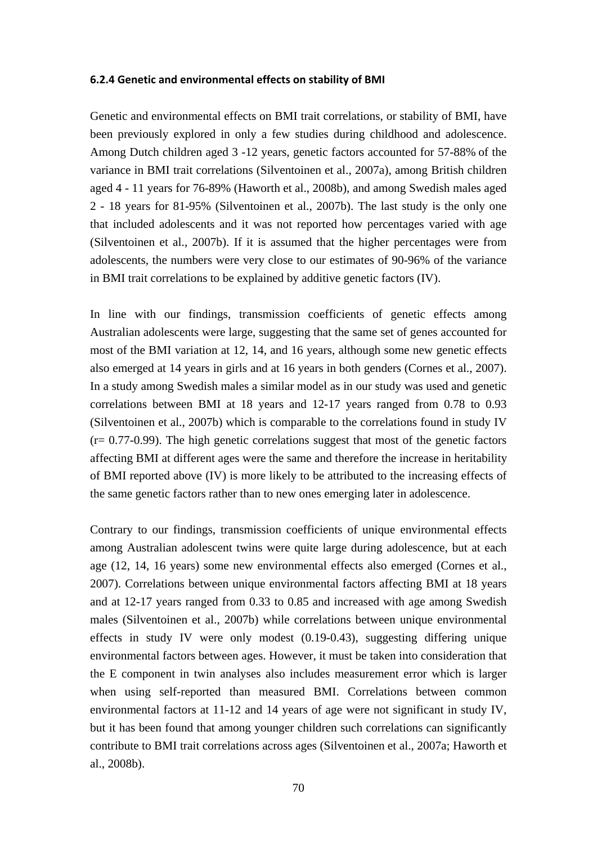#### **6.2.4 Genetic and environmental effects on stability of BMI**

Genetic and environmental effects on BMI trait correlations, or stability of BMI, have been previously explored in only a few studies during childhood and adolescence. Among Dutch children aged 3 -12 years, genetic factors accounted for 57-88% of the variance in BMI trait correlations (Silventoinen et al., 2007a), among British children aged 4 - 11 years for 76-89% (Haworth et al., 2008b), and among Swedish males aged 2 - 18 years for 81-95% (Silventoinen et al., 2007b). The last study is the only one that included adolescents and it was not reported how percentages varied with age (Silventoinen et al., 2007b). If it is assumed that the higher percentages were from adolescents, the numbers were very close to our estimates of 90-96% of the variance in BMI trait correlations to be explained by additive genetic factors (IV).

In line with our findings, transmission coefficients of genetic effects among Australian adolescents were large, suggesting that the same set of genes accounted for most of the BMI variation at 12, 14, and 16 years, although some new genetic effects also emerged at 14 years in girls and at 16 years in both genders (Cornes et al., 2007). In a study among Swedish males a similar model as in our study was used and genetic correlations between BMI at 18 years and 12-17 years ranged from 0.78 to 0.93 (Silventoinen et al., 2007b) which is comparable to the correlations found in study IV (r= 0.77-0.99). The high genetic correlations suggest that most of the genetic factors affecting BMI at different ages were the same and therefore the increase in heritability of BMI reported above (IV) is more likely to be attributed to the increasing effects of the same genetic factors rather than to new ones emerging later in adolescence.

Contrary to our findings, transmission coefficients of unique environmental effects among Australian adolescent twins were quite large during adolescence, but at each age (12, 14, 16 years) some new environmental effects also emerged (Cornes et al., 2007). Correlations between unique environmental factors affecting BMI at 18 years and at 12-17 years ranged from 0.33 to 0.85 and increased with age among Swedish males (Silventoinen et al., 2007b) while correlations between unique environmental effects in study IV were only modest (0.19-0.43), suggesting differing unique environmental factors between ages. However, it must be taken into consideration that the E component in twin analyses also includes measurement error which is larger when using self-reported than measured BMI. Correlations between common environmental factors at 11-12 and 14 years of age were not significant in study IV, but it has been found that among younger children such correlations can significantly contribute to BMI trait correlations across ages (Silventoinen et al., 2007a; Haworth et al., 2008b).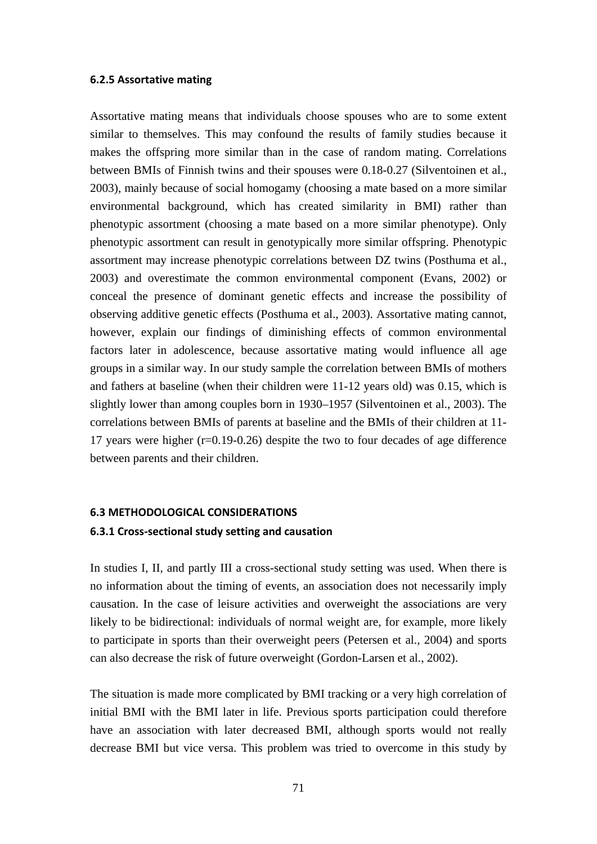#### **6.2.5 Assortative mating**

Assortative mating means that individuals choose spouses who are to some extent similar to themselves. This may confound the results of family studies because it makes the offspring more similar than in the case of random mating. Correlations between BMIs of Finnish twins and their spouses were 0.18-0.27 (Silventoinen et al., 2003), mainly because of social homogamy (choosing a mate based on a more similar environmental background, which has created similarity in BMI) rather than phenotypic assortment (choosing a mate based on a more similar phenotype). Only phenotypic assortment can result in genotypically more similar offspring. Phenotypic assortment may increase phenotypic correlations between DZ twins (Posthuma et al., 2003) and overestimate the common environmental component (Evans, 2002) or conceal the presence of dominant genetic effects and increase the possibility of observing additive genetic effects (Posthuma et al., 2003). Assortative mating cannot, however, explain our findings of diminishing effects of common environmental factors later in adolescence, because assortative mating would influence all age groups in a similar way. In our study sample the correlation between BMIs of mothers and fathers at baseline (when their children were 11-12 years old) was 0.15, which is slightly lower than among couples born in 1930–1957 (Silventoinen et al., 2003). The correlations between BMIs of parents at baseline and the BMIs of their children at 11- 17 years were higher (r=0.19-0.26) despite the two to four decades of age difference between parents and their children.

# **6.3 METHODOLOGICAL CONSIDERATIONS 6.3.1 Cross-sectional study setting and causation**

In studies I, II, and partly III a cross-sectional study setting was used. When there is no information about the timing of events, an association does not necessarily imply causation. In the case of leisure activities and overweight the associations are very likely to be bidirectional: individuals of normal weight are, for example, more likely to participate in sports than their overweight peers (Petersen et al., 2004) and sports can also decrease the risk of future overweight (Gordon-Larsen et al., 2002).

The situation is made more complicated by BMI tracking or a very high correlation of initial BMI with the BMI later in life. Previous sports participation could therefore have an association with later decreased BMI, although sports would not really decrease BMI but vice versa. This problem was tried to overcome in this study by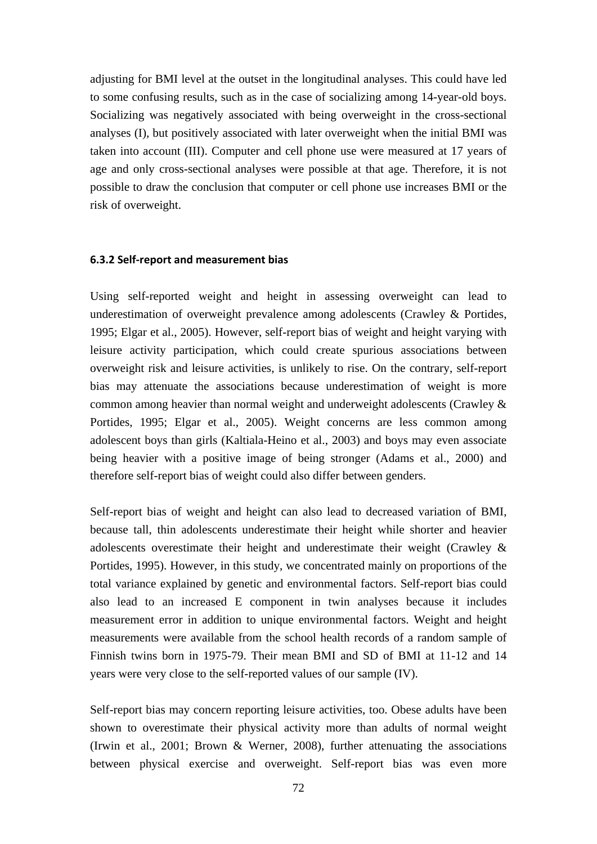adjusting for BMI level at the outset in the longitudinal analyses. This could have led to some confusing results, such as in the case of socializing among 14-year-old boys. Socializing was negatively associated with being overweight in the cross-sectional analyses (I), but positively associated with later overweight when the initial BMI was taken into account (III). Computer and cell phone use were measured at 17 years of age and only cross-sectional analyses were possible at that age. Therefore, it is not possible to draw the conclusion that computer or cell phone use increases BMI or the risk of overweight.

#### **6.3.2 Self-report and measurement bias**

Using self-reported weight and height in assessing overweight can lead to underestimation of overweight prevalence among adolescents (Crawley & Portides, 1995; Elgar et al., 2005). However, self-report bias of weight and height varying with leisure activity participation, which could create spurious associations between overweight risk and leisure activities, is unlikely to rise. On the contrary, self-report bias may attenuate the associations because underestimation of weight is more common among heavier than normal weight and underweight adolescents (Crawley & Portides, 1995; Elgar et al., 2005). Weight concerns are less common among adolescent boys than girls (Kaltiala-Heino et al., 2003) and boys may even associate being heavier with a positive image of being stronger (Adams et al., 2000) and therefore self-report bias of weight could also differ between genders.

Self-report bias of weight and height can also lead to decreased variation of BMI, because tall, thin adolescents underestimate their height while shorter and heavier adolescents overestimate their height and underestimate their weight (Crawley & Portides, 1995). However, in this study, we concentrated mainly on proportions of the total variance explained by genetic and environmental factors. Self-report bias could also lead to an increased E component in twin analyses because it includes measurement error in addition to unique environmental factors. Weight and height measurements were available from the school health records of a random sample of Finnish twins born in 1975-79. Their mean BMI and SD of BMI at 11-12 and 14 years were very close to the self-reported values of our sample (IV).

Self-report bias may concern reporting leisure activities, too. Obese adults have been shown to overestimate their physical activity more than adults of normal weight (Irwin et al., 2001; Brown & Werner, 2008), further attenuating the associations between physical exercise and overweight. Self-report bias was even more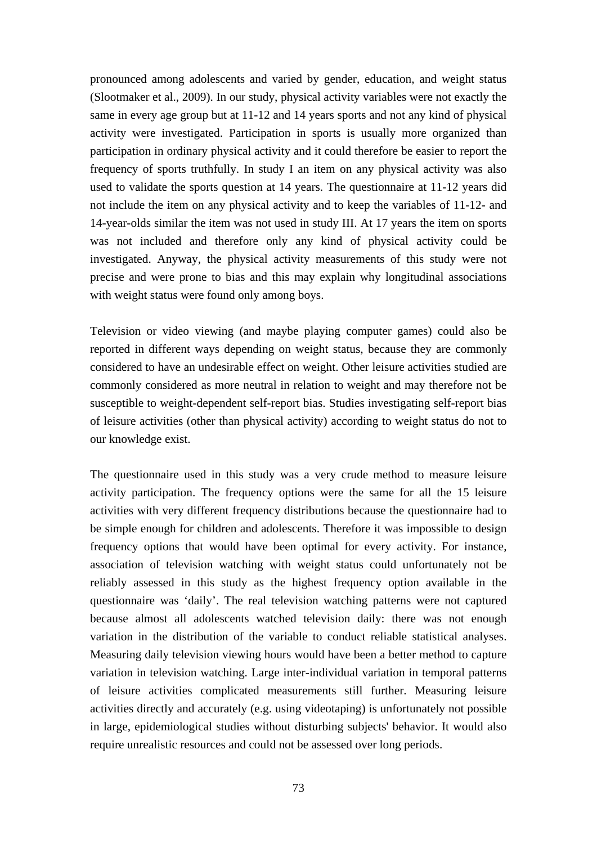pronounced among adolescents and varied by gender, education, and weight status (Slootmaker et al., 2009). In our study, physical activity variables were not exactly the same in every age group but at 11-12 and 14 years sports and not any kind of physical activity were investigated. Participation in sports is usually more organized than participation in ordinary physical activity and it could therefore be easier to report the frequency of sports truthfully. In study I an item on any physical activity was also used to validate the sports question at 14 years. The questionnaire at 11-12 years did not include the item on any physical activity and to keep the variables of 11-12- and 14-year-olds similar the item was not used in study III. At 17 years the item on sports was not included and therefore only any kind of physical activity could be investigated. Anyway, the physical activity measurements of this study were not precise and were prone to bias and this may explain why longitudinal associations with weight status were found only among boys.

Television or video viewing (and maybe playing computer games) could also be reported in different ways depending on weight status, because they are commonly considered to have an undesirable effect on weight. Other leisure activities studied are commonly considered as more neutral in relation to weight and may therefore not be susceptible to weight-dependent self-report bias. Studies investigating self-report bias of leisure activities (other than physical activity) according to weight status do not to our knowledge exist.

The questionnaire used in this study was a very crude method to measure leisure activity participation. The frequency options were the same for all the 15 leisure activities with very different frequency distributions because the questionnaire had to be simple enough for children and adolescents. Therefore it was impossible to design frequency options that would have been optimal for every activity. For instance, association of television watching with weight status could unfortunately not be reliably assessed in this study as the highest frequency option available in the questionnaire was 'daily'. The real television watching patterns were not captured because almost all adolescents watched television daily: there was not enough variation in the distribution of the variable to conduct reliable statistical analyses. Measuring daily television viewing hours would have been a better method to capture variation in television watching. Large inter-individual variation in temporal patterns of leisure activities complicated measurements still further. Measuring leisure activities directly and accurately (e.g. using videotaping) is unfortunately not possible in large, epidemiological studies without disturbing subjects' behavior. It would also require unrealistic resources and could not be assessed over long periods.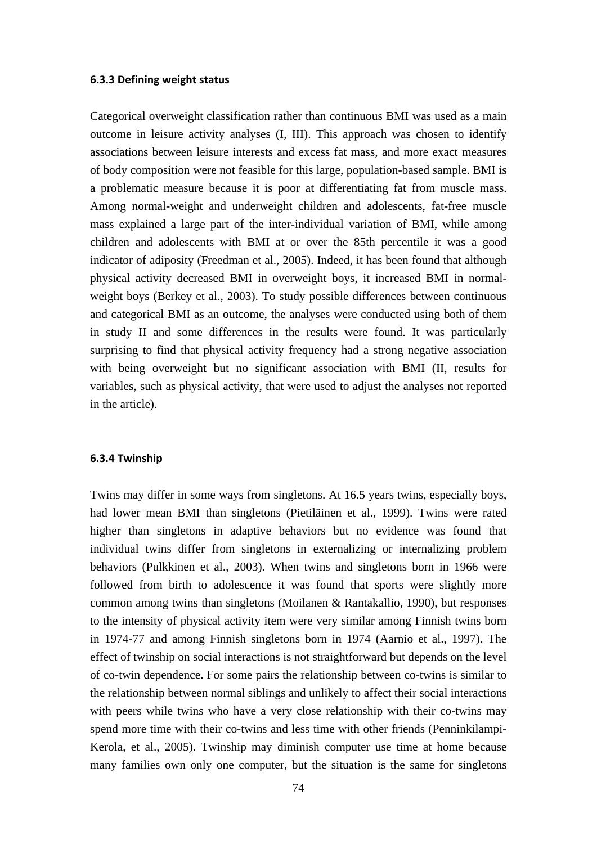### **6.3.3 Defining weight status**

Categorical overweight classification rather than continuous BMI was used as a main outcome in leisure activity analyses (I, III). This approach was chosen to identify associations between leisure interests and excess fat mass, and more exact measures of body composition were not feasible for this large, population-based sample. BMI is a problematic measure because it is poor at differentiating fat from muscle mass. Among normal-weight and underweight children and adolescents, fat-free muscle mass explained a large part of the inter-individual variation of BMI, while among children and adolescents with BMI at or over the 85th percentile it was a good indicator of adiposity (Freedman et al., 2005). Indeed, it has been found that although physical activity decreased BMI in overweight boys, it increased BMI in normalweight boys (Berkey et al., 2003). To study possible differences between continuous and categorical BMI as an outcome, the analyses were conducted using both of them in study II and some differences in the results were found. It was particularly surprising to find that physical activity frequency had a strong negative association with being overweight but no significant association with BMI (II, results for variables, such as physical activity, that were used to adjust the analyses not reported in the article).

#### **6.3.4 Twinship**

Twins may differ in some ways from singletons. At 16.5 years twins, especially boys, had lower mean BMI than singletons (Pietiläinen et al., 1999). Twins were rated higher than singletons in adaptive behaviors but no evidence was found that individual twins differ from singletons in externalizing or internalizing problem behaviors (Pulkkinen et al., 2003). When twins and singletons born in 1966 were followed from birth to adolescence it was found that sports were slightly more common among twins than singletons (Moilanen & Rantakallio, 1990), but responses to the intensity of physical activity item were very similar among Finnish twins born in 1974-77 and among Finnish singletons born in 1974 (Aarnio et al., 1997). The effect of twinship on social interactions is not straightforward but depends on the level of co-twin dependence. For some pairs the relationship between co-twins is similar to the relationship between normal siblings and unlikely to affect their social interactions with peers while twins who have a very close relationship with their co-twins may spend more time with their co-twins and less time with other friends (Penninkilampi-Kerola, et al., 2005). Twinship may diminish computer use time at home because many families own only one computer, but the situation is the same for singletons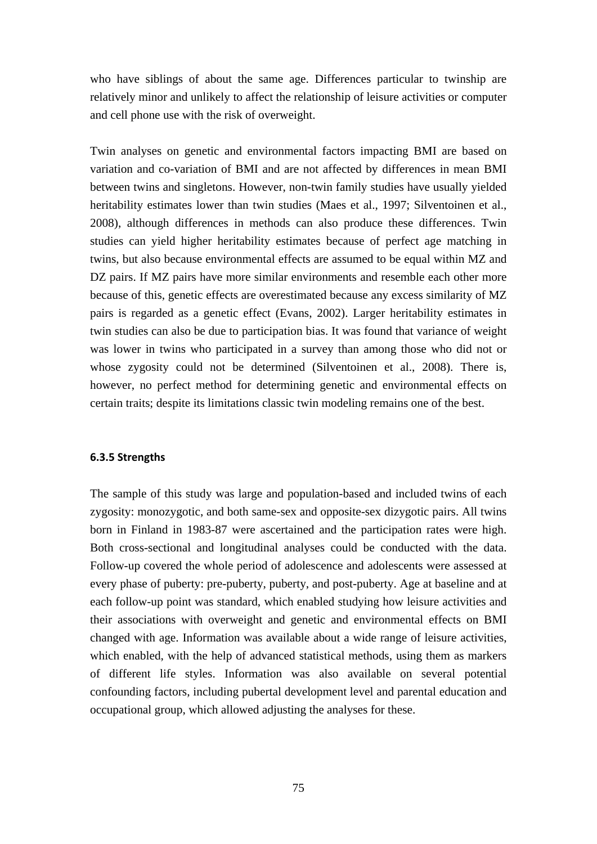who have siblings of about the same age. Differences particular to twinship are relatively minor and unlikely to affect the relationship of leisure activities or computer and cell phone use with the risk of overweight.

Twin analyses on genetic and environmental factors impacting BMI are based on variation and co-variation of BMI and are not affected by differences in mean BMI between twins and singletons. However, non-twin family studies have usually yielded heritability estimates lower than twin studies (Maes et al., 1997; Silventoinen et al., 2008), although differences in methods can also produce these differences. Twin studies can yield higher heritability estimates because of perfect age matching in twins, but also because environmental effects are assumed to be equal within MZ and DZ pairs. If MZ pairs have more similar environments and resemble each other more because of this, genetic effects are overestimated because any excess similarity of MZ pairs is regarded as a genetic effect (Evans, 2002). Larger heritability estimates in twin studies can also be due to participation bias. It was found that variance of weight was lower in twins who participated in a survey than among those who did not or whose zygosity could not be determined (Silventoinen et al., 2008). There is, however, no perfect method for determining genetic and environmental effects on certain traits; despite its limitations classic twin modeling remains one of the best.

## **6.3.5 Strengths**

The sample of this study was large and population-based and included twins of each zygosity: monozygotic, and both same-sex and opposite-sex dizygotic pairs. All twins born in Finland in 1983-87 were ascertained and the participation rates were high. Both cross-sectional and longitudinal analyses could be conducted with the data. Follow-up covered the whole period of adolescence and adolescents were assessed at every phase of puberty: pre-puberty, puberty, and post-puberty. Age at baseline and at each follow-up point was standard, which enabled studying how leisure activities and their associations with overweight and genetic and environmental effects on BMI changed with age. Information was available about a wide range of leisure activities, which enabled, with the help of advanced statistical methods, using them as markers of different life styles. Information was also available on several potential confounding factors, including pubertal development level and parental education and occupational group, which allowed adjusting the analyses for these.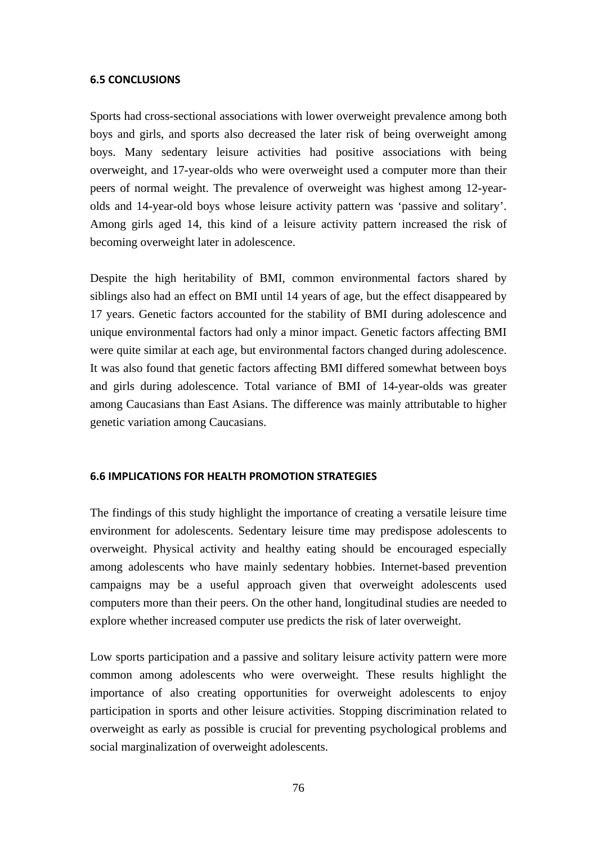### **6.5 CONCLUSIONS**

Sports had cross-sectional associations with lower overweight prevalence among both boys and girls, and sports also decreased the later risk of being overweight among boys. Many sedentary leisure activities had positive associations with being overweight, and 17-year-olds who were overweight used a computer more than their peers of normal weight. The prevalence of overweight was highest among 12-yearolds and 14-year-old boys whose leisure activity pattern was 'passive and solitary'. Among girls aged 14, this kind of a leisure activity pattern increased the risk of becoming overweight later in adolescence.

Despite the high heritability of BMI, common environmental factors shared by siblings also had an effect on BMI until 14 years of age, but the effect disappeared by 17 years. Genetic factors accounted for the stability of BMI during adolescence and unique environmental factors had only a minor impact. Genetic factors affecting BMI were quite similar at each age, but environmental factors changed during adolescence. It was also found that genetic factors affecting BMI differed somewhat between boys and girls during adolescence. Total variance of BMI of 14-year-olds was greater among Caucasians than East Asians. The difference was mainly attributable to higher genetic variation among Caucasians.

#### **6.6 IMPLICATIONS FOR HEALTH PROMOTION STRATEGIES**

The findings of this study highlight the importance of creating a versatile leisure time environment for adolescents. Sedentary leisure time may predispose adolescents to overweight. Physical activity and healthy eating should be encouraged especially among adolescents who have mainly sedentary hobbies. Internet-based prevention campaigns may be a useful approach given that overweight adolescents used computers more than their peers. On the other hand, longitudinal studies are needed to explore whether increased computer use predicts the risk of later overweight.

Low sports participation and a passive and solitary leisure activity pattern were more common among adolescents who were overweight. These results highlight the importance of also creating opportunities for overweight adolescents to enjoy participation in sports and other leisure activities. Stopping discrimination related to overweight as early as possible is crucial for preventing psychological problems and social marginalization of overweight adolescents.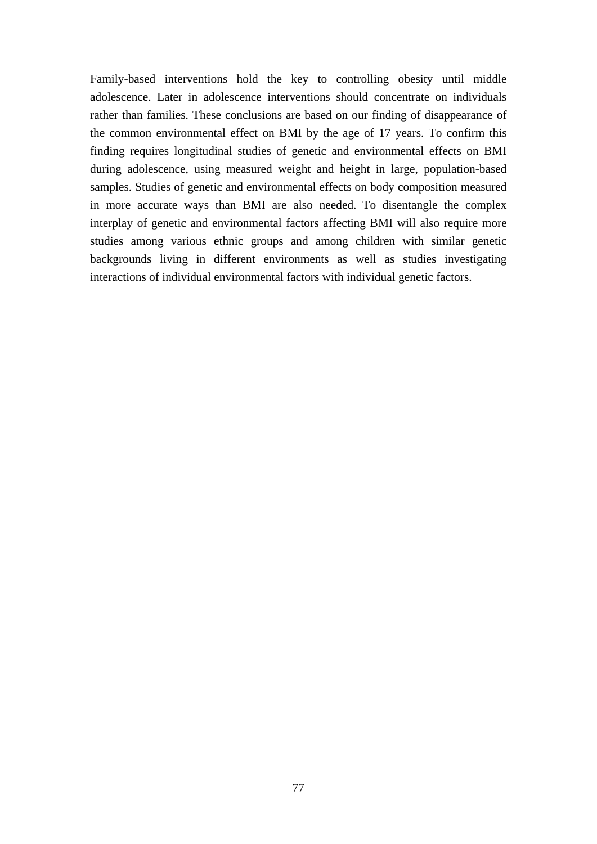Family-based interventions hold the key to controlling obesity until middle adolescence. Later in adolescence interventions should concentrate on individuals rather than families. These conclusions are based on our finding of disappearance of the common environmental effect on BMI by the age of 17 years. To confirm this finding requires longitudinal studies of genetic and environmental effects on BMI during adolescence, using measured weight and height in large, population-based samples. Studies of genetic and environmental effects on body composition measured in more accurate ways than BMI are also needed. To disentangle the complex interplay of genetic and environmental factors affecting BMI will also require more studies among various ethnic groups and among children with similar genetic backgrounds living in different environments as well as studies investigating interactions of individual environmental factors with individual genetic factors.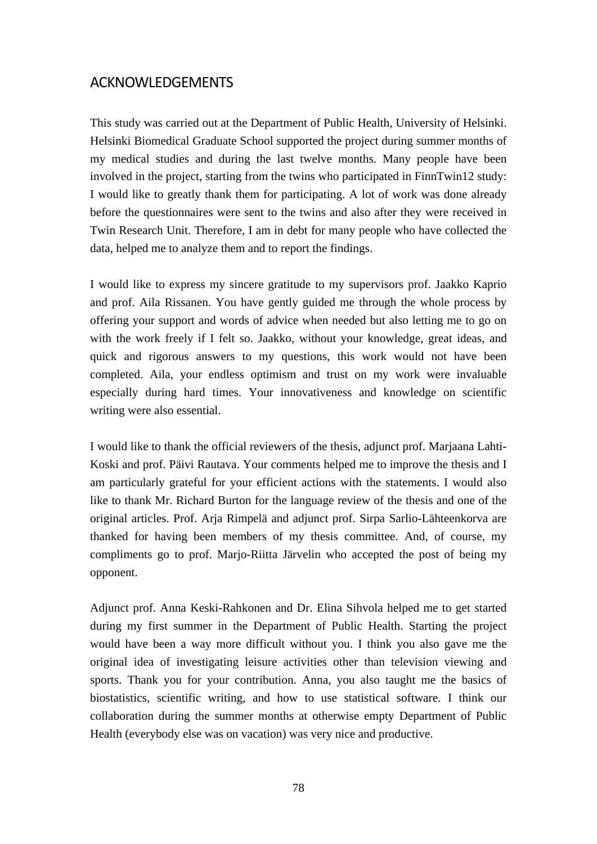# ACKNOWLEDGEMENTS

This study was carried out at the Department of Public Health, University of Helsinki. Helsinki Biomedical Graduate School supported the project during summer months of my medical studies and during the last twelve months. Many people have been involved in the project, starting from the twins who participated in FinnTwin12 study: I would like to greatly thank them for participating. A lot of work was done already before the questionnaires were sent to the twins and also after they were received in Twin Research Unit. Therefore, I am in debt for many people who have collected the data, helped me to analyze them and to report the findings.

I would like to express my sincere gratitude to my supervisors prof. Jaakko Kaprio and prof. Aila Rissanen. You have gently guided me through the whole process by offering your support and words of advice when needed but also letting me to go on with the work freely if I felt so. Jaakko, without your knowledge, great ideas, and quick and rigorous answers to my questions, this work would not have been completed. Aila, your endless optimism and trust on my work were invaluable especially during hard times. Your innovativeness and knowledge on scientific writing were also essential.

I would like to thank the official reviewers of the thesis, adjunct prof. Marjaana Lahti-Koski and prof. Päivi Rautava. Your comments helped me to improve the thesis and I am particularly grateful for your efficient actions with the statements. I would also like to thank Mr. Richard Burton for the language review of the thesis and one of the original articles. Prof. Arja Rimpelä and adjunct prof. Sirpa Sarlio-Lähteenkorva are thanked for having been members of my thesis committee. And, of course, my compliments go to prof. Marjo-Riitta Järvelin who accepted the post of being my opponent.

Adjunct prof. Anna Keski-Rahkonen and Dr. Elina Sihvola helped me to get started during my first summer in the Department of Public Health. Starting the project would have been a way more difficult without you. I think you also gave me the original idea of investigating leisure activities other than television viewing and sports. Thank you for your contribution. Anna, you also taught me the basics of biostatistics, scientific writing, and how to use statistical software. I think our collaboration during the summer months at otherwise empty Department of Public Health (everybody else was on vacation) was very nice and productive.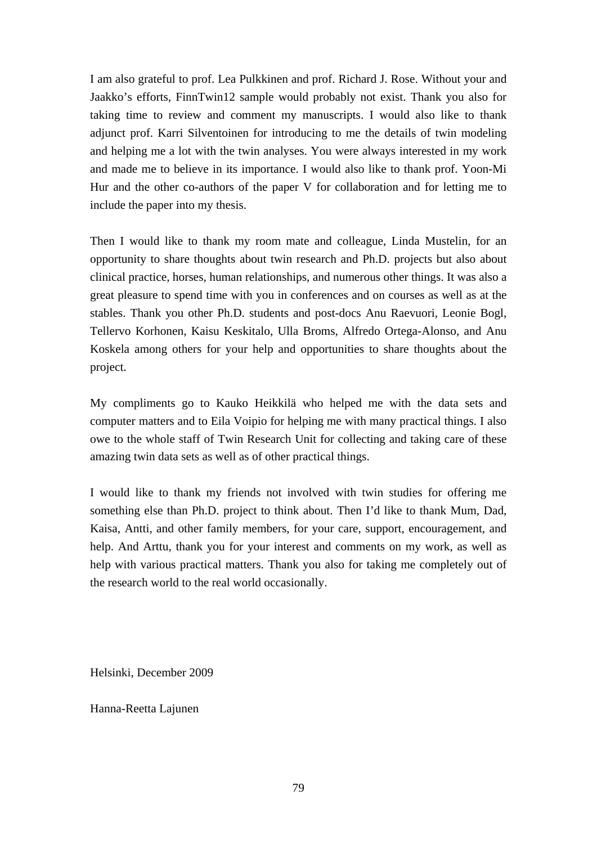I am also grateful to prof. Lea Pulkkinen and prof. Richard J. Rose. Without your and Jaakko's efforts, FinnTwin12 sample would probably not exist. Thank you also for taking time to review and comment my manuscripts. I would also like to thank adjunct prof. Karri Silventoinen for introducing to me the details of twin modeling and helping me a lot with the twin analyses. You were always interested in my work and made me to believe in its importance. I would also like to thank prof. Yoon-Mi Hur and the other co-authors of the paper V for collaboration and for letting me to include the paper into my thesis.

Then I would like to thank my room mate and colleague, Linda Mustelin, for an opportunity to share thoughts about twin research and Ph.D. projects but also about clinical practice, horses, human relationships, and numerous other things. It was also a great pleasure to spend time with you in conferences and on courses as well as at the stables. Thank you other Ph.D. students and post-docs Anu Raevuori, Leonie Bogl, Tellervo Korhonen, Kaisu Keskitalo, Ulla Broms, Alfredo Ortega-Alonso, and Anu Koskela among others for your help and opportunities to share thoughts about the project.

My compliments go to Kauko Heikkilä who helped me with the data sets and computer matters and to Eila Voipio for helping me with many practical things. I also owe to the whole staff of Twin Research Unit for collecting and taking care of these amazing twin data sets as well as of other practical things.

I would like to thank my friends not involved with twin studies for offering me something else than Ph.D. project to think about. Then I'd like to thank Mum, Dad, Kaisa, Antti, and other family members, for your care, support, encouragement, and help. And Arttu, thank you for your interest and comments on my work, as well as help with various practical matters. Thank you also for taking me completely out of the research world to the real world occasionally.

Helsinki, December 2009

Hanna-Reetta Lajunen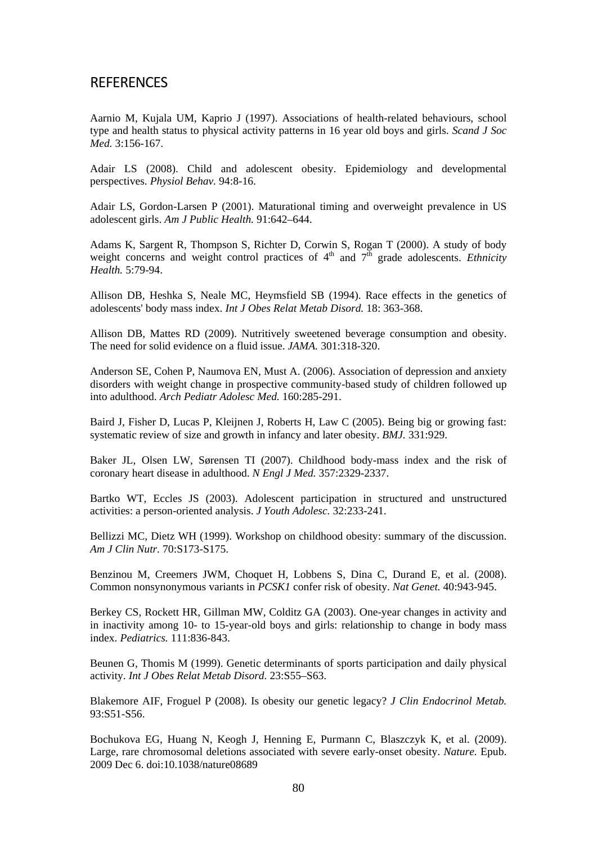# **REFERENCES**

Aarnio M, Kujala UM, Kaprio J (1997). Associations of health-related behaviours, school type and health status to physical activity patterns in 16 year old boys and girls. *Scand J Soc Med.* 3:156-167.

Adair LS (2008). Child and adolescent obesity. Epidemiology and developmental perspectives. *Physiol Behav.* 94:8-16.

Adair LS, Gordon-Larsen P (2001). Maturational timing and overweight prevalence in US adolescent girls. *Am J Public Health.* 91:642–644.

Adams K, Sargent R, Thompson S, Richter D, Corwin S, Rogan T (2000). A study of body weight concerns and weight control practices of  $4<sup>th</sup>$  and  $7<sup>th</sup>$  grade adolescents. *Ethnicity Health.* 5:79-94.

Allison DB, Heshka S, Neale MC, Heymsfield SB (1994). Race effects in the genetics of adolescents' body mass index. *Int J Obes Relat Metab Disord.* 18: 363-368.

Allison DB, Mattes RD (2009). Nutritively sweetened beverage consumption and obesity. The need for solid evidence on a fluid issue. *JAMA.* 301:318-320.

Anderson SE, Cohen P, Naumova EN, Must A. (2006). Association of depression and anxiety disorders with weight change in prospective community-based study of children followed up into adulthood. *Arch Pediatr Adolesc Med.* 160:285-291.

Baird J, Fisher D, Lucas P, Kleijnen J, Roberts H, Law C (2005). Being big or growing fast: systematic review of size and growth in infancy and later obesity. *BMJ.* 331:929.

Baker JL, Olsen LW, Sørensen TI (2007). Childhood body-mass index and the risk of coronary heart disease in adulthood. *N Engl J Med.* 357:2329-2337.

Bartko WT, Eccles JS (2003). Adolescent participation in structured and unstructured activities: a person-oriented analysis. *J Youth Adolesc.* 32:233-241.

Bellizzi MC, Dietz WH (1999). Workshop on childhood obesity: summary of the discussion. *Am J Clin Nutr.* 70:S173-S175.

Benzinou M, Creemers JWM, Choquet H, Lobbens S, Dina C, Durand E, et al. (2008). Common nonsynonymous variants in *PCSK1* confer risk of obesity. *Nat Genet.* 40:943-945.

Berkey CS, Rockett HR, Gillman MW, Colditz GA (2003). One-year changes in activity and in inactivity among 10- to 15-year-old boys and girls: relationship to change in body mass index. *Pediatrics.* 111:836-843.

Beunen G, Thomis M (1999). Genetic determinants of sports participation and daily physical activity. *Int J Obes Relat Metab Disord.* 23:S55–S63.

Blakemore AIF, Froguel P (2008). Is obesity our genetic legacy? *J Clin Endocrinol Metab.* 93:S51-S56.

Bochukova EG, Huang N, Keogh J, Henning E, Purmann C, Blaszczyk K, et al. (2009). Large, rare chromosomal deletions associated with severe early-onset obesity. *Nature.* Epub. 2009 Dec 6. doi:10.1038/nature08689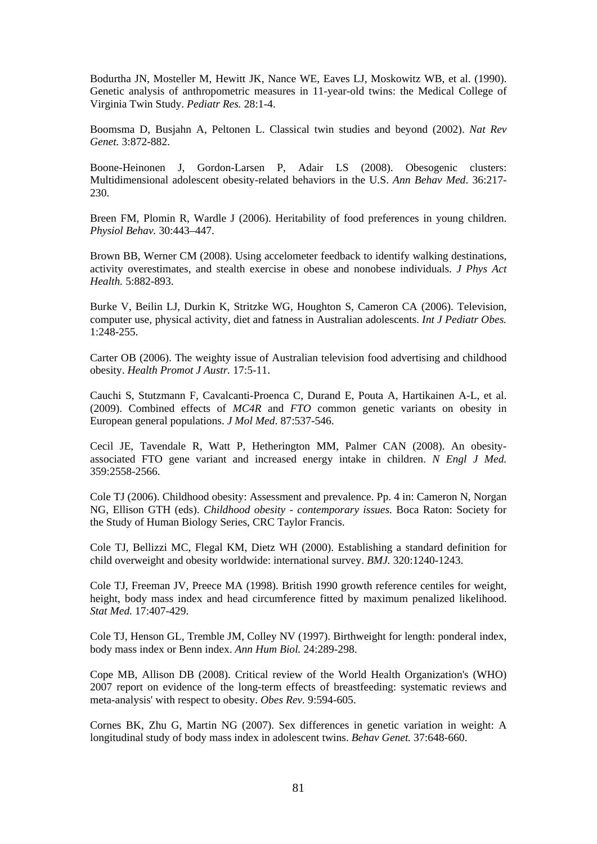Bodurtha JN, Mosteller M, Hewitt JK, Nance WE, Eaves LJ, Moskowitz WB, et al. (1990). Genetic analysis of anthropometric measures in 11-year-old twins: the Medical College of Virginia Twin Study. *Pediatr Res.* 28:1-4.

Boomsma D, Busjahn A, Peltonen L. Classical twin studies and beyond (2002). *Nat Rev Genet.* 3:872-882.

Boone-Heinonen J, Gordon-Larsen P, Adair LS (2008). Obesogenic clusters: Multidimensional adolescent obesity-related behaviors in the U.S. *Ann Behav Med*. 36:217- 230.

Breen FM, Plomin R, Wardle J (2006). Heritability of food preferences in young children. *Physiol Behav.* 30:443–447.

Brown BB, Werner CM (2008). Using accelometer feedback to identify walking destinations, activity overestimates, and stealth exercise in obese and nonobese individuals. *J Phys Act Health.* 5:882-893.

Burke V, Beilin LJ, Durkin K, Stritzke WG, Houghton S, Cameron CA (2006). Television, computer use, physical activity, diet and fatness in Australian adolescents. *Int J Pediatr Obes.* 1:248-255.

Carter OB (2006). The weighty issue of Australian television food advertising and childhood obesity. *Health Promot J Austr.* 17:5-11.

Cauchi S, Stutzmann F, Cavalcanti-Proenca C, Durand E, Pouta A, Hartikainen A-L, et al. (2009). Combined effects of *MC4R* and *FTO* common genetic variants on obesity in European general populations. *J Mol Med*. 87:537-546.

Cecil JE, Tavendale R, Watt P, Hetherington MM, Palmer CAN (2008). An obesityassociated FTO gene variant and increased energy intake in children. *N Engl J Med.* 359:2558-2566.

Cole TJ (2006). Childhood obesity: Assessment and prevalence. Pp. 4 in: Cameron N, Norgan NG, Ellison GTH (eds). *Childhood obesity - contemporary issues.* Boca Raton: Society for the Study of Human Biology Series, CRC Taylor Francis.

Cole TJ, Bellizzi MC, Flegal KM, Dietz WH (2000). Establishing a standard definition for child overweight and obesity worldwide: international survey. *BMJ.* 320:1240-1243.

Cole TJ, Freeman JV, Preece MA (1998). British 1990 growth reference centiles for weight, height, body mass index and head circumference fitted by maximum penalized likelihood. *Stat Med.* 17:407-429.

Cole TJ, Henson GL, Tremble JM, Colley NV (1997). Birthweight for length: ponderal index, body mass index or Benn index. *Ann Hum Biol.* 24:289-298.

Cope MB, Allison DB (2008). Critical review of the World Health Organization's (WHO) 2007 report on evidence of the long-term effects of breastfeeding: systematic reviews and meta-analysis' with respect to obesity. *Obes Rev.* 9:594-605.

Cornes BK, Zhu G, Martin NG (2007). Sex differences in genetic variation in weight: A longitudinal study of body mass index in adolescent twins. *Behav Genet.* 37:648-660.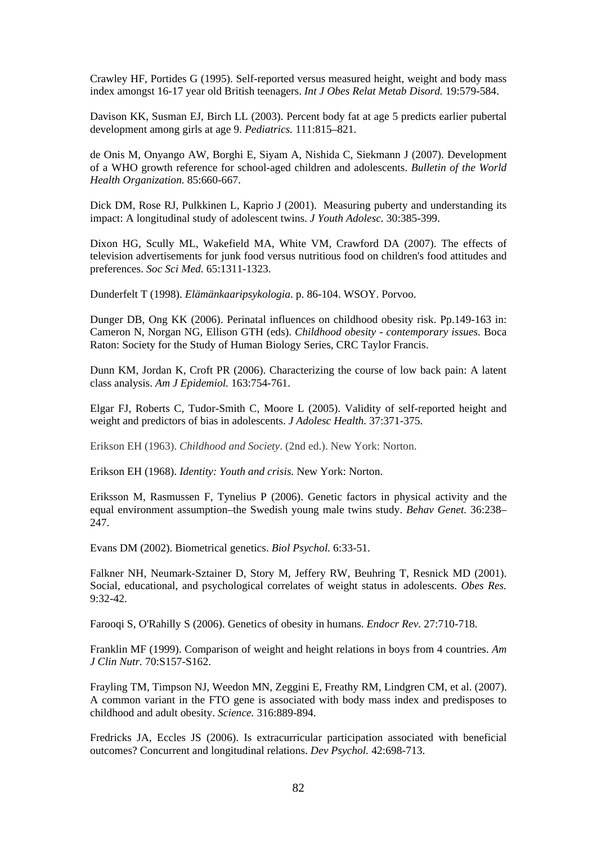Crawley HF, Portides G (1995). Self-reported versus measured height, weight and body mass index amongst 16-17 year old British teenagers. *Int J Obes Relat Metab Disord.* 19:579-584.

Davison KK, Susman EJ, Birch LL (2003). Percent body fat at age 5 predicts earlier pubertal development among girls at age 9. *Pediatrics.* 111:815–821.

de Onis M, Onyango AW, Borghi E, Siyam A, Nishida C, Siekmann J (2007). Development of a WHO growth reference for school-aged children and adolescents. *Bulletin of the World Health Organization.* 85:660-667.

Dick DM, Rose RJ, Pulkkinen L, Kaprio J (2001). Measuring puberty and understanding its impact: A longitudinal study of adolescent twins. *J Youth Adolesc.* 30:385-399.

Dixon HG, Scully ML, Wakefield MA, White VM, Crawford DA (2007). The effects of television advertisements for junk food versus nutritious food on children's food attitudes and preferences. *Soc Sci Med.* 65:1311-1323.

Dunderfelt T (1998). *Elämänkaaripsykologia*. p. 86-104. WSOY. Porvoo.

Dunger DB, Ong KK (2006). Perinatal influences on childhood obesity risk. Pp.149-163 in: Cameron N, Norgan NG, Ellison GTH (eds). *Childhood obesity - contemporary issues.* Boca Raton: Society for the Study of Human Biology Series, CRC Taylor Francis.

Dunn KM, Jordan K, Croft PR (2006). Characterizing the course of low back pain: A latent class analysis. *Am J Epidemiol.* 163:754-761.

Elgar FJ, Roberts C, Tudor-Smith C, Moore L (2005). Validity of self-reported height and weight and predictors of bias in adolescents. *J Adolesc Health.* 37:371-375.

Erikson EH (1963). *Childhood and Society*. (2nd ed.). New York: Norton.

Erikson EH (1968). *Identity: Youth and crisis.* New York: Norton.

Eriksson M, Rasmussen F, Tynelius P (2006). Genetic factors in physical activity and the equal environment assumption–the Swedish young male twins study. *Behav Genet.* 36:238– 247.

Evans DM (2002). Biometrical genetics. *Biol Psychol.* 6:33-51.

Falkner NH, Neumark-Sztainer D, Story M, Jeffery RW, Beuhring T, Resnick MD (2001). Social, educational, and psychological correlates of weight status in adolescents. *Obes Res.* 9:32-42.

Farooqi S, O'Rahilly S (2006). Genetics of obesity in humans. *Endocr Rev.* 27:710-718.

Franklin MF (1999). Comparison of weight and height relations in boys from 4 countries. *Am J Clin Nutr.* 70:S157-S162.

Frayling TM, Timpson NJ, Weedon MN, Zeggini E, Freathy RM, Lindgren CM, et al. (2007). A common variant in the FTO gene is associated with body mass index and predisposes to childhood and adult obesity. *Science.* 316:889-894.

Fredricks JA, Eccles JS (2006). Is extracurricular participation associated with beneficial outcomes? Concurrent and longitudinal relations. *Dev Psychol.* 42:698-713.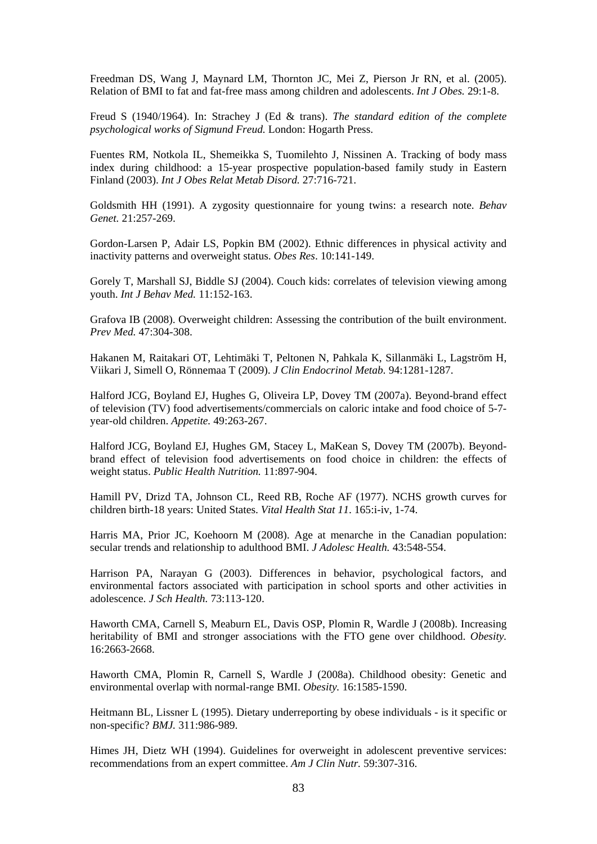Freedman DS, Wang J, Maynard LM, Thornton JC, Mei Z, Pierson Jr RN, et al. (2005). Relation of BMI to fat and fat-free mass among children and adolescents. *Int J Obes.* 29:1-8.

Freud S (1940/1964). In: Strachey J (Ed & trans). *The standard edition of the complete psychological works of Sigmund Freud.* London: Hogarth Press.

Fuentes RM, Notkola IL, Shemeikka S, Tuomilehto J, Nissinen A. Tracking of body mass index during childhood: a 15-year prospective population-based family study in Eastern Finland (2003). *Int J Obes Relat Metab Disord.* 27:716-721.

Goldsmith HH (1991). A zygosity questionnaire for young twins: a research note. *Behav Genet.* 21:257-269.

Gordon-Larsen P, Adair LS, Popkin BM (2002). Ethnic differences in physical activity and inactivity patterns and overweight status. *Obes Res*. 10:141-149.

Gorely T, Marshall SJ, Biddle SJ (2004). Couch kids: correlates of television viewing among youth. *Int J Behav Med.* 11:152-163.

Grafova IB (2008). Overweight children: Assessing the contribution of the built environment. *Prev Med.* 47:304-308.

Hakanen M, Raitakari OT, Lehtimäki T, Peltonen N, Pahkala K, Sillanmäki L, Lagström H, Viikari J, Simell O, Rönnemaa T (2009). *J Clin Endocrinol Metab.* 94:1281-1287.

Halford JCG, Boyland EJ, Hughes G, Oliveira LP, Dovey TM (2007a). Beyond-brand effect of television (TV) food advertisements/commercials on caloric intake and food choice of 5-7 year-old children. *Appetite.* 49:263-267.

Halford JCG, Boyland EJ, Hughes GM, Stacey L, MaKean S, Dovey TM (2007b). Beyondbrand effect of television food advertisements on food choice in children: the effects of weight status. *Public Health Nutrition.* 11:897-904.

Hamill PV, Drizd TA, Johnson CL, Reed RB, Roche AF (1977). NCHS growth curves for children birth-18 years: United States. *Vital Health Stat 11*. 165:i-iv, 1-74.

Harris MA, Prior JC, Koehoorn M (2008). Age at menarche in the Canadian population: secular trends and relationship to adulthood BMI. *J Adolesc Health.* 43:548-554.

Harrison PA, Narayan G (2003). Differences in behavior, psychological factors, and environmental factors associated with participation in school sports and other activities in adolescence. *J Sch Health.* 73:113-120.

Haworth CMA, Carnell S, Meaburn EL, Davis OSP, Plomin R, Wardle J (2008b). Increasing heritability of BMI and stronger associations with the FTO gene over childhood. *Obesity.* 16:2663-2668.

Haworth CMA, Plomin R, Carnell S, Wardle J (2008a). Childhood obesity: Genetic and environmental overlap with normal-range BMI. *Obesity.* 16:1585-1590.

Heitmann BL, Lissner L (1995). Dietary underreporting by obese individuals - is it specific or non-specific? *BMJ.* 311:986-989.

Himes JH, Dietz WH (1994). Guidelines for overweight in adolescent preventive services: recommendations from an expert committee. *Am J Clin Nutr.* 59:307-316.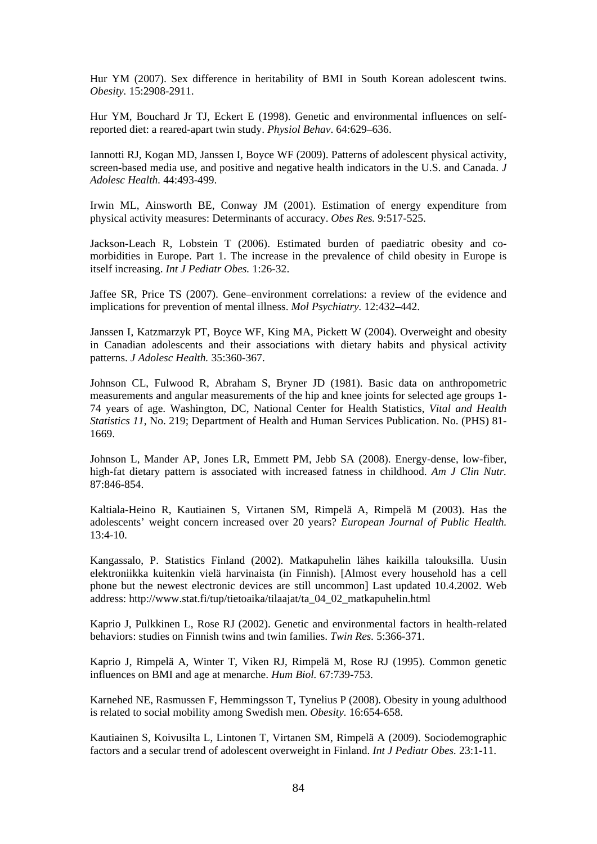Hur YM (2007). Sex difference in heritability of BMI in South Korean adolescent twins. *Obesity.* 15:2908-2911.

Hur YM, Bouchard Jr TJ, Eckert E (1998). Genetic and environmental influences on selfreported diet: a reared-apart twin study. *Physiol Behav*. 64:629–636.

Iannotti RJ, Kogan MD, Janssen I, Boyce WF (2009). Patterns of adolescent physical activity, screen-based media use, and positive and negative health indicators in the U.S. and Canada. *J Adolesc Health.* 44:493-499.

Irwin ML, Ainsworth BE, Conway JM (2001). Estimation of energy expenditure from physical activity measures: Determinants of accuracy. *Obes Res.* 9:517-525.

Jackson-Leach R, Lobstein T (2006). Estimated burden of paediatric obesity and comorbidities in Europe. Part 1. The increase in the prevalence of child obesity in Europe is itself increasing. *Int J Pediatr Obes.* 1:26-32.

Jaffee SR, Price TS (2007). Gene–environment correlations: a review of the evidence and implications for prevention of mental illness. *Mol Psychiatry.* 12:432–442.

Janssen I, Katzmarzyk PT, Boyce WF, King MA, Pickett W (2004). Overweight and obesity in Canadian adolescents and their associations with dietary habits and physical activity patterns. *J Adolesc Health.* 35:360-367.

Johnson CL, Fulwood R, Abraham S, Bryner JD (1981). Basic data on anthropometric measurements and angular measurements of the hip and knee joints for selected age groups 1- 74 years of age. Washington, DC, National Center for Health Statistics, *Vital and Health Statistics 11*, No. 219; Department of Health and Human Services Publication. No. (PHS) 81- 1669.

Johnson L, Mander AP, Jones LR, Emmett PM, Jebb SA (2008). Energy-dense, low-fiber, high-fat dietary pattern is associated with increased fatness in childhood. *Am J Clin Nutr.* 87:846-854.

Kaltiala-Heino R, Kautiainen S, Virtanen SM, Rimpelä A, Rimpelä M (2003). Has the adolescents' weight concern increased over 20 years? *European Journal of Public Health.* 13:4-10.

Kangassalo, P. Statistics Finland (2002). Matkapuhelin lähes kaikilla talouksilla. Uusin elektroniikka kuitenkin vielä harvinaista (in Finnish). [Almost every household has a cell phone but the newest electronic devices are still uncommon] Last updated 10.4.2002. Web address: http://www.stat.fi/tup/tietoaika/tilaajat/ta\_04\_02\_matkapuhelin.html

Kaprio J, Pulkkinen L, Rose RJ (2002). Genetic and environmental factors in health-related behaviors: studies on Finnish twins and twin families. *Twin Res.* 5:366-371.

Kaprio J, Rimpelä A, Winter T, Viken RJ, Rimpelä M, Rose RJ (1995). Common genetic influences on BMI and age at menarche. *Hum Biol.* 67:739-753.

Karnehed NE, Rasmussen F, Hemmingsson T, Tynelius P (2008). Obesity in young adulthood is related to social mobility among Swedish men. *Obesity.* 16:654-658.

Kautiainen S, Koivusilta L, Lintonen T, Virtanen SM, Rimpelä A (2009). Sociodemographic factors and a secular trend of adolescent overweight in Finland. *Int J Pediatr Obes.* 23:1-11.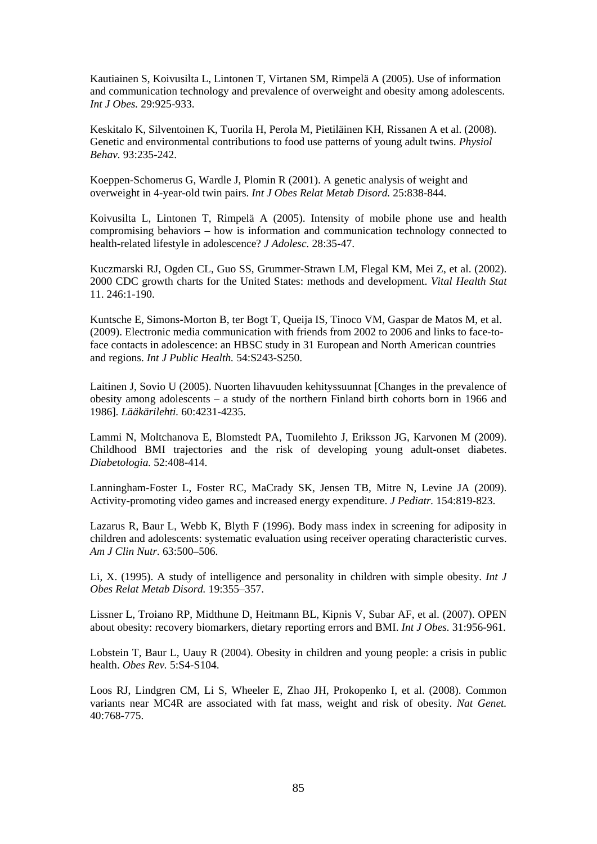Kautiainen S, Koivusilta L, Lintonen T, Virtanen SM, Rimpelä A (2005). Use of information and communication technology and prevalence of overweight and obesity among adolescents. *Int J Obes.* 29:925-933.

Keskitalo K, Silventoinen K, Tuorila H, Perola M, Pietiläinen KH, Rissanen A et al. (2008). Genetic and environmental contributions to food use patterns of young adult twins. *Physiol Behav.* 93:235-242.

Koeppen-Schomerus G, Wardle J, Plomin R (2001). A genetic analysis of weight and overweight in 4-year-old twin pairs. *Int J Obes Relat Metab Disord.* 25:838-844.

Koivusilta L, Lintonen T, Rimpelä A (2005). Intensity of mobile phone use and health compromising behaviors – how is information and communication technology connected to health-related lifestyle in adolescence? *J Adolesc.* 28:35-47.

Kuczmarski RJ, Ogden CL, Guo SS, Grummer-Strawn LM, Flegal KM, Mei Z, et al. (2002). 2000 CDC growth charts for the United States: methods and development. *Vital Health Stat* 11. 246:1-190.

Kuntsche E, Simons-Morton B, ter Bogt T, Queija IS, Tinoco VM, Gaspar de Matos M, et al. (2009). Electronic media communication with friends from 2002 to 2006 and links to face-toface contacts in adolescence: an HBSC study in 31 European and North American countries and regions. *Int J Public Health.* 54:S243-S250.

Laitinen J, Sovio U (2005). Nuorten lihavuuden kehityssuunnat [Changes in the prevalence of obesity among adolescents – a study of the northern Finland birth cohorts born in 1966 and 1986]. *Lääkärilehti.* 60:4231-4235.

Lammi N, Moltchanova E, Blomstedt PA, Tuomilehto J, Eriksson JG, Karvonen M (2009). Childhood BMI trajectories and the risk of developing young adult-onset diabetes. *Diabetologia.* 52:408-414.

Lanningham-Foster L, Foster RC, MaCrady SK, Jensen TB, Mitre N, Levine JA (2009). Activity-promoting video games and increased energy expenditure. *J Pediatr.* 154:819-823.

Lazarus R, Baur L, Webb K, Blyth F (1996). Body mass index in screening for adiposity in children and adolescents: systematic evaluation using receiver operating characteristic curves. *Am J Clin Nutr.* 63:500–506.

Li, X. (1995). A study of intelligence and personality in children with simple obesity. *Int J Obes Relat Metab Disord.* 19:355–357.

Lissner L, Troiano RP, Midthune D, Heitmann BL, Kipnis V, Subar AF, et al. (2007). OPEN about obesity: recovery biomarkers, dietary reporting errors and BMI. *Int J Obes.* 31:956-961.

Lobstein T, Baur L, Uauy R (2004). Obesity in children and young people: a crisis in public health. *Obes Rev.* 5:S4-S104.

Loos RJ, Lindgren CM, Li S, Wheeler E, Zhao JH, Prokopenko I, et al. (2008). Common variants near MC4R are associated with fat mass, weight and risk of obesity. *Nat Genet.* 40:768-775.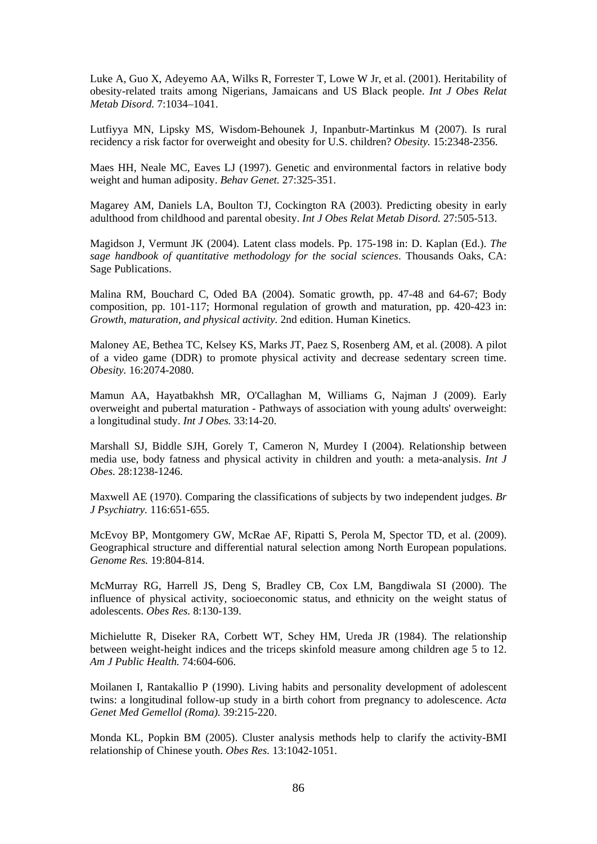Luke A, Guo X, Adeyemo AA, Wilks R, Forrester T, Lowe W Jr, et al. (2001). Heritability of obesity-related traits among Nigerians, Jamaicans and US Black people. *Int J Obes Relat Metab Disord.* 7:1034–1041.

Lutfiyya MN, Lipsky MS, Wisdom-Behounek J, Inpanbutr-Martinkus M (2007). Is rural recidency a risk factor for overweight and obesity for U.S. children? *Obesity.* 15:2348-2356.

Maes HH, Neale MC, Eaves LJ (1997). Genetic and environmental factors in relative body weight and human adiposity. *Behav Genet.* 27:325-351.

Magarey AM, Daniels LA, Boulton TJ, Cockington RA (2003). Predicting obesity in early adulthood from childhood and parental obesity. *Int J Obes Relat Metab Disord.* 27:505-513.

Magidson J, Vermunt JK (2004). Latent class models. Pp. 175-198 in: D. Kaplan (Ed.). *The sage handbook of quantitative methodology for the social sciences*. Thousands Oaks, CA: Sage Publications.

Malina RM, Bouchard C, Oded BA (2004). Somatic growth, pp. 47-48 and 64-67; Body composition, pp. 101-117; Hormonal regulation of growth and maturation, pp. 420-423 in: *Growth, maturation, and physical activity.* 2nd edition. Human Kinetics.

Maloney AE, Bethea TC, Kelsey KS, Marks JT, Paez S, Rosenberg AM, et al. (2008). A pilot of a video game (DDR) to promote physical activity and decrease sedentary screen time. *Obesity.* 16:2074-2080.

Mamun AA, Hayatbakhsh MR, O'Callaghan M, Williams G, Najman J (2009). Early overweight and pubertal maturation - Pathways of association with young adults' overweight: a longitudinal study. *Int J Obes.* 33:14-20.

Marshall SJ, Biddle SJH, Gorely T, Cameron N, Murdey I (2004). Relationship between media use, body fatness and physical activity in children and youth: a meta-analysis. *Int J Obes.* 28:1238-1246.

Maxwell AE (1970). Comparing the classifications of subjects by two independent judges. *Br J Psychiatry.* 116:651-655.

McEvoy BP, Montgomery GW, McRae AF, Ripatti S, Perola M, Spector TD, et al. (2009). Geographical structure and differential natural selection among North European populations. *Genome Res.* 19:804-814.

McMurray RG, Harrell JS, Deng S, Bradley CB, Cox LM, Bangdiwala SI (2000). The influence of physical activity, socioeconomic status, and ethnicity on the weight status of adolescents. *Obes Res.* 8:130-139.

Michielutte R, Diseker RA, Corbett WT, Schey HM, Ureda JR (1984). The relationship between weight-height indices and the triceps skinfold measure among children age 5 to 12. *Am J Public Health.* 74:604-606.

Moilanen I, Rantakallio P (1990). Living habits and personality development of adolescent twins: a longitudinal follow-up study in a birth cohort from pregnancy to adolescence. *Acta Genet Med Gemellol (Roma).* 39:215-220.

Monda KL, Popkin BM (2005). Cluster analysis methods help to clarify the activity-BMI relationship of Chinese youth. *Obes Res.* 13:1042-1051.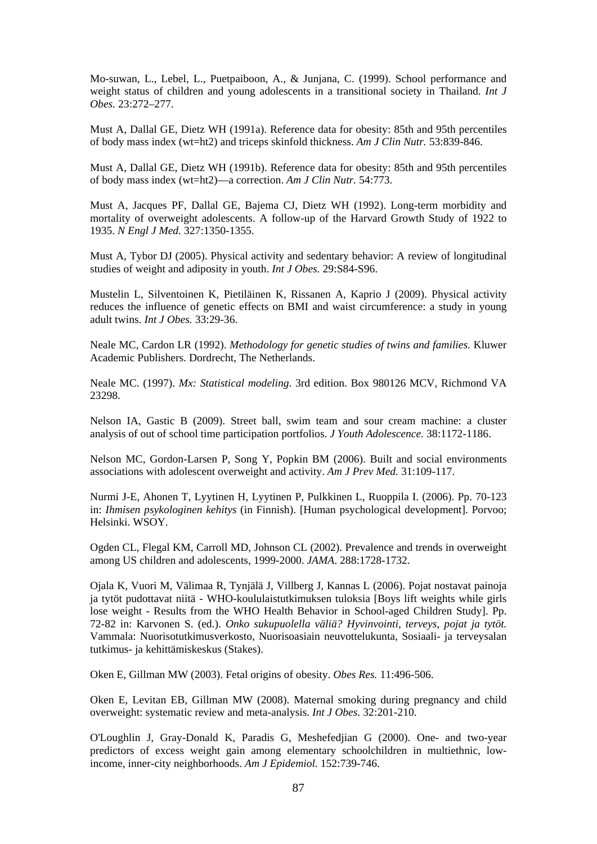Mo-suwan, L., Lebel, L., Puetpaiboon, A., & Junjana, C. (1999). School performance and weight status of children and young adolescents in a transitional society in Thailand. *Int J Obes.* 23:272–277.

Must A, Dallal GE, Dietz WH (1991a). Reference data for obesity: 85th and 95th percentiles of body mass index (wt=ht2) and triceps skinfold thickness. *Am J Clin Nutr.* 53:839-846.

Must A, Dallal GE, Dietz WH (1991b). Reference data for obesity: 85th and 95th percentiles of body mass index (wt=ht2)—a correction. *Am J Clin Nutr.* 54:773.

Must A, Jacques PF, Dallal GE, Bajema CJ, Dietz WH (1992). Long-term morbidity and mortality of overweight adolescents. A follow-up of the Harvard Growth Study of 1922 to 1935. *N Engl J Med.* 327:1350-1355.

Must A, Tybor DJ (2005). Physical activity and sedentary behavior: A review of longitudinal studies of weight and adiposity in youth. *Int J Obes.* 29:S84-S96.

Mustelin L, Silventoinen K, Pietiläinen K, Rissanen A, Kaprio J (2009). Physical activity reduces the influence of genetic effects on BMI and waist circumference: a study in young adult twins. *Int J Obes.* 33:29-36.

Neale MC, Cardon LR (1992). *Methodology for genetic studies of twins and families.* Kluwer Academic Publishers. Dordrecht, The Netherlands.

Neale MC. (1997). *Mx: Statistical modeling*. 3rd edition. Box 980126 MCV, Richmond VA 23298.

Nelson IA, Gastic B (2009). Street ball, swim team and sour cream machine: a cluster analysis of out of school time participation portfolios. *J Youth Adolescence.* 38:1172-1186.

Nelson MC, Gordon-Larsen P, Song Y, Popkin BM (2006). Built and social environments associations with adolescent overweight and activity. *Am J Prev Med.* 31:109-117.

Nurmi J-E, Ahonen T, Lyytinen H, Lyytinen P, Pulkkinen L, Ruoppila I. (2006). Pp. 70-123 in: *Ihmisen psykologinen kehitys* (in Finnish). [Human psychological development]. Porvoo; Helsinki. WSOY.

Ogden CL, Flegal KM, Carroll MD, Johnson CL (2002). Prevalence and trends in overweight among US children and adolescents, 1999-2000. *JAMA*. 288:1728-1732.

Ojala K, Vuori M, Välimaa R, Tynjälä J, Villberg J, Kannas L (2006). Pojat nostavat painoja ja tytöt pudottavat niitä - WHO-koululaistutkimuksen tuloksia [Boys lift weights while girls lose weight - Results from the WHO Health Behavior in School-aged Children Study]. Pp. 72-82 in: Karvonen S. (ed.). *Onko sukupuolella väliä? Hyvinvointi, terveys, pojat ja tytöt.*  Vammala: Nuorisotutkimusverkosto, Nuorisoasiain neuvottelukunta, Sosiaali- ja terveysalan tutkimus- ja kehittämiskeskus (Stakes).

Oken E, Gillman MW (2003). Fetal origins of obesity. *Obes Res.* 11:496-506.

Oken E, Levitan EB, Gillman MW (2008). Maternal smoking during pregnancy and child overweight: systematic review and meta-analysis. *Int J Obes.* 32:201-210.

O'Loughlin J, Gray-Donald K, Paradis G, Meshefedjian G (2000). One- and two-year predictors of excess weight gain among elementary schoolchildren in multiethnic, lowincome, inner-city neighborhoods. *Am J Epidemiol.* 152:739-746.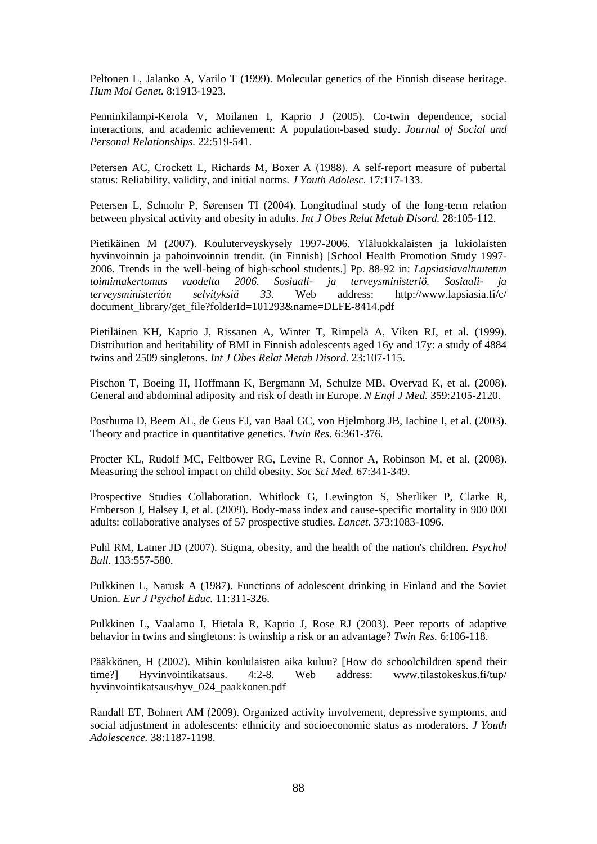Peltonen L, Jalanko A, Varilo T (1999). Molecular genetics of the Finnish disease heritage. *Hum Mol Genet.* 8:1913-1923.

Penninkilampi-Kerola V, Moilanen I, Kaprio J (2005). Co-twin dependence, social interactions, and academic achievement: A population-based study. *Journal of Social and Personal Relationships.* 22:519-541.

Petersen AC, Crockett L, Richards M, Boxer A (1988). A self-report measure of pubertal status: Reliability, validity, and initial norms*. J Youth Adolesc.* 17:117-133.

Petersen L, Schnohr P, Sørensen TI (2004). Longitudinal study of the long-term relation between physical activity and obesity in adults. *Int J Obes Relat Metab Disord.* 28:105-112.

Pietikäinen M (2007). Kouluterveyskysely 1997-2006. Yläluokkalaisten ja lukiolaisten hyvinvoinnin ja pahoinvoinnin trendit. (in Finnish) [School Health Promotion Study 1997- 2006. Trends in the well-being of high-school students.] Pp. 88-92 in: *Lapsiasiavaltuutetun toimintakertomus vuodelta 2006. Sosiaali- ja terveysministeriö. Sosiaali- ja terveysministeriön selvityksiä 33.* Web address: http://www.lapsiasia.fi/c/ document\_library/get\_file?folderId=101293&name=DLFE-8414.pdf

Pietiläinen KH, Kaprio J, Rissanen A, Winter T, Rimpelä A, Viken RJ, et al. (1999). Distribution and heritability of BMI in Finnish adolescents aged 16y and 17y: a study of 4884 twins and 2509 singletons. *Int J Obes Relat Metab Disord.* 23:107-115.

Pischon T, Boeing H, Hoffmann K, Bergmann M, Schulze MB, Overvad K, et al. (2008). General and abdominal adiposity and risk of death in Europe. *N Engl J Med.* 359:2105-2120.

Posthuma D, Beem AL, de Geus EJ, van Baal GC, von Hjelmborg JB, Iachine I, et al. (2003). Theory and practice in quantitative genetics. *Twin Res.* 6:361-376.

Procter KL, Rudolf MC, Feltbower RG, Levine R, Connor A, Robinson M, et al. (2008). Measuring the school impact on child obesity. *Soc Sci Med.* 67:341-349.

Prospective Studies Collaboration. Whitlock G, Lewington S, Sherliker P, Clarke R, Emberson J, Halsey J, et al. (2009). Body-mass index and cause-specific mortality in 900 000 adults: collaborative analyses of 57 prospective studies. *Lancet.* 373:1083-1096.

Puhl RM, Latner JD (2007). Stigma, obesity, and the health of the nation's children. *Psychol Bull.* 133:557-580.

Pulkkinen L, Narusk A (1987). Functions of adolescent drinking in Finland and the Soviet Union. *Eur J Psychol Educ.* 11:311-326.

Pulkkinen L, Vaalamo I, Hietala R, Kaprio J, Rose RJ (2003). Peer reports of adaptive behavior in twins and singletons: is twinship a risk or an advantage? *Twin Res.* 6:106-118.

Pääkkönen, H (2002). Mihin koululaisten aika kuluu? [How do schoolchildren spend their time?] Hyvinvointikatsaus. 4:2-8. Web address: www.tilastokeskus.fi/tup/ hyvinvointikatsaus/hyv\_024\_paakkonen.pdf

Randall ET, Bohnert AM (2009). Organized activity involvement, depressive symptoms, and social adjustment in adolescents: ethnicity and socioeconomic status as moderators. *J Youth Adolescence.* 38:1187-1198.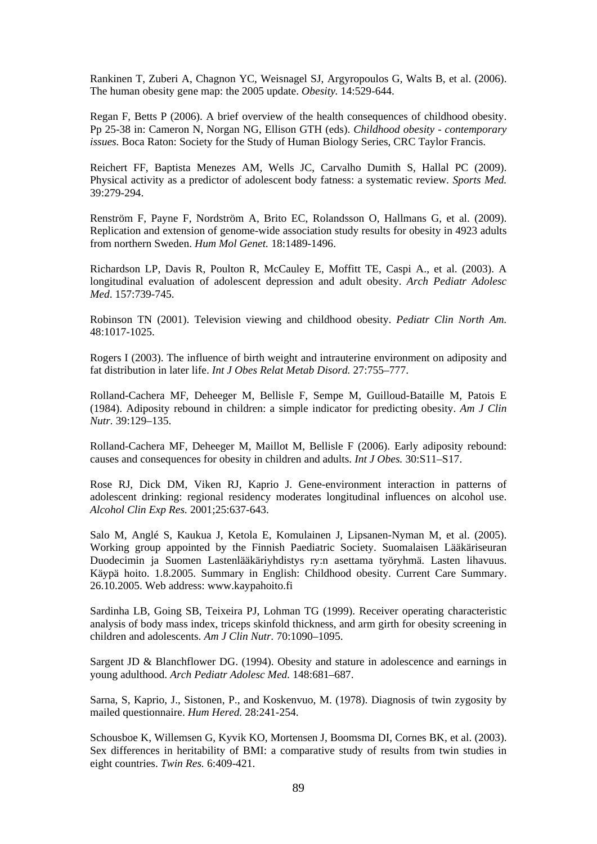Rankinen T, Zuberi A, Chagnon YC, Weisnagel SJ, Argyropoulos G, Walts B, et al. (2006). The human obesity gene map: the 2005 update. *Obesity.* 14:529-644.

Regan F, Betts P (2006). A brief overview of the health consequences of childhood obesity. Pp 25-38 in: Cameron N, Norgan NG, Ellison GTH (eds). *Childhood obesity - contemporary issues.* Boca Raton: Society for the Study of Human Biology Series, CRC Taylor Francis.

Reichert FF, Baptista Menezes AM, Wells JC, Carvalho Dumith S, Hallal PC (2009). Physical activity as a predictor of adolescent body fatness: a systematic review. *Sports Med.* 39:279-294.

Renström F, Payne F, Nordström A, Brito EC, Rolandsson O, Hallmans G, et al. (2009). Replication and extension of genome-wide association study results for obesity in 4923 adults from northern Sweden. *Hum Mol Genet.* 18:1489-1496.

Richardson LP, Davis R, Poulton R, McCauley E, Moffitt TE, Caspi A., et al. (2003). A longitudinal evaluation of adolescent depression and adult obesity. *Arch Pediatr Adolesc Med*. 157:739-745.

Robinson TN (2001). Television viewing and childhood obesity. *Pediatr Clin North Am.*  48:1017-1025.

Rogers I (2003). The influence of birth weight and intrauterine environment on adiposity and fat distribution in later life. *Int J Obes Relat Metab Disord.* 27:755–777.

Rolland-Cachera MF, Deheeger M, Bellisle F, Sempe M, Guilloud-Bataille M, Patois E (1984). Adiposity rebound in children: a simple indicator for predicting obesity. *Am J Clin Nutr.* 39:129–135.

Rolland-Cachera MF, Deheeger M, Maillot M, Bellisle F (2006). Early adiposity rebound: causes and consequences for obesity in children and adults. *Int J Obes.* 30:S11–S17.

Rose RJ, Dick DM, Viken RJ, Kaprio J. Gene-environment interaction in patterns of adolescent drinking: regional residency moderates longitudinal influences on alcohol use. *Alcohol Clin Exp Res.* 2001;25:637-643.

Salo M, Anglé S, Kaukua J, Ketola E, Komulainen J, Lipsanen-Nyman M, et al. (2005). Working group appointed by the Finnish Paediatric Society. Suomalaisen Lääkäriseuran Duodecimin ja Suomen Lastenlääkäriyhdistys ry:n asettama työryhmä. Lasten lihavuus. Käypä hoito. 1.8.2005. Summary in English: Childhood obesity. Current Care Summary. 26.10.2005. Web address: www.kaypahoito.fi

Sardinha LB, Going SB, Teixeira PJ, Lohman TG (1999). Receiver operating characteristic analysis of body mass index, triceps skinfold thickness, and arm girth for obesity screening in children and adolescents. *Am J Clin Nutr.* 70:1090–1095.

Sargent JD & Blanchflower DG. (1994). Obesity and stature in adolescence and earnings in young adulthood. *Arch Pediatr Adolesc Med.* 148:681–687.

Sarna, S, Kaprio, J., Sistonen, P., and Koskenvuo, M. (1978). Diagnosis of twin zygosity by mailed questionnaire. *Hum Hered.* 28:241-254.

Schousboe K, Willemsen G, Kyvik KO, Mortensen J, Boomsma DI, Cornes BK, et al. (2003). Sex differences in heritability of BMI: a comparative study of results from twin studies in eight countries. *Twin Res.* 6:409-421.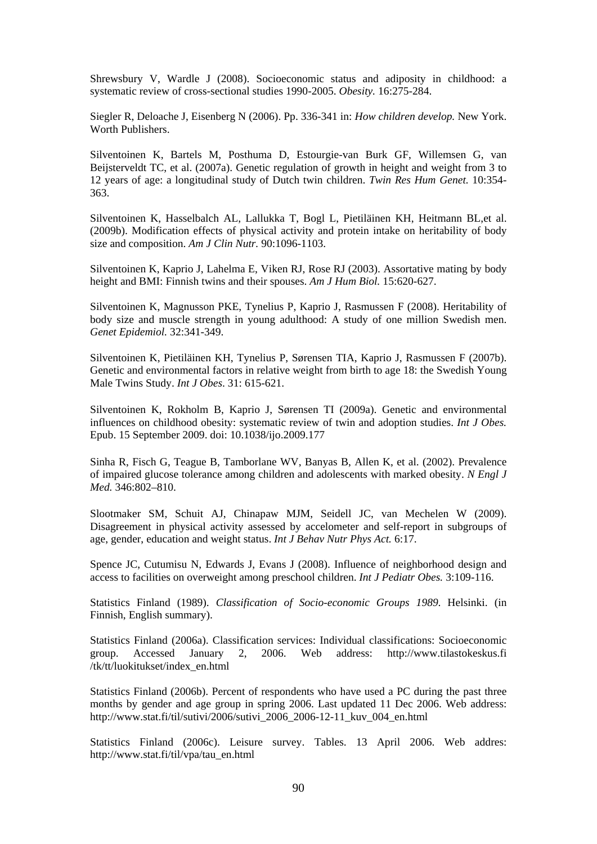Shrewsbury V, Wardle J (2008). Socioeconomic status and adiposity in childhood: a systematic review of cross-sectional studies 1990-2005. *Obesity.* 16:275-284.

Siegler R, Deloache J, Eisenberg N (2006). Pp. 336-341 in: *How children develop.* New York. Worth Publishers.

Silventoinen K, Bartels M, Posthuma D, Estourgie-van Burk GF, Willemsen G, van Beijsterveldt TC, et al. (2007a). Genetic regulation of growth in height and weight from 3 to 12 years of age: a longitudinal study of Dutch twin children. *Twin Res Hum Genet.* 10:354- 363.

Silventoinen K, Hasselbalch AL, Lallukka T, Bogl L, Pietiläinen KH, Heitmann BL,et al. (2009b). Modification effects of physical activity and protein intake on heritability of body size and composition. *Am J Clin Nutr.* 90:1096-1103.

Silventoinen K, Kaprio J, Lahelma E, Viken RJ, Rose RJ (2003). Assortative mating by body height and BMI: Finnish twins and their spouses. *Am J Hum Biol.* 15:620-627.

Silventoinen K, Magnusson PKE, Tynelius P, Kaprio J, Rasmussen F (2008). Heritability of body size and muscle strength in young adulthood: A study of one million Swedish men. *Genet Epidemiol.* 32:341-349.

Silventoinen K, Pietiläinen KH, Tynelius P, Sørensen TIA, Kaprio J, Rasmussen F (2007b). Genetic and environmental factors in relative weight from birth to age 18: the Swedish Young Male Twins Study. *Int J Obes*. 31: 615-621.

Silventoinen K, Rokholm B, Kaprio J, Sørensen TI (2009a). Genetic and environmental influences on childhood obesity: systematic review of twin and adoption studies. *Int J Obes.* Epub. 15 September 2009. doi: 10.1038/ijo.2009.177

Sinha R, Fisch G, Teague B, Tamborlane WV, Banyas B, Allen K, et al. (2002). Prevalence of impaired glucose tolerance among children and adolescents with marked obesity. *N Engl J Med.* 346:802–810.

Slootmaker SM, Schuit AJ, Chinapaw MJM, Seidell JC, van Mechelen W (2009). Disagreement in physical activity assessed by accelometer and self-report in subgroups of age, gender, education and weight status. *Int J Behav Nutr Phys Act.* 6:17.

Spence JC, Cutumisu N, Edwards J, Evans J (2008). Influence of neighborhood design and access to facilities on overweight among preschool children. *Int J Pediatr Obes.* 3:109-116.

Statistics Finland (1989). *Classification of Socio-economic Groups 1989*. Helsinki. (in Finnish, English summary).

Statistics Finland (2006a). Classification services: Individual classifications: Socioeconomic group. Accessed January 2, 2006. Web address: http://www.tilastokeskus.fi /tk/tt/luokitukset/index\_en.html

Statistics Finland (2006b). Percent of respondents who have used a PC during the past three months by gender and age group in spring 2006. Last updated 11 Dec 2006. Web address: http://www.stat.fi/til/sutivi/2006/sutivi\_2006\_2006-12-11\_kuv\_004\_en.html

Statistics Finland (2006c). Leisure survey. Tables. 13 April 2006. Web addres: http://www.stat.fi/til/vpa/tau\_en.html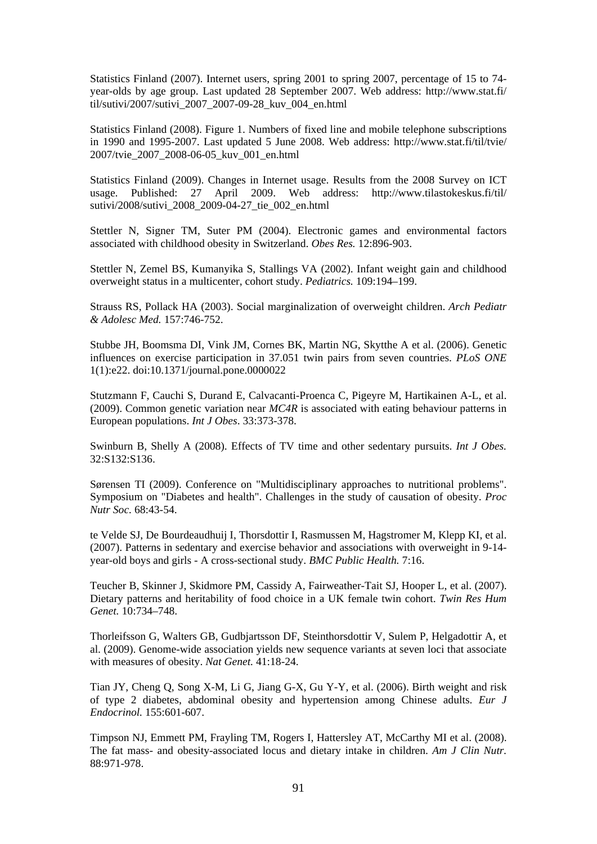Statistics Finland (2007). Internet users, spring 2001 to spring 2007, percentage of 15 to 74 year-olds by age group. Last updated 28 September 2007. Web address: http://www.stat.fi/ til/sutivi/2007/sutivi\_2007\_2007-09-28\_kuv\_004\_en.html

Statistics Finland (2008). Figure 1. Numbers of fixed line and mobile telephone subscriptions in 1990 and 1995-2007. Last updated 5 June 2008. Web address: http://www.stat.fi/til/tvie/ 2007/tvie\_2007\_2008-06-05\_kuv\_001\_en.html

Statistics Finland (2009). Changes in Internet usage. Results from the 2008 Survey on ICT usage. Published: 27 April 2009. Web address: http://www.tilastokeskus.fi/til/ sutivi/2008/sutivi\_2008\_2009-04-27\_tie\_002\_en.html

Stettler N, Signer TM, Suter PM (2004). Electronic games and environmental factors associated with childhood obesity in Switzerland. *Obes Res.* 12:896-903.

Stettler N, Zemel BS, Kumanyika S, Stallings VA (2002). Infant weight gain and childhood overweight status in a multicenter, cohort study. *Pediatrics.* 109:194–199.

Strauss RS, Pollack HA (2003). Social marginalization of overweight children. *Arch Pediatr & Adolesc Med.* 157:746-752.

Stubbe JH, Boomsma DI, Vink JM, Cornes BK, Martin NG, Skytthe A et al. (2006). Genetic influences on exercise participation in 37.051 twin pairs from seven countries. *PLoS ONE* 1(1):e22. doi:10.1371/journal.pone.0000022

Stutzmann F, Cauchi S, Durand E, Calvacanti-Proenca C, Pigeyre M, Hartikainen A-L, et al. (2009). Common genetic variation near *MC4R* is associated with eating behaviour patterns in European populations. *Int J Obes*. 33:373-378.

Swinburn B, Shelly A (2008). Effects of TV time and other sedentary pursuits. *Int J Obes.* 32:S132:S136.

Sørensen TI (2009). Conference on "Multidisciplinary approaches to nutritional problems". Symposium on "Diabetes and health". Challenges in the study of causation of obesity. *Proc Nutr Soc.* 68:43-54.

te Velde SJ, De Bourdeaudhuij I, Thorsdottir I, Rasmussen M, Hagstromer M, Klepp KI, et al. (2007). Patterns in sedentary and exercise behavior and associations with overweight in 9-14 year-old boys and girls - A cross-sectional study. *BMC Public Health.* 7:16.

Teucher B, Skinner J, Skidmore PM, Cassidy A, Fairweather-Tait SJ, Hooper L, et al. (2007). Dietary patterns and heritability of food choice in a UK female twin cohort. *Twin Res Hum Genet.* 10:734–748.

Thorleifsson G, Walters GB, Gudbjartsson DF, Steinthorsdottir V, Sulem P, Helgadottir A, et al. (2009). Genome-wide association yields new sequence variants at seven loci that associate with measures of obesity. *Nat Genet.* 41:18-24.

Tian JY, Cheng Q, Song X-M, Li G, Jiang G-X, Gu Y-Y, et al. (2006). Birth weight and risk of type 2 diabetes, abdominal obesity and hypertension among Chinese adults. *Eur J Endocrinol.* 155:601-607.

Timpson NJ, Emmett PM, Frayling TM, Rogers I, Hattersley AT, McCarthy MI et al. (2008). The fat mass- and obesity-associated locus and dietary intake in children. *Am J Clin Nutr.*  88:971-978.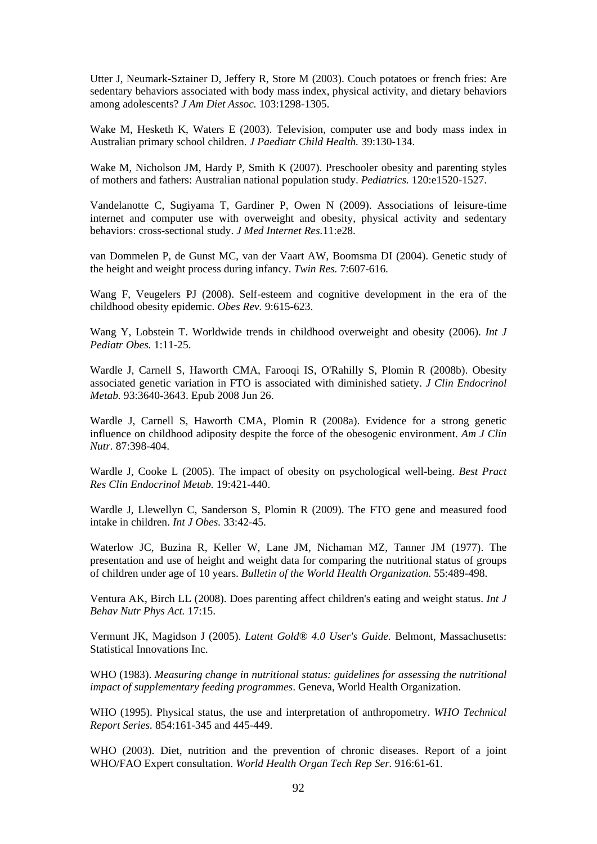Utter J, Neumark-Sztainer D, Jeffery R, Store M (2003). Couch potatoes or french fries: Are sedentary behaviors associated with body mass index, physical activity, and dietary behaviors among adolescents? *J Am Diet Assoc.* 103:1298-1305.

Wake M, Hesketh K, Waters E (2003). Television, computer use and body mass index in Australian primary school children. *J Paediatr Child Health.* 39:130-134.

Wake M, Nicholson JM, Hardy P, Smith K (2007). Preschooler obesity and parenting styles of mothers and fathers: Australian national population study. *Pediatrics.* 120:e1520-1527.

Vandelanotte C, Sugiyama T, Gardiner P, Owen N (2009). Associations of leisure-time internet and computer use with overweight and obesity, physical activity and sedentary behaviors: cross-sectional study. *J Med Internet Res.*11:e28.

van Dommelen P, de Gunst MC, van der Vaart AW, Boomsma DI (2004). Genetic study of the height and weight process during infancy. *Twin Res.* 7:607-616.

Wang F, Veugelers PJ (2008). Self-esteem and cognitive development in the era of the childhood obesity epidemic. *Obes Rev.* 9:615-623.

Wang Y, Lobstein T. Worldwide trends in childhood overweight and obesity (2006). *Int J Pediatr Obes.* 1:11-25.

Wardle J, Carnell S, Haworth CMA, Farooqi IS, O'Rahilly S, Plomin R (2008b). Obesity associated genetic variation in FTO is associated with diminished satiety. *J Clin Endocrinol Metab.* 93:3640-3643. Epub 2008 Jun 26.

Wardle J, Carnell S, Haworth CMA, Plomin R (2008a). Evidence for a strong genetic influence on childhood adiposity despite the force of the obesogenic environment. *Am J Clin Nutr.* 87:398-404.

Wardle J, Cooke L (2005). The impact of obesity on psychological well-being. *Best Pract Res Clin Endocrinol Metab.* 19:421-440.

Wardle J, Llewellyn C, Sanderson S, Plomin R (2009). The FTO gene and measured food intake in children. *Int J Obes.* 33:42-45.

Waterlow JC, Buzina R, Keller W, Lane JM, Nichaman MZ, Tanner JM (1977). The presentation and use of height and weight data for comparing the nutritional status of groups of children under age of 10 years. *Bulletin of the World Health Organization.* 55:489-498.

Ventura AK, Birch LL (2008). Does parenting affect children's eating and weight status. *Int J Behav Nutr Phys Act.* 17:15.

Vermunt JK, Magidson J (2005). *Latent Gold® 4.0 User's Guide.* Belmont, Massachusetts: Statistical Innovations Inc.

WHO (1983). *Measuring change in nutritional status: guidelines for assessing the nutritional impact of supplementary feeding programmes*. Geneva, World Health Organization.

WHO (1995). Physical status, the use and interpretation of anthropometry. *WHO Technical Report Series.* 854:161-345 and 445-449.

WHO (2003). Diet, nutrition and the prevention of chronic diseases. Report of a joint WHO/FAO Expert consultation. *World Health Organ Tech Rep Ser.* 916:61-61.